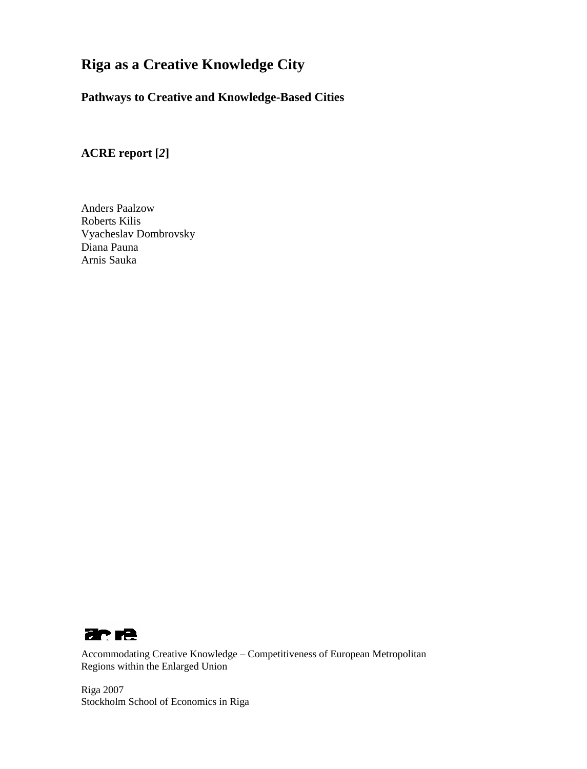# **Riga as a Creative Knowledge City**

# **Pathways to Creative and Knowledge-Based Cities**

**ACRE report [***2***]**

Anders Paalzow Roberts Kilis Vyacheslav Dombrovsky Diana Pauna Arnis Sauka



Accommodating Creative Knowledge – Competitiveness of European Metropolitan Regions within the Enlarged Union

Riga 2007 Stockholm School of Economics in Riga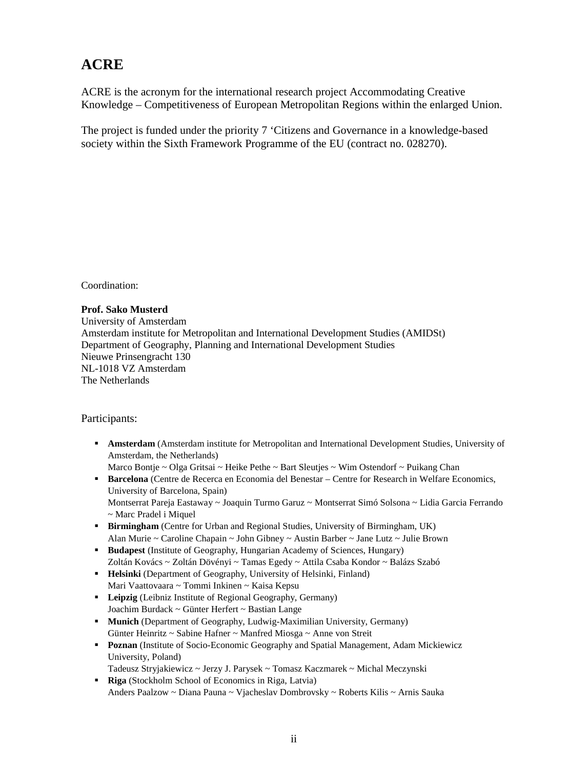# **ACRE**

ACRE is the acronym for the international research project Accommodating Creative Knowledge – Competitiveness of European Metropolitan Regions within the enlarged Union.

The project is funded under the priority 7 'Citizens and Governance in a knowledge-based society within the Sixth Framework Programme of the EU (contract no. 028270).

Coordination:

#### **Prof. Sako Musterd**

University of Amsterdam Amsterdam institute for Metropolitan and International Development Studies (AMIDSt) Department of Geography, Planning and International Development Studies Nieuwe Prinsengracht 130 NL-1018 VZ Amsterdam The Netherlands

Participants:

- **Amsterdam** (Amsterdam institute for Metropolitan and International Development Studies, University of Amsterdam, the Netherlands)
	- Marco Bontje ~ Olga Gritsai ~ Heike Pethe ~ Bart Sleutjes ~ Wim Ostendorf ~ Puikang Chan
- **Barcelona** (Centre de Recerca en Economia del Benestar Centre for Research in Welfare Economics, University of Barcelona, Spain)

Montserrat Pareja Eastaway ~ Joaquin Turmo Garuz ~ Montserrat Simó Solsona ~ Lidia Garcia Ferrando ~ Marc Pradel i Miquel

- **Birmingham** (Centre for Urban and Regional Studies, University of Birmingham, UK) Alan Murie ~ Caroline Chapain ~ John Gibney ~ Austin Barber ~ Jane Lutz ~ Julie Brown
- **Budapest** (Institute of Geography, Hungarian Academy of Sciences, Hungary) Zoltán Kovács ~ Zoltán Dövényi ~ Tamas Egedy ~ Attila Csaba Kondor ~ Balázs Szabó
- **Helsinki** (Department of Geography, University of Helsinki, Finland) Mari Vaattovaara ~ Tommi Inkinen ~ Kaisa Kepsu
- **Leipzig** (Leibniz Institute of Regional Geography, Germany) Joachim Burdack ~ Günter Herfert ~ Bastian Lange
- **Munich** (Department of Geography, Ludwig-Maximilian University, Germany) Günter Heinritz ~ Sabine Hafner ~ Manfred Miosga ~ Anne von Streit
- **Poznan** (Institute of Socio-Economic Geography and Spatial Management, Adam Mickiewicz University, Poland)

Tadeusz Stryjakiewicz ~ Jerzy J. Parysek ~ Tomasz Kaczmarek ~ Michal Meczynski

**Riga** (Stockholm School of Economics in Riga, Latvia) Anders Paalzow ~ Diana Pauna ~ Vjacheslav Dombrovsky ~ Roberts Kilis ~ Arnis Sauka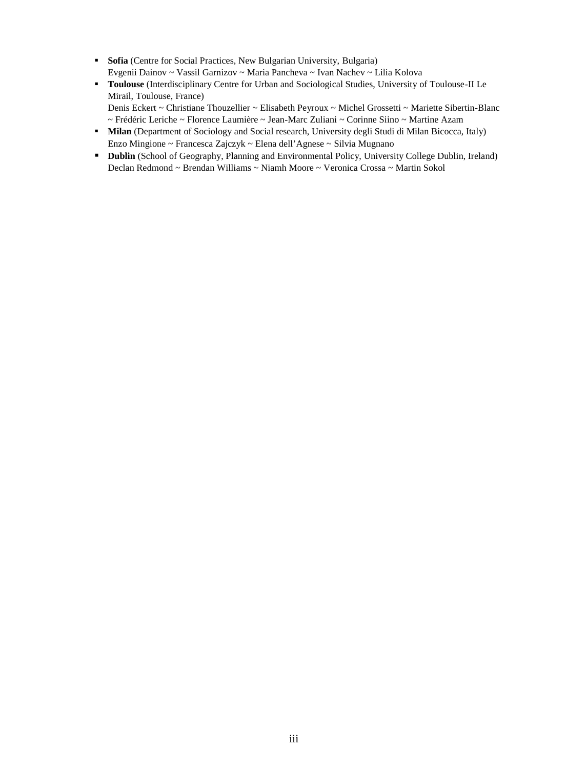- **Sofia** (Centre for Social Practices, New Bulgarian University, Bulgaria) Evgenii Dainov ~ Vassil Garnizov ~ Maria Pancheva ~ Ivan Nachev ~ Lilia Kolova
- **Toulouse** (Interdisciplinary Centre for Urban and Sociological Studies, University of Toulouse-II Le Mirail, Toulouse, France) Denis Eckert ~ Christiane Thouzellier ~ Elisabeth Peyroux ~ Michel Grossetti ~ Mariette Sibertin-Blanc
	- ~ Frédéric Leriche ~ Florence Laumière ~ Jean-Marc Zuliani ~ Corinne Siino ~ Martine Azam
- **Milan** (Department of Sociology and Social research, University degli Studi di Milan Bicocca, Italy) Enzo Mingione ~ Francesca Zajczyk ~ Elena dell'Agnese ~ Silvia Mugnano
- **Dublin** (School of Geography, Planning and Environmental Policy, University College Dublin, Ireland) Declan Redmond ~ Brendan Williams ~ Niamh Moore ~ Veronica Crossa ~ Martin Sokol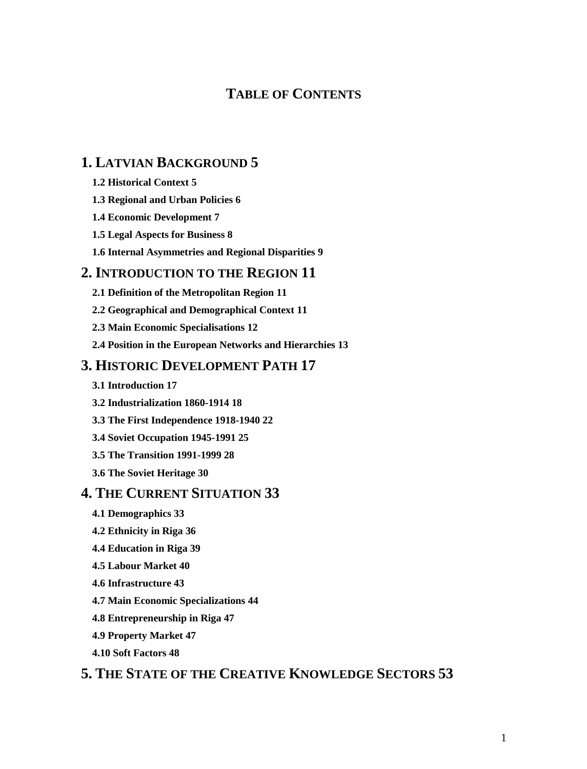# **TABLE OF CONTENTS**

# **1. LATVIAN BACKGROUND 5**

- **1.2 Historical Context 5**
- **1.3 Regional and Urban Policies 6**
- **1.4 Economic Development 7**
- **1.5 Legal Aspects for Business 8**
- **1.6 Internal Asymmetries and Regional Disparities 9**

## **2. INTRODUCTION TO THE REGION 11**

- **2.1 Definition of the Metropolitan Region 11**
- **2.2 Geographical and Demographical Context 11**
- **2.3 Main Economic Specialisations 12**
- **2.4 Position in the European Networks and Hierarchies 13**

# **3. HISTORIC DEVELOPMENT PATH 17**

- **3.1 Introduction 17**
- **3.2 Industrialization 1860-1914 18**
- **3.3 The First Independence 1918-1940 22**
- **3.4 Soviet Occupation 1945-1991 25**
- **3.5 The Transition 1991-1999 28**
- **3.6 The Soviet Heritage 30**

## **4. THE CURRENT SITUATION 33**

- **4.1 Demographics 33**
- **4.2 Ethnicity in Riga 36**
- **4.4 Education in Riga 39**
- **4.5 Labour Market 40**
- **4.6 Infrastructure 43**
- **4.7 Main Economic Specializations 44**
- **4.8 Entrepreneurship in Riga 47**
- **4.9 Property Market 47**
- **4.10 Soft Factors 48**

# **5. THE STATE OF THE CREATIVE KNOWLEDGE SECTORS 53**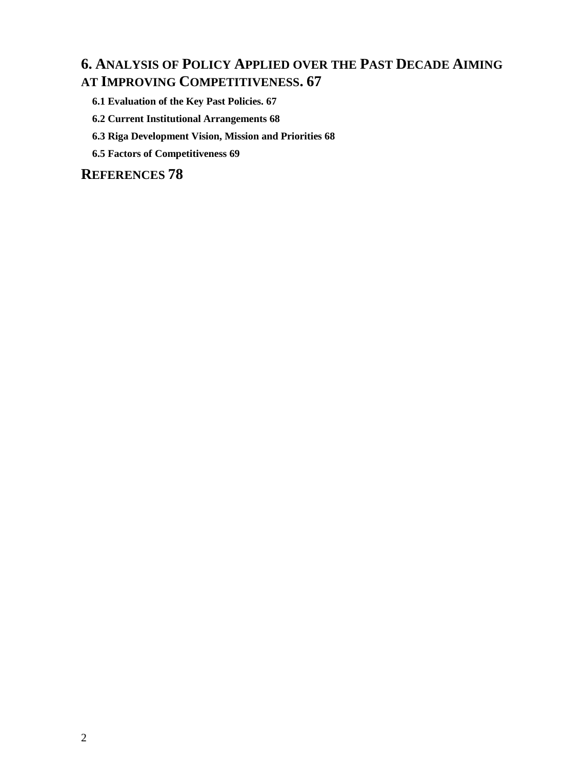# **6. ANALYSIS OF POLICY APPLIED OVER THE PAST DECADE AIMING AT IMPROVING COMPETITIVENESS. 67**

- **6.1 Evaluation of the Key Past Policies. 67**
- **6.2 Current Institutional Arrangements 68**
- **6.3 Riga Development Vision, Mission and Priorities 68**
- **6.5 Factors of Competitiveness 69**

**REFERENCES 78**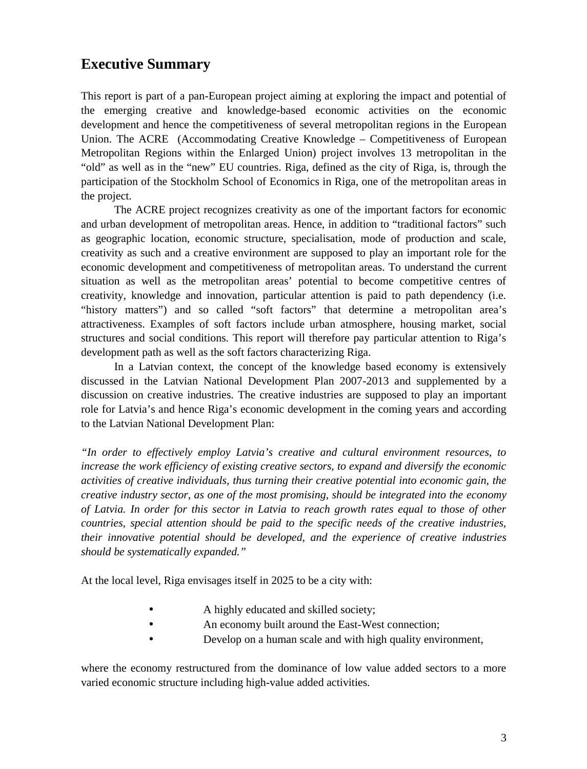# **Executive Summary**

This report is part of a pan-European project aiming at exploring the impact and potential of the emerging creative and knowledge-based economic activities on the economic development and hence the competitiveness of several metropolitan regions in the European Union. The ACRE (Accommodating Creative Knowledge – Competitiveness of European Metropolitan Regions within the Enlarged Union) project involves 13 metropolitan in the "old" as well as in the "new" EU countries. Riga, defined as the city of Riga, is, through the participation of the Stockholm School of Economics in Riga, one of the metropolitan areas in the project.

The ACRE project recognizes creativity as one of the important factors for economic and urban development of metropolitan areas. Hence, in addition to "traditional factors" such as geographic location, economic structure, specialisation, mode of production and scale, creativity as such and a creative environment are supposed to play an important role for the economic development and competitiveness of metropolitan areas. To understand the current situation as well as the metropolitan areas' potential to become competitive centres of creativity, knowledge and innovation, particular attention is paid to path dependency (i.e. "history matters") and so called "soft factors" that determine a metropolitan area's attractiveness. Examples of soft factors include urban atmosphere, housing market, social structures and social conditions. This report will therefore pay particular attention to Riga's development path as well as the soft factors characterizing Riga.

In a Latvian context, the concept of the knowledge based economy is extensively discussed in the Latvian National Development Plan 2007-2013 and supplemented by a discussion on creative industries. The creative industries are supposed to play an important role for Latvia's and hence Riga's economic development in the coming years and according to the Latvian National Development Plan:

*"In order to effectively employ Latvia's creative and cultural environment resources, to increase the work efficiency of existing creative sectors, to expand and diversify the economic activities of creative individuals, thus turning their creative potential into economic gain, the creative industry sector, as one of the most promising, should be integrated into the economy of Latvia. In order for this sector in Latvia to reach growth rates equal to those of other countries, special attention should be paid to the specific needs of the creative industries, their innovative potential should be developed, and the experience of creative industries should be systematically expanded."*

At the local level, Riga envisages itself in 2025 to be a city with:

- A highly educated and skilled society;
- An economy built around the East-West connection;
- Develop on a human scale and with high quality environment,

where the economy restructured from the dominance of low value added sectors to a more varied economic structure including high-value added activities.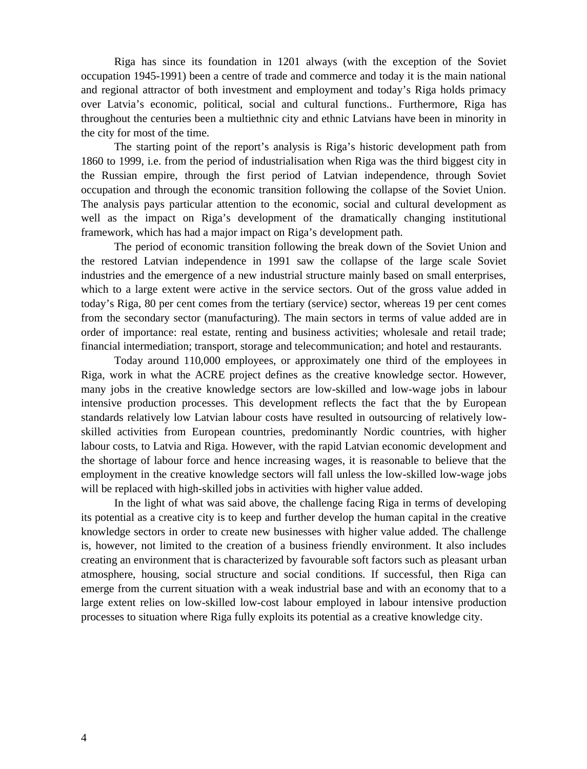Riga has since its foundation in 1201 always (with the exception of the Soviet occupation 1945-1991) been a centre of trade and commerce and today it is the main national and regional attractor of both investment and employment and today's Riga holds primacy over Latvia's economic, political, social and cultural functions.. Furthermore, Riga has throughout the centuries been a multiethnic city and ethnic Latvians have been in minority in the city for most of the time.

The starting point of the report's analysis is Riga's historic development path from 1860 to 1999, i.e. from the period of industrialisation when Riga was the third biggest city in the Russian empire, through the first period of Latvian independence, through Soviet occupation and through the economic transition following the collapse of the Soviet Union. The analysis pays particular attention to the economic, social and cultural development as well as the impact on Riga's development of the dramatically changing institutional framework, which has had a major impact on Riga's development path.

The period of economic transition following the break down of the Soviet Union and the restored Latvian independence in 1991 saw the collapse of the large scale Soviet industries and the emergence of a new industrial structure mainly based on small enterprises, which to a large extent were active in the service sectors. Out of the gross value added in today's Riga, 80 per cent comes from the tertiary (service) sector, whereas 19 per cent comes from the secondary sector (manufacturing). The main sectors in terms of value added are in order of importance: real estate, renting and business activities; wholesale and retail trade; financial intermediation; transport, storage and telecommunication; and hotel and restaurants.

Today around 110,000 employees, or approximately one third of the employees in Riga, work in what the ACRE project defines as the creative knowledge sector. However, many jobs in the creative knowledge sectors are low-skilled and low-wage jobs in labour intensive production processes. This development reflects the fact that the by European standards relatively low Latvian labour costs have resulted in outsourcing of relatively lowskilled activities from European countries, predominantly Nordic countries, with higher labour costs, to Latvia and Riga. However, with the rapid Latvian economic development and the shortage of labour force and hence increasing wages, it is reasonable to believe that the employment in the creative knowledge sectors will fall unless the low-skilled low-wage jobs will be replaced with high-skilled jobs in activities with higher value added.

In the light of what was said above, the challenge facing Riga in terms of developing its potential as a creative city is to keep and further develop the human capital in the creative knowledge sectors in order to create new businesses with higher value added. The challenge is, however, not limited to the creation of a business friendly environment. It also includes creating an environment that is characterized by favourable soft factors such as pleasant urban atmosphere, housing, social structure and social conditions. If successful, then Riga can emerge from the current situation with a weak industrial base and with an economy that to a large extent relies on low-skilled low-cost labour employed in labour intensive production processes to situation where Riga fully exploits its potential as a creative knowledge city.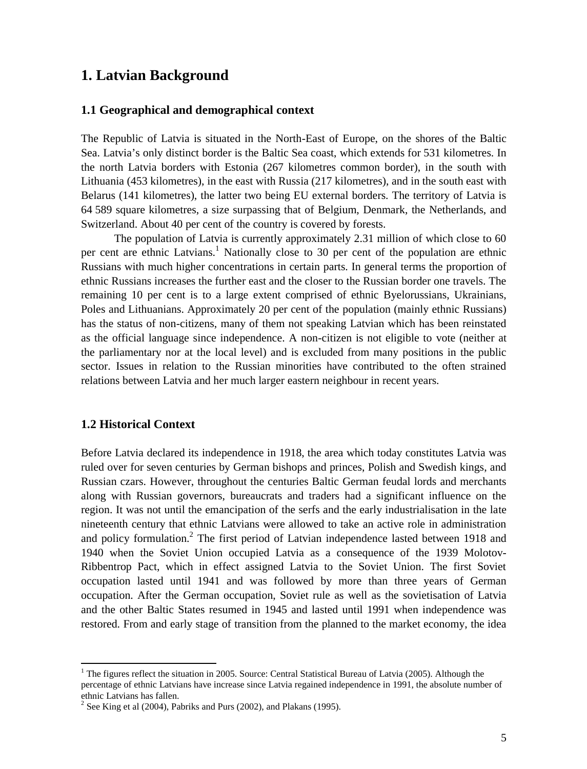# **1. Latvian Background**

### **1.1 Geographical and demographical context**

The Republic of Latvia is situated in the North-East of Europe, on the shores of the Baltic Sea. Latvia's only distinct border is the Baltic Sea coast, which extends for 531 kilometres. In the north Latvia borders with Estonia (267 kilometres common border), in the south with Lithuania (453 kilometres), in the east with Russia (217 kilometres), and in the south east with Belarus (141 kilometres), the latter two being EU external borders. The territory of Latvia is 64 589 square kilometres, a size surpassing that of Belgium, Denmark, the Netherlands, and Switzerland. About 40 per cent of the country is covered by forests.

The population of Latvia is currently approximately 2.31 million of which close to 60 per cent are ethnic Latvians.<sup>1</sup> Nationally close to 30 per cent of the population are ethnic Russians with much higher concentrations in certain parts. In general terms the proportion of ethnic Russians increases the further east and the closer to the Russian border one travels. The remaining 10 per cent is to a large extent comprised of ethnic Byelorussians, Ukrainians, Poles and Lithuanians. Approximately 20 per cent of the population (mainly ethnic Russians) has the status of non-citizens, many of them not speaking Latvian which has been reinstated as the official language since independence. A non-citizen is not eligible to vote (neither at the parliamentary nor at the local level) and is excluded from many positions in the public sector. Issues in relation to the Russian minorities have contributed to the often strained relations between Latvia and her much larger eastern neighbour in recent years.

### **1.2 Historical Context**

Before Latvia declared its independence in 1918, the area which today constitutes Latvia was ruled over for seven centuries by German bishops and princes, Polish and Swedish kings, and Russian czars. However, throughout the centuries Baltic German feudal lords and merchants along with Russian governors, bureaucrats and traders had a significant influence on the region. It was not until the emancipation of the serfs and the early industrialisation in the late nineteenth century that ethnic Latvians were allowed to take an active role in administration and policy formulation.<sup>2</sup> The first period of Latvian independence lasted between 1918 and 1940 when the Soviet Union occupied Latvia as a consequence of the 1939 Molotov-Ribbentrop Pact, which in effect assigned Latvia to the Soviet Union. The first Soviet occupation lasted until 1941 and was followed by more than three years of German occupation. After the German occupation, Soviet rule as well as the sovietisation of Latvia and the other Baltic States resumed in 1945 and lasted until 1991 when independence was restored. From and early stage of transition from the planned to the market economy, the idea

<sup>&</sup>lt;sup>1</sup> The figures reflect the situation in 2005. Source: Central Statistical Bureau of Latvia (2005). Although the percentage of ethnic Latvians have increase since Latvia regained independence in 1991, the absolute number of ethnic Latvians has fallen.

 $2^{2}$  See King et al (2004), Pabriks and Purs (2002), and Plakans (1995).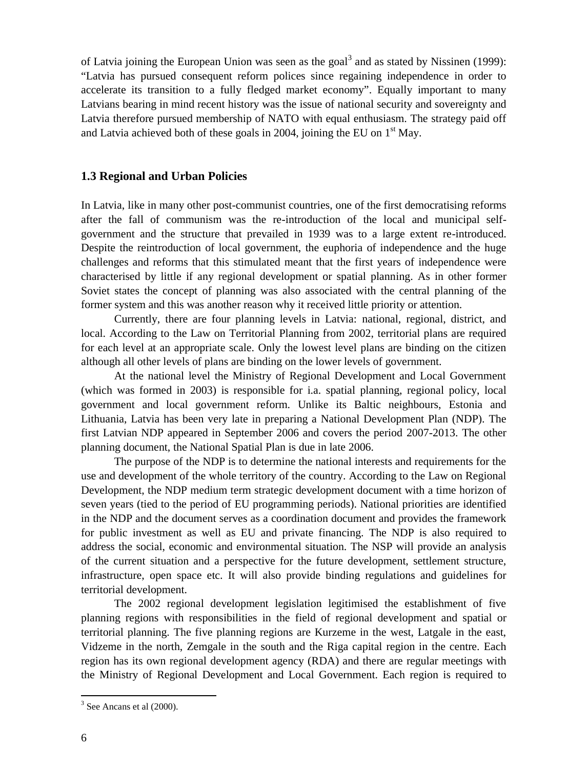of Latvia joining the European Union was seen as the goal<sup>3</sup> and as stated by Nissinen (1999): "Latvia has pursued consequent reform polices since regaining independence in order to accelerate its transition to a fully fledged market economy". Equally important to many Latvians bearing in mind recent history was the issue of national security and sovereignty and Latvia therefore pursued membership of NATO with equal enthusiasm. The strategy paid off and Latvia achieved both of these goals in 2004, joining the EU on  $1<sup>st</sup>$  May.

#### **1.3 Regional and Urban Policies**

In Latvia, like in many other post-communist countries, one of the first democratising reforms after the fall of communism was the re-introduction of the local and municipal selfgovernment and the structure that prevailed in 1939 was to a large extent re-introduced. Despite the reintroduction of local government, the euphoria of independence and the huge challenges and reforms that this stimulated meant that the first years of independence were characterised by little if any regional development or spatial planning. As in other former Soviet states the concept of planning was also associated with the central planning of the former system and this was another reason why it received little priority or attention.

Currently, there are four planning levels in Latvia: national, regional, district, and local. According to the Law on Territorial Planning from 2002, territorial plans are required for each level at an appropriate scale. Only the lowest level plans are binding on the citizen although all other levels of plans are binding on the lower levels of government.

At the national level the Ministry of Regional Development and Local Government (which was formed in 2003) is responsible for i.a. spatial planning, regional policy, local government and local government reform. Unlike its Baltic neighbours, Estonia and Lithuania, Latvia has been very late in preparing a National Development Plan (NDP). The first Latvian NDP appeared in September 2006 and covers the period 2007-2013. The other planning document, the National Spatial Plan is due in late 2006.

The purpose of the NDP is to determine the national interests and requirements for the use and development of the whole territory of the country. According to the Law on Regional Development, the NDP medium term strategic development document with a time horizon of seven years (tied to the period of EU programming periods). National priorities are identified in the NDP and the document serves as a coordination document and provides the framework for public investment as well as EU and private financing. The NDP is also required to address the social, economic and environmental situation. The NSP will provide an analysis of the current situation and a perspective for the future development, settlement structure, infrastructure, open space etc. It will also provide binding regulations and guidelines for territorial development.

The 2002 regional development legislation legitimised the establishment of five planning regions with responsibilities in the field of regional development and spatial or territorial planning. The five planning regions are Kurzeme in the west, Latgale in the east, Vidzeme in the north, Zemgale in the south and the Riga capital region in the centre. Each region has its own regional development agency (RDA) and there are regular meetings with the Ministry of Regional Development and Local Government. Each region is required to

 $3$  See Ancans et al (2000).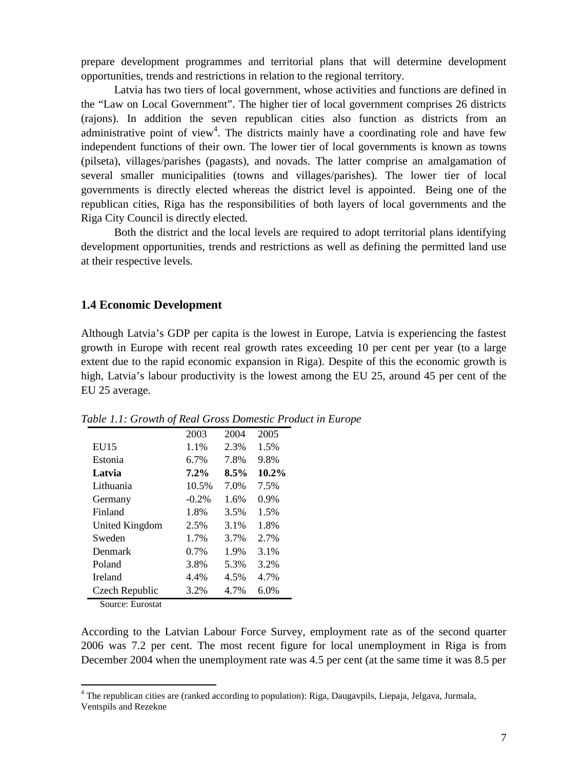prepare development programmes and territorial plans that will determine development opportunities, trends and restrictions in relation to the regional territory.

Latvia has two tiers of local government, whose activities and functions are defined in the "Law on Local Government". The higher tier of local government comprises 26 districts (rajons). In addition the seven republican cities also function as districts from an administrative point of view<sup>4</sup>. The districts mainly have a coordinating role and have few independent functions of their own. The lower tier of local governments is known as towns (pilseta), villages/parishes (pagasts), and novads. The latter comprise an amalgamation of several smaller municipalities (towns and villages/parishes). The lower tier of local governments is directly elected whereas the district level is appointed. Being one of the republican cities, Riga has the responsibilities of both layers of local governments and the Riga City Council is directly elected.

Both the district and the local levels are required to adopt territorial plans identifying development opportunities, trends and restrictions as well as defining the permitted land use at their respective levels.

#### **1.4 Economic Development**

Although Latvia's GDP per capita is the lowest in Europe, Latvia is experiencing the fastest growth in Europe with recent real growth rates exceeding 10 per cent per year (to a large extent due to the rapid economic expansion in Riga). Despite of this the economic growth is high, Latvia's labour productivity is the lowest among the EU 25, around 45 per cent of the EU 25 average.

| 2003     | 2004 | 2005     |
|----------|------|----------|
| 1.1%     | 2.3% | 1.5%     |
| 6.7%     | 7.8% | 9.8%     |
| 7.2%     | 8.5% | $10.2\%$ |
| 10.5%    | 7.0% | 7.5%     |
| $-0.2\%$ | 1.6% | 0.9%     |
| 1.8%     | 3.5% | 1.5%     |
| 2.5%     | 3.1% | 1.8%     |
| 1.7%     | 3.7% | 2.7%     |
| $0.7\%$  | 1.9% | 3.1%     |
| 3.8%     | 5.3% | 3.2%     |
| 4.4%     | 4.5% | 4.7%     |
| 3.2%     | 4.7% | 6.0%     |
|          |      |          |

*Table 1.1: Growth of Real Gross Domestic Product in Europe*

Source: Eurostat

According to the Latvian Labour Force Survey, employment rate as of the second quarter 2006 was 7.2 per cent. The most recent figure for local unemployment in Riga is from December 2004 when the unemployment rate was 4.5 per cent (at the same time it was 8.5 per

<sup>&</sup>lt;sup>4</sup> The republican cities are (ranked according to population): Riga, Daugavpils, Liepaja, Jelgava, Jurmala, Ventspils and Rezekne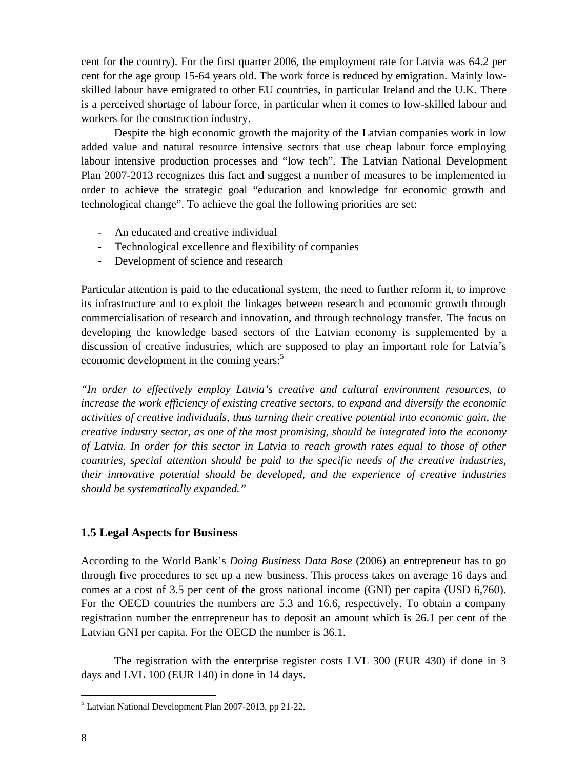cent for the country). For the first quarter 2006, the employment rate for Latvia was 64.2 per cent for the age group 15-64 years old. The work force is reduced by emigration. Mainly lowskilled labour have emigrated to other EU countries, in particular Ireland and the U.K. There is a perceived shortage of labour force, in particular when it comes to low-skilled labour and workers for the construction industry.

Despite the high economic growth the majority of the Latvian companies work in low added value and natural resource intensive sectors that use cheap labour force employing labour intensive production processes and "low tech". The Latvian National Development Plan 2007-2013 recognizes this fact and suggest a number of measures to be implemented in order to achieve the strategic goal "education and knowledge for economic growth and technological change". To achieve the goal the following priorities are set:

- An educated and creative individual
- Technological excellence and flexibility of companies
- Development of science and research

Particular attention is paid to the educational system, the need to further reform it, to improve its infrastructure and to exploit the linkages between research and economic growth through commercialisation of research and innovation, and through technology transfer. The focus on developing the knowledge based sectors of the Latvian economy is supplemented by a discussion of creative industries, which are supposed to play an important role for Latvia's economic development in the coming years:<sup>5</sup>

*"In order to effectively employ Latvia's creative and cultural environment resources, to increase the work efficiency of existing creative sectors, to expand and diversify the economic activities of creative individuals, thus turning their creative potential into economic gain, the creative industry sector, as one of the most promising, should be integrated into the economy of Latvia. In order for this sector in Latvia to reach growth rates equal to those of other countries, special attention should be paid to the specific needs of the creative industries, their innovative potential should be developed, and the experience of creative industries should be systematically expanded."*

## **1.5 Legal Aspects for Business**

According to the World Bank's *Doing Business Data Base* (2006) an entrepreneur has to go through five procedures to set up a new business. This process takes on average 16 days and comes at a cost of 3.5 per cent of the gross national income (GNI) per capita (USD 6,760). For the OECD countries the numbers are 5.3 and 16.6, respectively. To obtain a company registration number the entrepreneur has to deposit an amount which is 26.1 per cent of the Latvian GNI per capita. For the OECD the number is 36.1.

The registration with the enterprise register costs LVL 300 (EUR 430) if done in 3 days and LVL 100 (EUR 140) in done in 14 days.

<sup>&</sup>lt;sup>5</sup> Latvian National Development Plan 2007-2013, pp 21-22.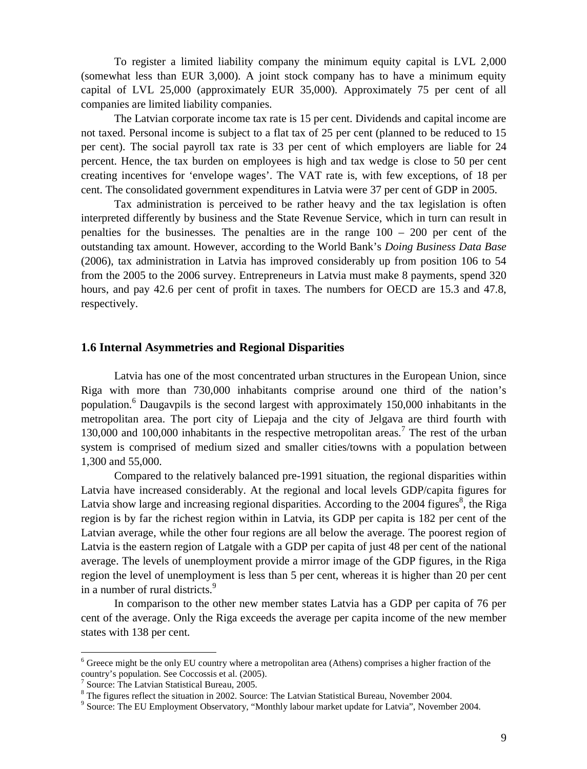To register a limited liability company the minimum equity capital is LVL 2,000 (somewhat less than EUR 3,000). A joint stock company has to have a minimum equity capital of LVL 25,000 (approximately EUR 35,000). Approximately 75 per cent of all companies are limited liability companies.

The Latvian corporate income tax rate is 15 per cent. Dividends and capital income are not taxed. Personal income is subject to a flat tax of 25 per cent (planned to be reduced to 15 per cent). The social payroll tax rate is 33 per cent of which employers are liable for 24 percent. Hence, the tax burden on employees is high and tax wedge is close to 50 per cent creating incentives for 'envelope wages'. The VAT rate is, with few exceptions, of 18 per cent. The consolidated government expenditures in Latvia were 37 per cent of GDP in 2005.

Tax administration is perceived to be rather heavy and the tax legislation is often interpreted differently by business and the State Revenue Service, which in turn can result in penalties for the businesses. The penalties are in the range  $100 - 200$  per cent of the outstanding tax amount. However, according to the World Bank's *Doing Business Data Base* (2006), tax administration in Latvia has improved considerably up from position 106 to 54 from the 2005 to the 2006 survey. Entrepreneurs in Latvia must make 8 payments, spend 320 hours, and pay 42.6 per cent of profit in taxes. The numbers for OECD are 15.3 and 47.8, respectively.

#### **1.6 Internal Asymmetries and Regional Disparities**

Latvia has one of the most concentrated urban structures in the European Union, since Riga with more than 730,000 inhabitants comprise around one third of the nation's population.<sup>6</sup> Daugavpils is the second largest with approximately 150,000 inhabitants in the metropolitan area. The port city of Liepaja and the city of Jelgava are third fourth with 130,000 and 100,000 inhabitants in the respective metropolitan areas.<sup>7</sup> The rest of the urban system is comprised of medium sized and smaller cities/towns with a population between 1,300 and 55,000.

Compared to the relatively balanced pre-1991 situation, the regional disparities within Latvia have increased considerably. At the regional and local levels GDP/capita figures for Latvia show large and increasing regional disparities. According to the 2004 figures<sup>8</sup>, the Riga region is by far the richest region within in Latvia, its GDP per capita is 182 per cent of the Latvian average, while the other four regions are all below the average. The poorest region of Latvia is the eastern region of Latgale with a GDP per capita of just 48 per cent of the national average. The levels of unemployment provide a mirror image of the GDP figures, in the Riga region the level of unemployment is less than 5 per cent, whereas it is higher than 20 per cent in a number of rural districts.<sup>9</sup>

In comparison to the other new member states Latvia has a GDP per capita of 76 per cent of the average. Only the Riga exceeds the average per capita income of the new member states with 138 per cent.

<sup>&</sup>lt;sup>6</sup> Greece might be the only EU country where a metropolitan area (Athens) comprises a higher fraction of the country's population. See Coccossis et al. (2005).

<sup>7</sup> Source: The Latvian Statistical Bureau, 2005.

<sup>&</sup>lt;sup>8</sup> The figures reflect the situation in 2002. Source: The Latvian Statistical Bureau, November 2004.

<sup>&</sup>lt;sup>9</sup> Source: The EU Employment Observatory, "Monthly labour market update for Latvia", November 2004.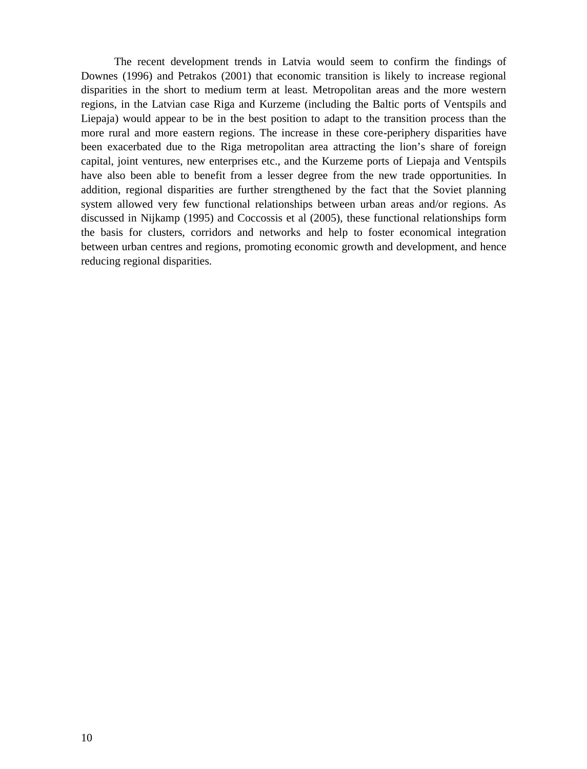The recent development trends in Latvia would seem to confirm the findings of Downes (1996) and Petrakos (2001) that economic transition is likely to increase regional disparities in the short to medium term at least. Metropolitan areas and the more western regions, in the Latvian case Riga and Kurzeme (including the Baltic ports of Ventspils and Liepaja) would appear to be in the best position to adapt to the transition process than the more rural and more eastern regions. The increase in these core-periphery disparities have been exacerbated due to the Riga metropolitan area attracting the lion's share of foreign capital, joint ventures, new enterprises etc., and the Kurzeme ports of Liepaja and Ventspils have also been able to benefit from a lesser degree from the new trade opportunities. In addition, regional disparities are further strengthened by the fact that the Soviet planning system allowed very few functional relationships between urban areas and/or regions. As discussed in Nijkamp (1995) and Coccossis et al (2005), these functional relationships form the basis for clusters, corridors and networks and help to foster economical integration between urban centres and regions, promoting economic growth and development, and hence reducing regional disparities.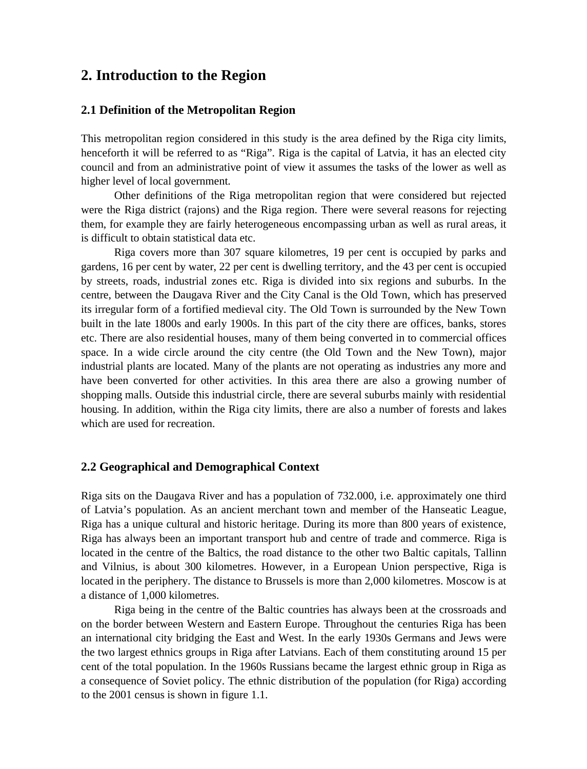# **2. Introduction to the Region**

### **2.1 Definition of the Metropolitan Region**

This metropolitan region considered in this study is the area defined by the Riga city limits, henceforth it will be referred to as "Riga". Riga is the capital of Latvia, it has an elected city council and from an administrative point of view it assumes the tasks of the lower as well as higher level of local government.

Other definitions of the Riga metropolitan region that were considered but rejected were the Riga district (rajons) and the Riga region. There were several reasons for rejecting them, for example they are fairly heterogeneous encompassing urban as well as rural areas, it is difficult to obtain statistical data etc.

Riga covers more than 307 square kilometres, 19 per cent is occupied by parks and gardens, 16 per cent by water, 22 per cent is dwelling territory, and the 43 per cent is occupied by streets, roads, industrial zones etc. Riga is divided into six regions and suburbs. In the centre, between the Daugava River and the City Canal is the Old Town, which has preserved its irregular form of a fortified medieval city. The Old Town is surrounded by the New Town built in the late 1800s and early 1900s. In this part of the city there are offices, banks, stores etc. There are also residential houses, many of them being converted in to commercial offices space. In a wide circle around the city centre (the Old Town and the New Town), major industrial plants are located. Many of the plants are not operating as industries any more and have been converted for other activities. In this area there are also a growing number of shopping malls. Outside this industrial circle, there are several suburbs mainly with residential housing. In addition, within the Riga city limits, there are also a number of forests and lakes which are used for recreation.

#### **2.2 Geographical and Demographical Context**

Riga sits on the Daugava River and has a population of 732.000, i.e. approximately one third of Latvia's population. As an ancient merchant town and member of the Hanseatic League, Riga has a unique cultural and historic heritage. During its more than 800 years of existence, Riga has always been an important transport hub and centre of trade and commerce. Riga is located in the centre of the Baltics, the road distance to the other two Baltic capitals, Tallinn and Vilnius, is about 300 kilometres. However, in a European Union perspective, Riga is located in the periphery. The distance to Brussels is more than 2,000 kilometres. Moscow is at a distance of 1,000 kilometres.

Riga being in the centre of the Baltic countries has always been at the crossroads and on the border between Western and Eastern Europe. Throughout the centuries Riga has been an international city bridging the East and West. In the early 1930s Germans and Jews were the two largest ethnics groups in Riga after Latvians. Each of them constituting around 15 per cent of the total population. In the 1960s Russians became the largest ethnic group in Riga as a consequence of Soviet policy. The ethnic distribution of the population (for Riga) according to the 2001 census is shown in figure 1.1.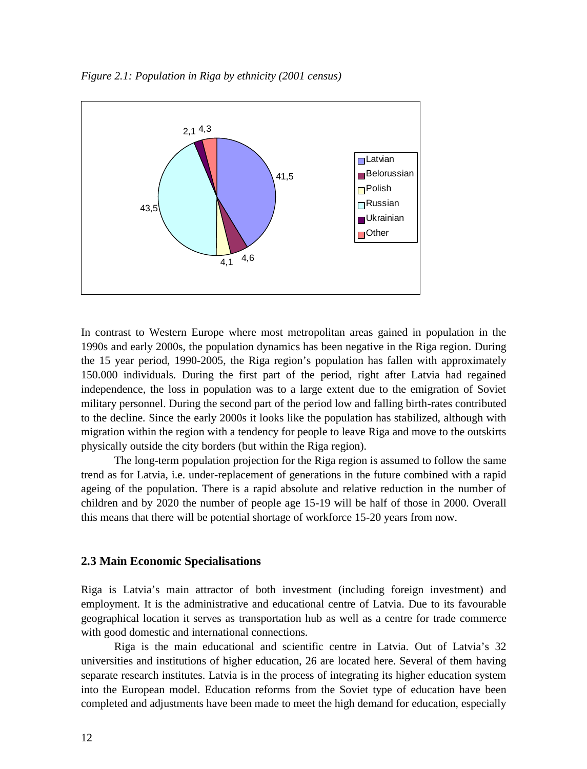*Figure 2.1: Population in Riga by ethnicity (2001 census)*



In contrast to Western Europe where most metropolitan areas gained in population in the 1990s and early 2000s, the population dynamics has been negative in the Riga region. During the 15 year period, 1990-2005, the Riga region's population has fallen with approximately 150.000 individuals. During the first part of the period, right after Latvia had regained independence, the loss in population was to a large extent due to the emigration of Soviet military personnel. During the second part of the period low and falling birth-rates contributed to the decline. Since the early 2000s it looks like the population has stabilized, although with migration within the region with a tendency for people to leave Riga and move to the outskirts physically outside the city borders (but within the Riga region).

The long-term population projection for the Riga region is assumed to follow the same trend as for Latvia, i.e. under-replacement of generations in the future combined with a rapid ageing of the population. There is a rapid absolute and relative reduction in the number of children and by 2020 the number of people age 15-19 will be half of those in 2000. Overall this means that there will be potential shortage of workforce 15-20 years from now.

#### **2.3 Main Economic Specialisations**

Riga is Latvia's main attractor of both investment (including foreign investment) and employment. It is the administrative and educational centre of Latvia. Due to its favourable geographical location it serves as transportation hub as well as a centre for trade commerce with good domestic and international connections.

Riga is the main educational and scientific centre in Latvia. Out of Latvia's 32 universities and institutions of higher education, 26 are located here. Several of them having separate research institutes. Latvia is in the process of integrating its higher education system into the European model. Education reforms from the Soviet type of education have been completed and adjustments have been made to meet the high demand for education, especially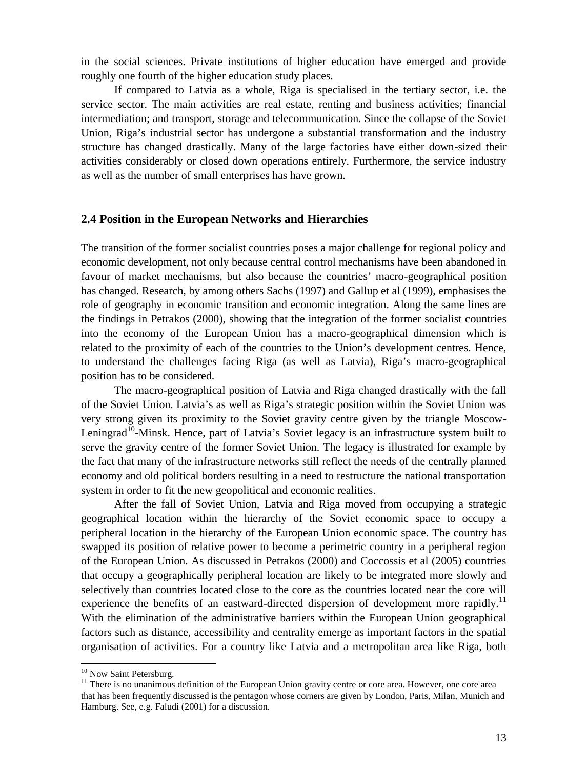in the social sciences. Private institutions of higher education have emerged and provide roughly one fourth of the higher education study places.

If compared to Latvia as a whole, Riga is specialised in the tertiary sector, i.e. the service sector. The main activities are real estate, renting and business activities; financial intermediation; and transport, storage and telecommunication. Since the collapse of the Soviet Union, Riga's industrial sector has undergone a substantial transformation and the industry structure has changed drastically. Many of the large factories have either down-sized their activities considerably or closed down operations entirely. Furthermore, the service industry as well as the number of small enterprises has have grown.

### **2.4 Position in the European Networks and Hierarchies**

The transition of the former socialist countries poses a major challenge for regional policy and economic development, not only because central control mechanisms have been abandoned in favour of market mechanisms, but also because the countries' macro-geographical position has changed. Research, by among others Sachs (1997) and Gallup et al (1999), emphasises the role of geography in economic transition and economic integration. Along the same lines are the findings in Petrakos (2000), showing that the integration of the former socialist countries into the economy of the European Union has a macro-geographical dimension which is related to the proximity of each of the countries to the Union's development centres. Hence, to understand the challenges facing Riga (as well as Latvia), Riga's macro-geographical position has to be considered.

The macro-geographical position of Latvia and Riga changed drastically with the fall of the Soviet Union. Latvia's as well as Riga's strategic position within the Soviet Union was very strong given its proximity to the Soviet gravity centre given by the triangle Moscow-Leningrad<sup>10</sup>-Minsk. Hence, part of Latvia's Soviet legacy is an infrastructure system built to serve the gravity centre of the former Soviet Union. The legacy is illustrated for example by the fact that many of the infrastructure networks still reflect the needs of the centrally planned economy and old political borders resulting in a need to restructure the national transportation system in order to fit the new geopolitical and economic realities.

After the fall of Soviet Union, Latvia and Riga moved from occupying a strategic geographical location within the hierarchy of the Soviet economic space to occupy a peripheral location in the hierarchy of the European Union economic space. The country has swapped its position of relative power to become a perimetric country in a peripheral region of the European Union. As discussed in Petrakos (2000) and Coccossis et al (2005) countries that occupy a geographically peripheral location are likely to be integrated more slowly and selectively than countries located close to the core as the countries located near the core will experience the benefits of an eastward-directed dispersion of development more rapidly.<sup>11</sup> With the elimination of the administrative barriers within the European Union geographical factors such as distance, accessibility and centrality emerge as important factors in the spatial organisation of activities. For a country like Latvia and a metropolitan area like Riga, both

<sup>&</sup>lt;sup>10</sup> Now Saint Petersburg.

<sup>&</sup>lt;sup>11</sup> There is no unanimous definition of the European Union gravity centre or core area. However, one core area that has been frequently discussed is the pentagon whose corners are given by London, Paris, Milan, Munich and Hamburg. See, e.g. Faludi (2001) for a discussion.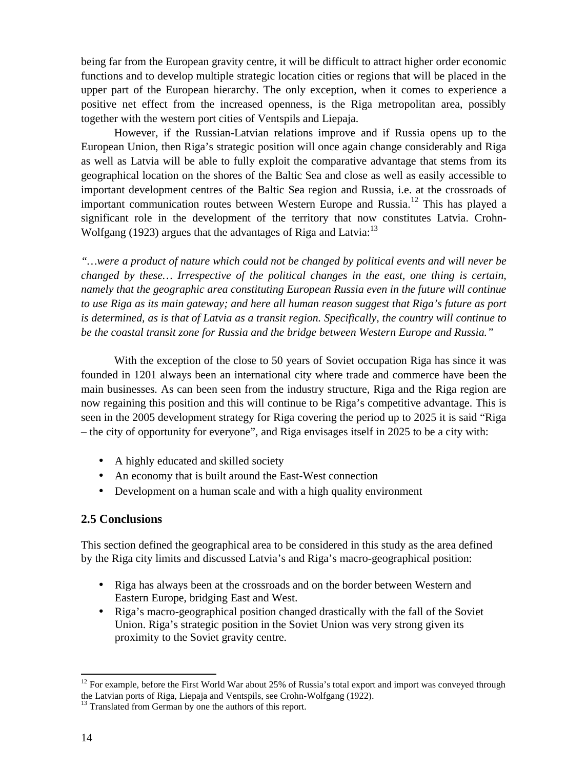being far from the European gravity centre, it will be difficult to attract higher order economic functions and to develop multiple strategic location cities or regions that will be placed in the upper part of the European hierarchy. The only exception, when it comes to experience a positive net effect from the increased openness, is the Riga metropolitan area, possibly together with the western port cities of Ventspils and Liepaja.

However, if the Russian-Latvian relations improve and if Russia opens up to the European Union, then Riga's strategic position will once again change considerably and Riga as well as Latvia will be able to fully exploit the comparative advantage that stems from its geographical location on the shores of the Baltic Sea and close as well as easily accessible to important development centres of the Baltic Sea region and Russia, i.e. at the crossroads of important communication routes between Western Europe and Russia.<sup>12</sup> This has played a significant role in the development of the territory that now constitutes Latvia. Crohn-Wolfgang (1923) argues that the advantages of Riga and Latvia:<sup>13</sup>

*"…were a product of nature which could not be changed by political events and will never be changed by these… Irrespective of the political changes in the east, one thing is certain, namely that the geographic area constituting European Russia even in the future will continue to use Riga as its main gateway; and here all human reason suggest that Riga's future as port is determined, as is that of Latvia as a transit region. Specifically, the country will continue to be the coastal transit zone for Russia and the bridge between Western Europe and Russia."*

With the exception of the close to 50 years of Soviet occupation Riga has since it was founded in 1201 always been an international city where trade and commerce have been the main businesses. As can been seen from the industry structure, Riga and the Riga region are now regaining this position and this will continue to be Riga's competitive advantage. This is seen in the 2005 development strategy for Riga covering the period up to 2025 it is said "Riga – the city of opportunity for everyone", and Riga envisages itself in 2025 to be a city with:

- A highly educated and skilled society
- An economy that is built around the East-West connection
- Development on a human scale and with a high quality environment

## **2.5 Conclusions**

This section defined the geographical area to be considered in this study as the area defined by the Riga city limits and discussed Latvia's and Riga's macro-geographical position:

- Riga has always been at the crossroads and on the border between Western and Eastern Europe, bridging East and West.
- Riga's macro-geographical position changed drastically with the fall of the Soviet Union. Riga's strategic position in the Soviet Union was very strong given its proximity to the Soviet gravity centre.

<sup>&</sup>lt;sup>12</sup> For example, before the First World War about 25% of Russia's total export and import was conveyed through the Latvian ports of Riga, Liepaja and Ventspils, see Crohn-Wolfgang (1922).

<sup>&</sup>lt;sup>13</sup> Translated from German by one the authors of this report.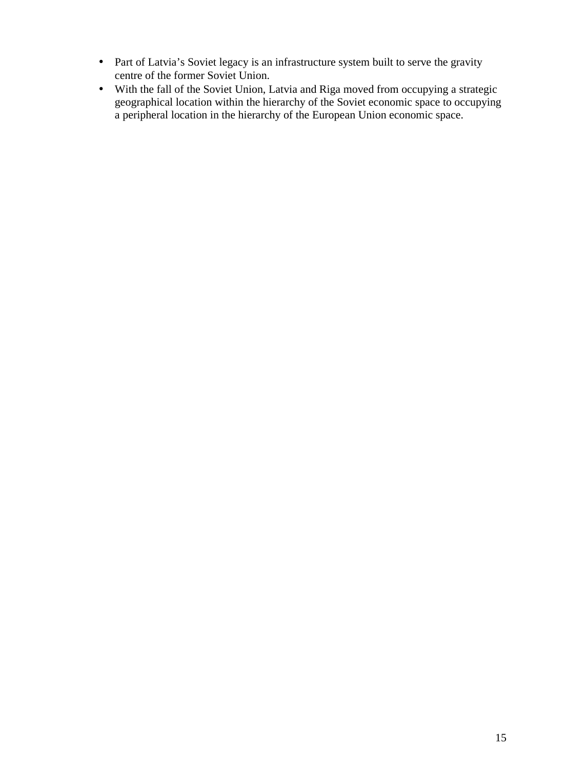- Part of Latvia's Soviet legacy is an infrastructure system built to serve the gravity centre of the former Soviet Union.
- With the fall of the Soviet Union, Latvia and Riga moved from occupying a strategic geographical location within the hierarchy of the Soviet economic space to occupying a peripheral location in the hierarchy of the European Union economic space.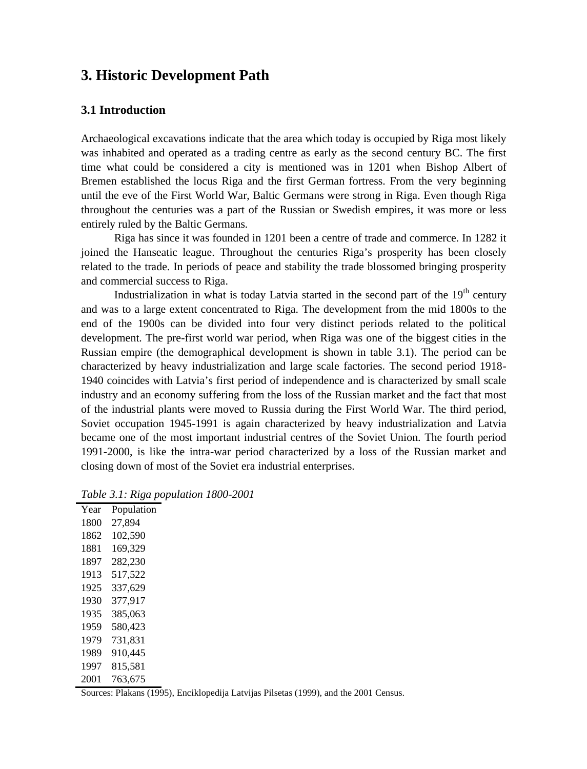# **3. Historic Development Path**

### **3.1 Introduction**

Archaeological excavations indicate that the area which today is occupied by Riga most likely was inhabited and operated as a trading centre as early as the second century BC. The first time what could be considered a city is mentioned was in 1201 when Bishop Albert of Bremen established the locus Riga and the first German fortress. From the very beginning until the eve of the First World War, Baltic Germans were strong in Riga. Even though Riga throughout the centuries was a part of the Russian or Swedish empires, it was more or less entirely ruled by the Baltic Germans.

Riga has since it was founded in 1201 been a centre of trade and commerce. In 1282 it joined the Hanseatic league. Throughout the centuries Riga's prosperity has been closely related to the trade. In periods of peace and stability the trade blossomed bringing prosperity and commercial success to Riga.

Industrialization in what is today Latvia started in the second part of the  $19<sup>th</sup>$  century and was to a large extent concentrated to Riga. The development from the mid 1800s to the end of the 1900s can be divided into four very distinct periods related to the political development. The pre-first world war period, when Riga was one of the biggest cities in the Russian empire (the demographical development is shown in table 3.1). The period can be characterized by heavy industrialization and large scale factories. The second period 1918- 1940 coincides with Latvia's first period of independence and is characterized by small scale industry and an economy suffering from the loss of the Russian market and the fact that most of the industrial plants were moved to Russia during the First World War. The third period, Soviet occupation 1945-1991 is again characterized by heavy industrialization and Latvia became one of the most important industrial centres of the Soviet Union. The fourth period 1991-2000, is like the intra-war period characterized by a loss of the Russian market and closing down of most of the Soviet era industrial enterprises.

| Year | Population |
|------|------------|
| 1800 | 27.894     |
| 1862 | 102,590    |
| 1881 | 169,329    |
| 1897 | 282,230    |
| 1913 | 517,522    |
| 1925 | 337,629    |
| 1930 | 377,917    |
| 1935 | 385,063    |
| 1959 | 580,423    |
| 1979 | 731,831    |
| 1989 | 910,445    |
| 1997 | 815.581    |
| 2001 | 763,675    |

*Table 3.1: Riga population 1800-2001*

Sources: Plakans (1995), Enciklopedija Latvijas Pilsetas (1999), and the 2001 Census.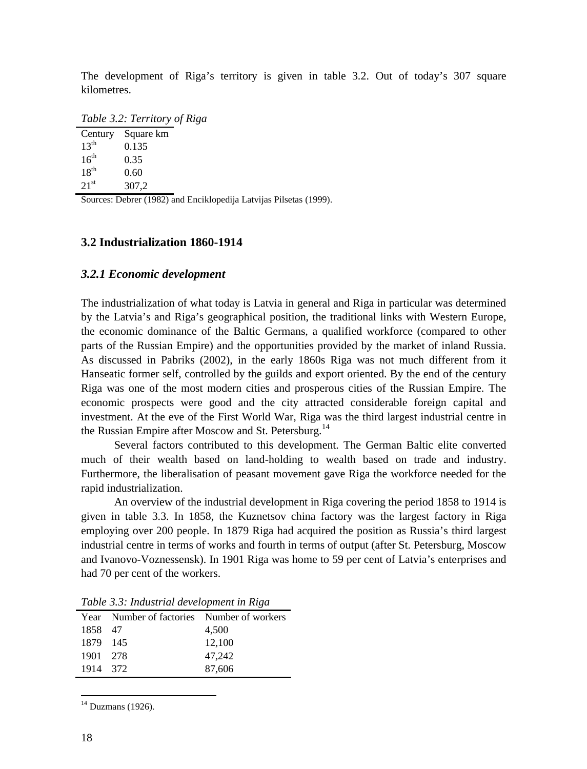The development of Riga's territory is given in table 3.2. Out of today's 307 square kilometres.

*Table 3.2: Territory of Riga*

| Century          | Square km |
|------------------|-----------|
| 13 <sup>th</sup> | 0.135     |
| 16 <sup>th</sup> | 0.35      |
| 18 <sup>th</sup> | 0.60      |
| 21 <sup>st</sup> | 307,2     |

Sources: Debrer (1982) and Enciklopedija Latvijas Pilsetas (1999).

## **3.2 Industrialization 1860-1914**

## *3.2.1 Economic development*

The industrialization of what today is Latvia in general and Riga in particular was determined by the Latvia's and Riga's geographical position, the traditional links with Western Europe, the economic dominance of the Baltic Germans, a qualified workforce (compared to other parts of the Russian Empire) and the opportunities provided by the market of inland Russia. As discussed in Pabriks (2002), in the early 1860s Riga was not much different from it Hanseatic former self, controlled by the guilds and export oriented. By the end of the century Riga was one of the most modern cities and prosperous cities of the Russian Empire. The economic prospects were good and the city attracted considerable foreign capital and investment. At the eve of the First World War, Riga was the third largest industrial centre in the Russian Empire after Moscow and St. Petersburg.<sup>14</sup>

Several factors contributed to this development. The German Baltic elite converted much of their wealth based on land-holding to wealth based on trade and industry. Furthermore, the liberalisation of peasant movement gave Riga the workforce needed for the rapid industrialization.

An overview of the industrial development in Riga covering the period 1858 to 1914 is given in table 3.3. In 1858, the Kuznetsov china factory was the largest factory in Riga employing over 200 people. In 1879 Riga had acquired the position as Russia's third largest industrial centre in terms of works and fourth in terms of output (after St. Petersburg, Moscow and Ivanovo-Voznessensk). In 1901 Riga was home to 59 per cent of Latvia's enterprises and had 70 per cent of the workers.

|          | Year Number of factories Number of workers |        |
|----------|--------------------------------------------|--------|
| 1858 47  |                                            | 4,500  |
| 1879 145 |                                            | 12,100 |
| 1901 278 |                                            | 47.242 |
| 1914 372 |                                            | 87,606 |

*Table 3.3: Industrial development in Riga*

 $14$  Duzmans (1926).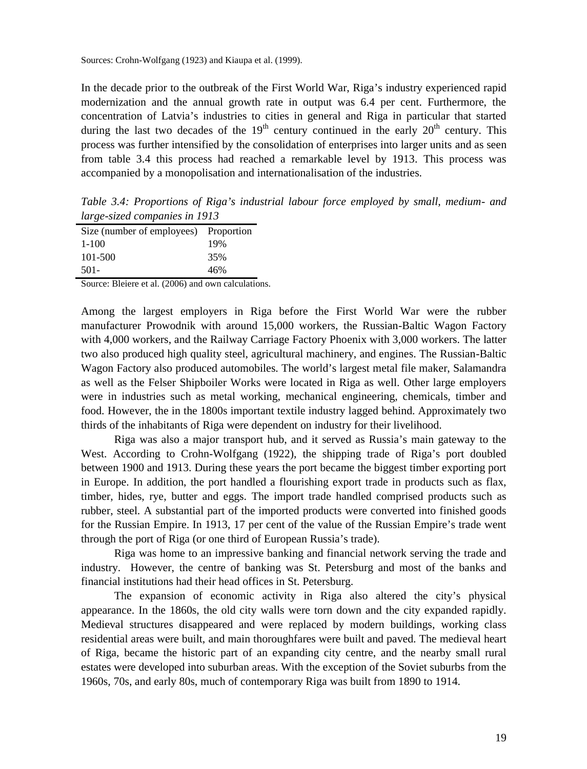Sources: Crohn-Wolfgang (1923) and Kiaupa et al. (1999).

In the decade prior to the outbreak of the First World War, Riga's industry experienced rapid modernization and the annual growth rate in output was 6.4 per cent. Furthermore, the concentration of Latvia's industries to cities in general and Riga in particular that started during the last two decades of the  $19<sup>th</sup>$  century continued in the early  $20<sup>th</sup>$  century. This process was further intensified by the consolidation of enterprises into larger units and as seen from table 3.4 this process had reached a remarkable level by 1913. This process was accompanied by a monopolisation and internationalisation of the industries.

*Table 3.4: Proportions of Riga's industrial labour force employed by small, medium- and large-sized companies in 1913*

| Size (number of employees) | Proportion |
|----------------------------|------------|
| $1-100$                    | 19%        |
| 101-500                    | 35%        |
| $501 -$                    | 46%        |

Source: Bleiere et al. (2006) and own calculations.

Among the largest employers in Riga before the First World War were the rubber manufacturer Prowodnik with around 15,000 workers, the Russian-Baltic Wagon Factory with 4,000 workers, and the Railway Carriage Factory Phoenix with 3,000 workers. The latter two also produced high quality steel, agricultural machinery, and engines. The Russian-Baltic Wagon Factory also produced automobiles. The world's largest metal file maker, Salamandra as well as the Felser Shipboiler Works were located in Riga as well. Other large employers were in industries such as metal working, mechanical engineering, chemicals, timber and food. However, the in the 1800s important textile industry lagged behind. Approximately two thirds of the inhabitants of Riga were dependent on industry for their livelihood.

Riga was also a major transport hub, and it served as Russia's main gateway to the West. According to Crohn-Wolfgang (1922), the shipping trade of Riga's port doubled between 1900 and 1913. During these years the port became the biggest timber exporting port in Europe. In addition, the port handled a flourishing export trade in products such as flax, timber, hides, rye, butter and eggs. The import trade handled comprised products such as rubber, steel. A substantial part of the imported products were converted into finished goods for the Russian Empire. In 1913, 17 per cent of the value of the Russian Empire's trade went through the port of Riga (or one third of European Russia's trade).

Riga was home to an impressive banking and financial network serving the trade and industry. However, the centre of banking was St. Petersburg and most of the banks and financial institutions had their head offices in St. Petersburg.

The expansion of economic activity in Riga also altered the city's physical appearance. In the 1860s, the old city walls were torn down and the city expanded rapidly. Medieval structures disappeared and were replaced by modern buildings, working class residential areas were built, and main thoroughfares were built and paved. The medieval heart of Riga, became the historic part of an expanding city centre, and the nearby small rural estates were developed into suburban areas. With the exception of the Soviet suburbs from the 1960s, 70s, and early 80s, much of contemporary Riga was built from 1890 to 1914.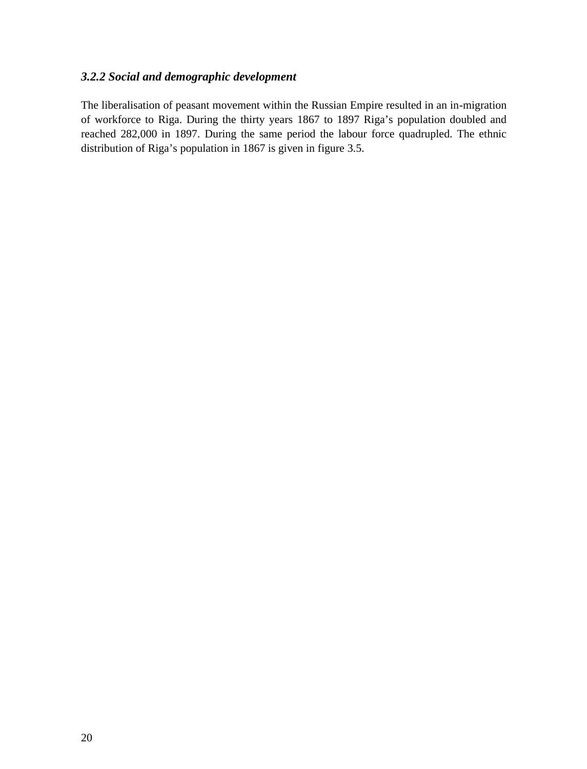## *3.2.2 Social and demographic development*

The liberalisation of peasant movement within the Russian Empire resulted in an in-migration of workforce to Riga. During the thirty years 1867 to 1897 Riga's population doubled and reached 282,000 in 1897. During the same period the labour force quadrupled. The ethnic distribution of Riga's population in 1867 is given in figure 3.5.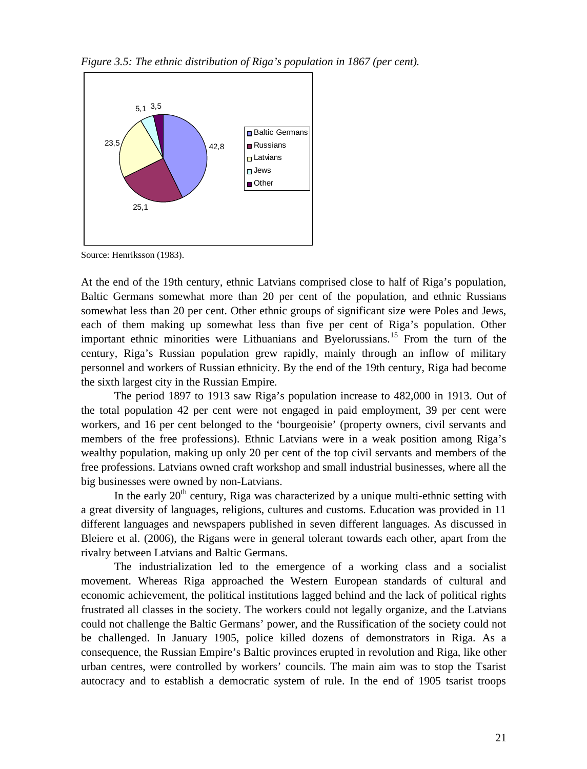*Figure 3.5: The ethnic distribution of Riga's population in 1867 (per cent).*



Source: Henriksson (1983).

At the end of the 19th century, ethnic Latvians comprised close to half of Riga's population, Baltic Germans somewhat more than 20 per cent of the population, and ethnic Russians somewhat less than 20 per cent. Other ethnic groups of significant size were Poles and Jews, each of them making up somewhat less than five per cent of Riga's population. Other important ethnic minorities were Lithuanians and Byelorussians.<sup>15</sup> From the turn of the century, Riga's Russian population grew rapidly, mainly through an inflow of military personnel and workers of Russian ethnicity. By the end of the 19th century, Riga had become the sixth largest city in the Russian Empire.

The period 1897 to 1913 saw Riga's population increase to 482,000 in 1913. Out of the total population 42 per cent were not engaged in paid employment, 39 per cent were workers, and 16 per cent belonged to the 'bourgeoisie' (property owners, civil servants and members of the free professions). Ethnic Latvians were in a weak position among Riga's wealthy population, making up only 20 per cent of the top civil servants and members of the free professions. Latvians owned craft workshop and small industrial businesses, where all the big businesses were owned by non-Latvians.

In the early  $20<sup>th</sup>$  century, Riga was characterized by a unique multi-ethnic setting with a great diversity of languages, religions, cultures and customs. Education was provided in 11 different languages and newspapers published in seven different languages. As discussed in Bleiere et al. (2006), the Rigans were in general tolerant towards each other, apart from the rivalry between Latvians and Baltic Germans.

The industrialization led to the emergence of a working class and a socialist movement. Whereas Riga approached the Western European standards of cultural and economic achievement, the political institutions lagged behind and the lack of political rights frustrated all classes in the society. The workers could not legally organize, and the Latvians could not challenge the Baltic Germans' power, and the Russification of the society could not be challenged. In January 1905, police killed dozens of demonstrators in Riga. As a consequence, the Russian Empire's Baltic provinces erupted in revolution and Riga, like other urban centres, were controlled by workers' councils. The main aim was to stop the Tsarist autocracy and to establish a democratic system of rule. In the end of 1905 tsarist troops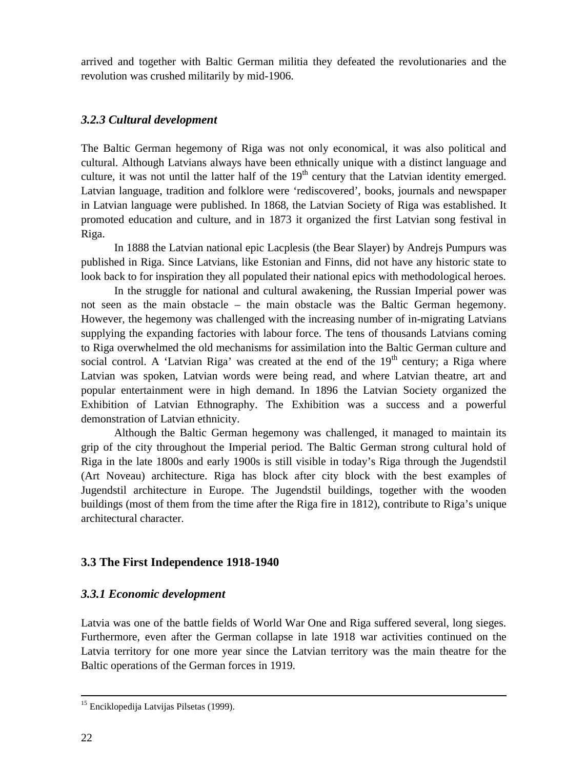arrived and together with Baltic German militia they defeated the revolutionaries and the revolution was crushed militarily by mid-1906.

## *3.2.3 Cultural development*

The Baltic German hegemony of Riga was not only economical, it was also political and cultural. Although Latvians always have been ethnically unique with a distinct language and culture, it was not until the latter half of the  $19<sup>th</sup>$  century that the Latvian identity emerged. Latvian language, tradition and folklore were 'rediscovered', books, journals and newspaper in Latvian language were published. In 1868, the Latvian Society of Riga was established. It promoted education and culture, and in 1873 it organized the first Latvian song festival in Riga.

In 1888 the Latvian national epic Lacplesis (the Bear Slayer) by Andrejs Pumpurs was published in Riga. Since Latvians, like Estonian and Finns, did not have any historic state to look back to for inspiration they all populated their national epics with methodological heroes.

In the struggle for national and cultural awakening, the Russian Imperial power was not seen as the main obstacle – the main obstacle was the Baltic German hegemony. However, the hegemony was challenged with the increasing number of in-migrating Latvians supplying the expanding factories with labour force. The tens of thousands Latvians coming to Riga overwhelmed the old mechanisms for assimilation into the Baltic German culture and social control. A 'Latvian Riga' was created at the end of the  $19<sup>th</sup>$  century; a Riga where Latvian was spoken, Latvian words were being read, and where Latvian theatre, art and popular entertainment were in high demand. In 1896 the Latvian Society organized the Exhibition of Latvian Ethnography. The Exhibition was a success and a powerful demonstration of Latvian ethnicity.

Although the Baltic German hegemony was challenged, it managed to maintain its grip of the city throughout the Imperial period. The Baltic German strong cultural hold of Riga in the late 1800s and early 1900s is still visible in today's Riga through the Jugendstil (Art Noveau) architecture. Riga has block after city block with the best examples of Jugendstil architecture in Europe. The Jugendstil buildings, together with the wooden buildings (most of them from the time after the Riga fire in 1812), contribute to Riga's unique architectural character.

# **3.3 The First Independence 1918-1940**

# *3.3.1 Economic development*

Latvia was one of the battle fields of World War One and Riga suffered several, long sieges. Furthermore, even after the German collapse in late 1918 war activities continued on the Latvia territory for one more year since the Latvian territory was the main theatre for the Baltic operations of the German forces in 1919.

<sup>&</sup>lt;sup>15</sup> Enciklopedija Latvijas Pilsetas (1999).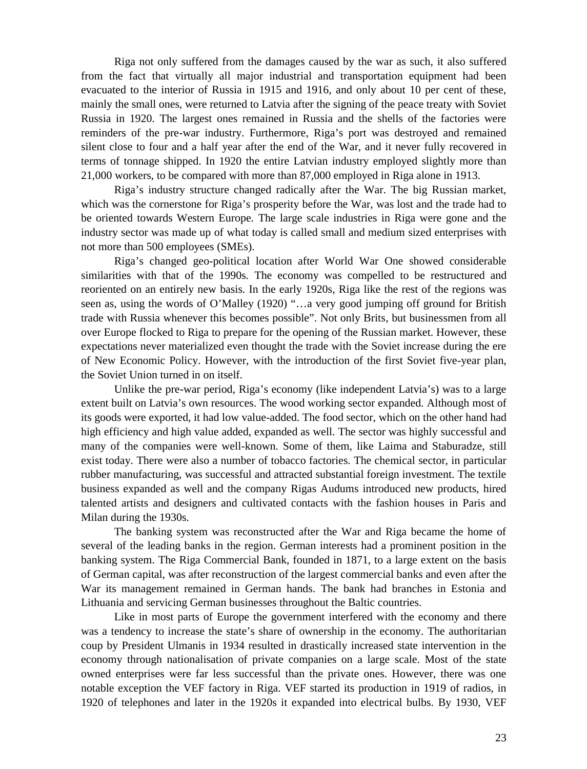Riga not only suffered from the damages caused by the war as such, it also suffered from the fact that virtually all major industrial and transportation equipment had been evacuated to the interior of Russia in 1915 and 1916, and only about 10 per cent of these, mainly the small ones, were returned to Latvia after the signing of the peace treaty with Soviet Russia in 1920. The largest ones remained in Russia and the shells of the factories were reminders of the pre-war industry. Furthermore, Riga's port was destroyed and remained silent close to four and a half year after the end of the War, and it never fully recovered in terms of tonnage shipped. In 1920 the entire Latvian industry employed slightly more than 21,000 workers, to be compared with more than 87,000 employed in Riga alone in 1913.

Riga's industry structure changed radically after the War. The big Russian market, which was the cornerstone for Riga's prosperity before the War, was lost and the trade had to be oriented towards Western Europe. The large scale industries in Riga were gone and the industry sector was made up of what today is called small and medium sized enterprises with not more than 500 employees (SMEs).

Riga's changed geo-political location after World War One showed considerable similarities with that of the 1990s. The economy was compelled to be restructured and reoriented on an entirely new basis. In the early 1920s, Riga like the rest of the regions was seen as, using the words of O'Malley (1920) "…a very good jumping off ground for British trade with Russia whenever this becomes possible". Not only Brits, but businessmen from all over Europe flocked to Riga to prepare for the opening of the Russian market. However, these expectations never materialized even thought the trade with the Soviet increase during the ere of New Economic Policy. However, with the introduction of the first Soviet five-year plan, the Soviet Union turned in on itself.

Unlike the pre-war period, Riga's economy (like independent Latvia's) was to a large extent built on Latvia's own resources. The wood working sector expanded. Although most of its goods were exported, it had low value-added. The food sector, which on the other hand had high efficiency and high value added, expanded as well. The sector was highly successful and many of the companies were well-known. Some of them, like Laima and Staburadze, still exist today. There were also a number of tobacco factories. The chemical sector, in particular rubber manufacturing, was successful and attracted substantial foreign investment. The textile business expanded as well and the company Rigas Audums introduced new products, hired talented artists and designers and cultivated contacts with the fashion houses in Paris and Milan during the 1930s.

The banking system was reconstructed after the War and Riga became the home of several of the leading banks in the region. German interests had a prominent position in the banking system. The Riga Commercial Bank, founded in 1871, to a large extent on the basis of German capital, was after reconstruction of the largest commercial banks and even after the War its management remained in German hands. The bank had branches in Estonia and Lithuania and servicing German businesses throughout the Baltic countries.

Like in most parts of Europe the government interfered with the economy and there was a tendency to increase the state's share of ownership in the economy. The authoritarian coup by President Ulmanis in 1934 resulted in drastically increased state intervention in the economy through nationalisation of private companies on a large scale. Most of the state owned enterprises were far less successful than the private ones. However, there was one notable exception the VEF factory in Riga. VEF started its production in 1919 of radios, in 1920 of telephones and later in the 1920s it expanded into electrical bulbs. By 1930, VEF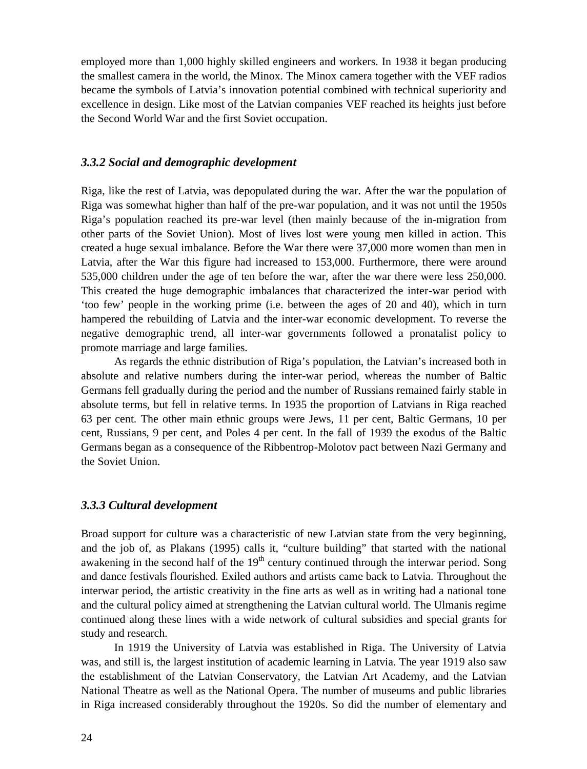employed more than 1,000 highly skilled engineers and workers. In 1938 it began producing the smallest camera in the world, the Minox. The Minox camera together with the VEF radios became the symbols of Latvia's innovation potential combined with technical superiority and excellence in design. Like most of the Latvian companies VEF reached its heights just before the Second World War and the first Soviet occupation.

### *3.3.2 Social and demographic development*

Riga, like the rest of Latvia, was depopulated during the war. After the war the population of Riga was somewhat higher than half of the pre-war population, and it was not until the 1950s Riga's population reached its pre-war level (then mainly because of the in-migration from other parts of the Soviet Union). Most of lives lost were young men killed in action. This created a huge sexual imbalance. Before the War there were 37,000 more women than men in Latvia, after the War this figure had increased to 153,000. Furthermore, there were around 535,000 children under the age of ten before the war, after the war there were less 250,000. This created the huge demographic imbalances that characterized the inter-war period with 'too few' people in the working prime (i.e. between the ages of 20 and 40), which in turn hampered the rebuilding of Latvia and the inter-war economic development. To reverse the negative demographic trend, all inter-war governments followed a pronatalist policy to promote marriage and large families.

As regards the ethnic distribution of Riga's population, the Latvian's increased both in absolute and relative numbers during the inter-war period, whereas the number of Baltic Germans fell gradually during the period and the number of Russians remained fairly stable in absolute terms, but fell in relative terms. In 1935 the proportion of Latvians in Riga reached 63 per cent. The other main ethnic groups were Jews, 11 per cent, Baltic Germans, 10 per cent, Russians, 9 per cent, and Poles 4 per cent. In the fall of 1939 the exodus of the Baltic Germans began as a consequence of the Ribbentrop-Molotov pact between Nazi Germany and the Soviet Union.

#### *3.3.3 Cultural development*

Broad support for culture was a characteristic of new Latvian state from the very beginning, and the job of, as Plakans (1995) calls it, "culture building" that started with the national awakening in the second half of the  $19<sup>th</sup>$  century continued through the interwar period. Song and dance festivals flourished. Exiled authors and artists came back to Latvia. Throughout the interwar period, the artistic creativity in the fine arts as well as in writing had a national tone and the cultural policy aimed at strengthening the Latvian cultural world. The Ulmanis regime continued along these lines with a wide network of cultural subsidies and special grants for study and research.

In 1919 the University of Latvia was established in Riga. The University of Latvia was, and still is, the largest institution of academic learning in Latvia. The year 1919 also saw the establishment of the Latvian Conservatory, the Latvian Art Academy, and the Latvian National Theatre as well as the National Opera. The number of museums and public libraries in Riga increased considerably throughout the 1920s. So did the number of elementary and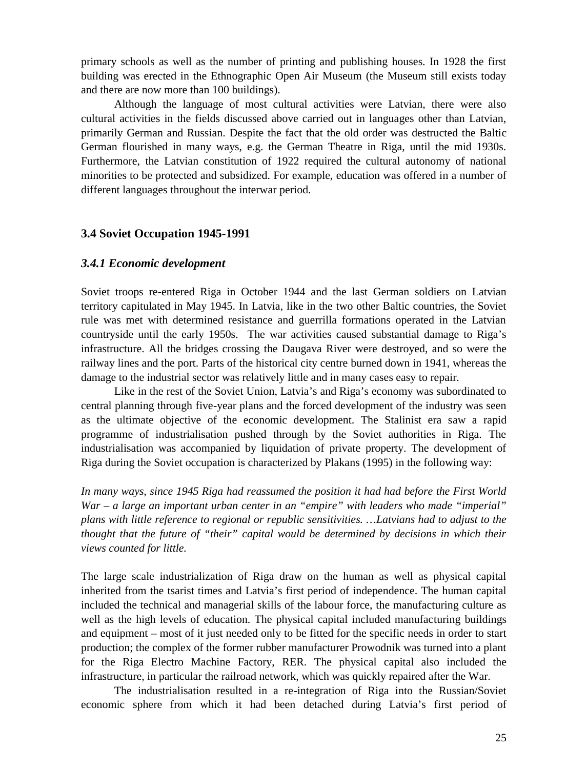primary schools as well as the number of printing and publishing houses. In 1928 the first building was erected in the Ethnographic Open Air Museum (the Museum still exists today and there are now more than 100 buildings).

Although the language of most cultural activities were Latvian, there were also cultural activities in the fields discussed above carried out in languages other than Latvian, primarily German and Russian. Despite the fact that the old order was destructed the Baltic German flourished in many ways, e.g. the German Theatre in Riga, until the mid 1930s. Furthermore, the Latvian constitution of 1922 required the cultural autonomy of national minorities to be protected and subsidized. For example, education was offered in a number of different languages throughout the interwar period.

### **3.4 Soviet Occupation 1945-1991**

#### *3.4.1 Economic development*

Soviet troops re-entered Riga in October 1944 and the last German soldiers on Latvian territory capitulated in May 1945. In Latvia, like in the two other Baltic countries, the Soviet rule was met with determined resistance and guerrilla formations operated in the Latvian countryside until the early 1950s. The war activities caused substantial damage to Riga's infrastructure. All the bridges crossing the Daugava River were destroyed, and so were the railway lines and the port. Parts of the historical city centre burned down in 1941, whereas the damage to the industrial sector was relatively little and in many cases easy to repair.

Like in the rest of the Soviet Union, Latvia's and Riga's economy was subordinated to central planning through five-year plans and the forced development of the industry was seen as the ultimate objective of the economic development. The Stalinist era saw a rapid programme of industrialisation pushed through by the Soviet authorities in Riga. The industrialisation was accompanied by liquidation of private property. The development of Riga during the Soviet occupation is characterized by Plakans (1995) in the following way:

*In many ways, since 1945 Riga had reassumed the position it had had before the First World War – a large an important urban center in an "empire" with leaders who made "imperial" plans with little reference to regional or republic sensitivities. …Latvians had to adjust to the thought that the future of "their" capital would be determined by decisions in which their views counted for little.*

The large scale industrialization of Riga draw on the human as well as physical capital inherited from the tsarist times and Latvia's first period of independence. The human capital included the technical and managerial skills of the labour force, the manufacturing culture as well as the high levels of education. The physical capital included manufacturing buildings and equipment – most of it just needed only to be fitted for the specific needs in order to start production; the complex of the former rubber manufacturer Prowodnik was turned into a plant for the Riga Electro Machine Factory, RER. The physical capital also included the infrastructure, in particular the railroad network, which was quickly repaired after the War.

The industrialisation resulted in a re-integration of Riga into the Russian/Soviet economic sphere from which it had been detached during Latvia's first period of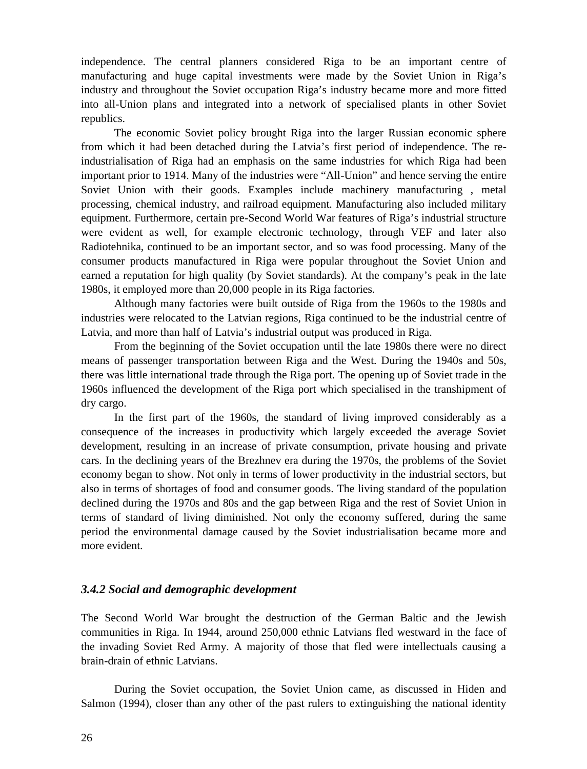independence. The central planners considered Riga to be an important centre of manufacturing and huge capital investments were made by the Soviet Union in Riga's industry and throughout the Soviet occupation Riga's industry became more and more fitted into all-Union plans and integrated into a network of specialised plants in other Soviet republics.

The economic Soviet policy brought Riga into the larger Russian economic sphere from which it had been detached during the Latvia's first period of independence. The reindustrialisation of Riga had an emphasis on the same industries for which Riga had been important prior to 1914. Many of the industries were "All-Union" and hence serving the entire Soviet Union with their goods. Examples include machinery manufacturing , metal processing, chemical industry, and railroad equipment. Manufacturing also included military equipment. Furthermore, certain pre-Second World War features of Riga's industrial structure were evident as well, for example electronic technology, through VEF and later also Radiotehnika, continued to be an important sector, and so was food processing. Many of the consumer products manufactured in Riga were popular throughout the Soviet Union and earned a reputation for high quality (by Soviet standards). At the company's peak in the late 1980s, it employed more than 20,000 people in its Riga factories.

Although many factories were built outside of Riga from the 1960s to the 1980s and industries were relocated to the Latvian regions, Riga continued to be the industrial centre of Latvia, and more than half of Latvia's industrial output was produced in Riga.

From the beginning of the Soviet occupation until the late 1980s there were no direct means of passenger transportation between Riga and the West. During the 1940s and 50s, there was little international trade through the Riga port. The opening up of Soviet trade in the 1960s influenced the development of the Riga port which specialised in the transhipment of dry cargo.

In the first part of the 1960s, the standard of living improved considerably as a consequence of the increases in productivity which largely exceeded the average Soviet development, resulting in an increase of private consumption, private housing and private cars. In the declining years of the Brezhnev era during the 1970s, the problems of the Soviet economy began to show. Not only in terms of lower productivity in the industrial sectors, but also in terms of shortages of food and consumer goods. The living standard of the population declined during the 1970s and 80s and the gap between Riga and the rest of Soviet Union in terms of standard of living diminished. Not only the economy suffered, during the same period the environmental damage caused by the Soviet industrialisation became more and more evident.

## *3.4.2 Social and demographic development*

The Second World War brought the destruction of the German Baltic and the Jewish communities in Riga. In 1944, around 250,000 ethnic Latvians fled westward in the face of the invading Soviet Red Army. A majority of those that fled were intellectuals causing a brain-drain of ethnic Latvians.

During the Soviet occupation, the Soviet Union came, as discussed in Hiden and Salmon (1994), closer than any other of the past rulers to extinguishing the national identity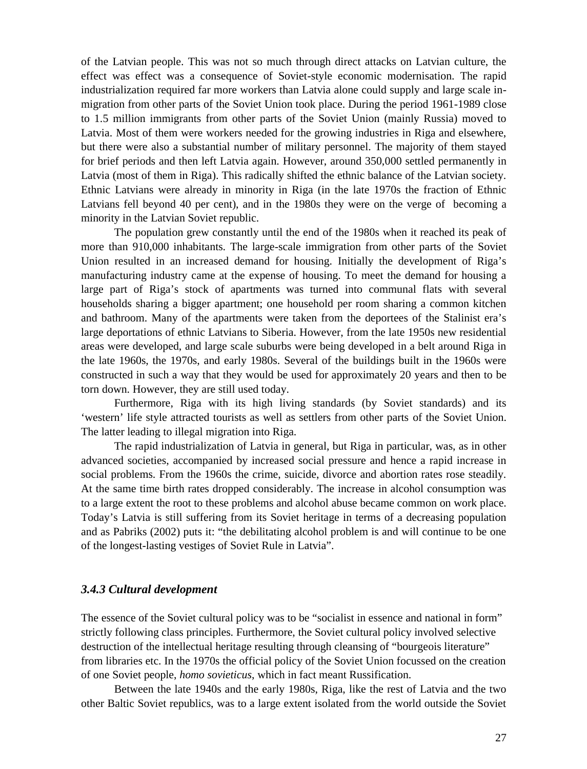of the Latvian people. This was not so much through direct attacks on Latvian culture, the effect was effect was a consequence of Soviet-style economic modernisation. The rapid industrialization required far more workers than Latvia alone could supply and large scale inmigration from other parts of the Soviet Union took place. During the period 1961-1989 close to 1.5 million immigrants from other parts of the Soviet Union (mainly Russia) moved to Latvia. Most of them were workers needed for the growing industries in Riga and elsewhere, but there were also a substantial number of military personnel. The majority of them stayed for brief periods and then left Latvia again. However, around 350,000 settled permanently in Latvia (most of them in Riga). This radically shifted the ethnic balance of the Latvian society. Ethnic Latvians were already in minority in Riga (in the late 1970s the fraction of Ethnic Latvians fell beyond 40 per cent), and in the 1980s they were on the verge of becoming a minority in the Latvian Soviet republic.

The population grew constantly until the end of the 1980s when it reached its peak of more than 910,000 inhabitants. The large-scale immigration from other parts of the Soviet Union resulted in an increased demand for housing. Initially the development of Riga's manufacturing industry came at the expense of housing. To meet the demand for housing a large part of Riga's stock of apartments was turned into communal flats with several households sharing a bigger apartment; one household per room sharing a common kitchen and bathroom. Many of the apartments were taken from the deportees of the Stalinist era's large deportations of ethnic Latvians to Siberia. However, from the late 1950s new residential areas were developed, and large scale suburbs were being developed in a belt around Riga in the late 1960s, the 1970s, and early 1980s. Several of the buildings built in the 1960s were constructed in such a way that they would be used for approximately 20 years and then to be torn down. However, they are still used today.

Furthermore, Riga with its high living standards (by Soviet standards) and its 'western' life style attracted tourists as well as settlers from other parts of the Soviet Union. The latter leading to illegal migration into Riga.

The rapid industrialization of Latvia in general, but Riga in particular, was, as in other advanced societies, accompanied by increased social pressure and hence a rapid increase in social problems. From the 1960s the crime, suicide, divorce and abortion rates rose steadily. At the same time birth rates dropped considerably. The increase in alcohol consumption was to a large extent the root to these problems and alcohol abuse became common on work place. Today's Latvia is still suffering from its Soviet heritage in terms of a decreasing population and as Pabriks (2002) puts it: "the debilitating alcohol problem is and will continue to be one of the longest-lasting vestiges of Soviet Rule in Latvia".

#### *3.4.3 Cultural development*

The essence of the Soviet cultural policy was to be "socialist in essence and national in form" strictly following class principles. Furthermore, the Soviet cultural policy involved selective destruction of the intellectual heritage resulting through cleansing of "bourgeois literature" from libraries etc. In the 1970s the official policy of the Soviet Union focussed on the creation of one Soviet people, *homo sovieticus*, which in fact meant Russification.

Between the late 1940s and the early 1980s, Riga, like the rest of Latvia and the two other Baltic Soviet republics, was to a large extent isolated from the world outside the Soviet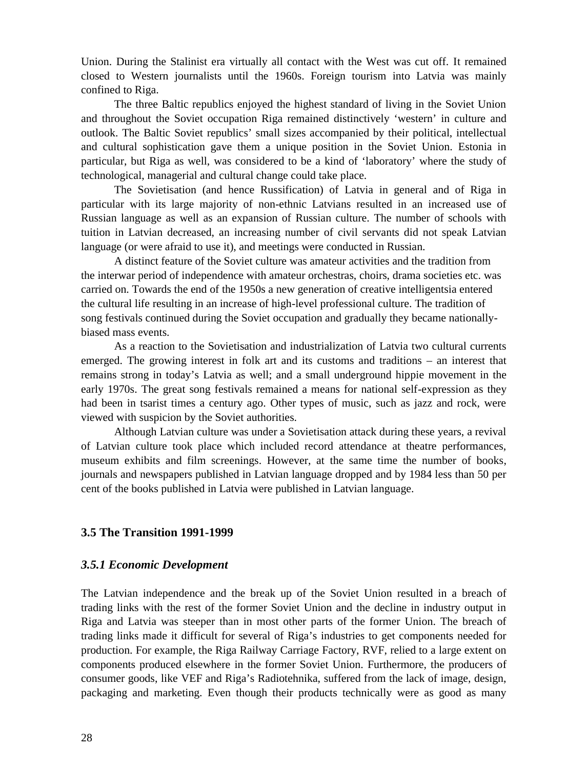Union. During the Stalinist era virtually all contact with the West was cut off. It remained closed to Western journalists until the 1960s. Foreign tourism into Latvia was mainly confined to Riga.

The three Baltic republics enjoyed the highest standard of living in the Soviet Union and throughout the Soviet occupation Riga remained distinctively 'western' in culture and outlook. The Baltic Soviet republics' small sizes accompanied by their political, intellectual and cultural sophistication gave them a unique position in the Soviet Union. Estonia in particular, but Riga as well, was considered to be a kind of 'laboratory' where the study of technological, managerial and cultural change could take place.

The Sovietisation (and hence Russification) of Latvia in general and of Riga in particular with its large majority of non-ethnic Latvians resulted in an increased use of Russian language as well as an expansion of Russian culture. The number of schools with tuition in Latvian decreased, an increasing number of civil servants did not speak Latvian language (or were afraid to use it), and meetings were conducted in Russian.

A distinct feature of the Soviet culture was amateur activities and the tradition from the interwar period of independence with amateur orchestras, choirs, drama societies etc. was carried on. Towards the end of the 1950s a new generation of creative intelligentsia entered the cultural life resulting in an increase of high-level professional culture. The tradition of song festivals continued during the Soviet occupation and gradually they became nationallybiased mass events.

As a reaction to the Sovietisation and industrialization of Latvia two cultural currents emerged. The growing interest in folk art and its customs and traditions – an interest that remains strong in today's Latvia as well; and a small underground hippie movement in the early 1970s. The great song festivals remained a means for national self-expression as they had been in tsarist times a century ago. Other types of music, such as jazz and rock, were viewed with suspicion by the Soviet authorities.

Although Latvian culture was under a Sovietisation attack during these years, a revival of Latvian culture took place which included record attendance at theatre performances, museum exhibits and film screenings. However, at the same time the number of books, journals and newspapers published in Latvian language dropped and by 1984 less than 50 per cent of the books published in Latvia were published in Latvian language.

## **3.5 The Transition 1991-1999**

## *3.5.1 Economic Development*

The Latvian independence and the break up of the Soviet Union resulted in a breach of trading links with the rest of the former Soviet Union and the decline in industry output in Riga and Latvia was steeper than in most other parts of the former Union. The breach of trading links made it difficult for several of Riga's industries to get components needed for production. For example, the Riga Railway Carriage Factory, RVF, relied to a large extent on components produced elsewhere in the former Soviet Union. Furthermore, the producers of consumer goods, like VEF and Riga's Radiotehnika, suffered from the lack of image, design, packaging and marketing. Even though their products technically were as good as many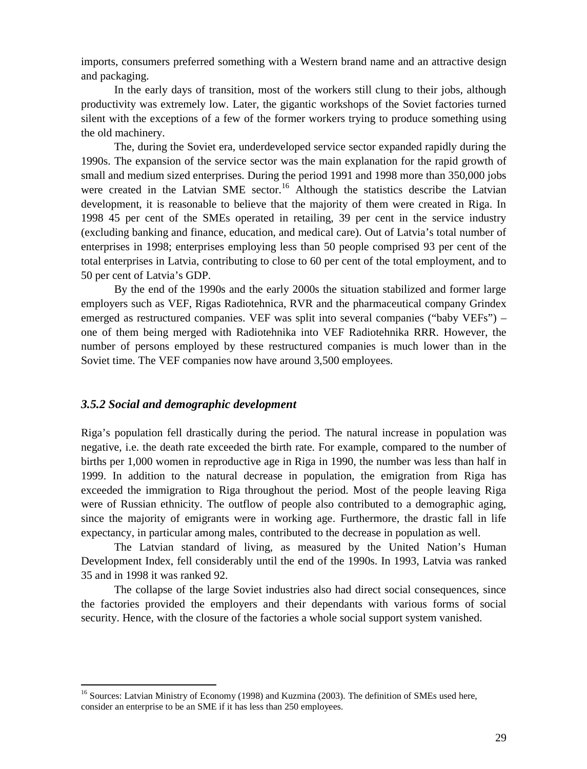imports, consumers preferred something with a Western brand name and an attractive design and packaging.

In the early days of transition, most of the workers still clung to their jobs, although productivity was extremely low. Later, the gigantic workshops of the Soviet factories turned silent with the exceptions of a few of the former workers trying to produce something using the old machinery.

The, during the Soviet era, underdeveloped service sector expanded rapidly during the 1990s. The expansion of the service sector was the main explanation for the rapid growth of small and medium sized enterprises. During the period 1991 and 1998 more than 350,000 jobs were created in the Latvian SME sector.<sup>16</sup> Although the statistics describe the Latvian development, it is reasonable to believe that the majority of them were created in Riga. In 1998 45 per cent of the SMEs operated in retailing, 39 per cent in the service industry (excluding banking and finance, education, and medical care). Out of Latvia's total number of enterprises in 1998; enterprises employing less than 50 people comprised 93 per cent of the total enterprises in Latvia, contributing to close to 60 per cent of the total employment, and to 50 per cent of Latvia's GDP.

By the end of the 1990s and the early 2000s the situation stabilized and former large employers such as VEF, Rigas Radiotehnica, RVR and the pharmaceutical company Grindex emerged as restructured companies. VEF was split into several companies ("baby VEFs") – one of them being merged with Radiotehnika into VEF Radiotehnika RRR. However, the number of persons employed by these restructured companies is much lower than in the Soviet time. The VEF companies now have around 3,500 employees.

## *3.5.2 Social and demographic development*

Riga's population fell drastically during the period. The natural increase in population was negative, i.e. the death rate exceeded the birth rate. For example, compared to the number of births per 1,000 women in reproductive age in Riga in 1990, the number was less than half in 1999. In addition to the natural decrease in population, the emigration from Riga has exceeded the immigration to Riga throughout the period. Most of the people leaving Riga were of Russian ethnicity. The outflow of people also contributed to a demographic aging, since the majority of emigrants were in working age. Furthermore, the drastic fall in life expectancy, in particular among males, contributed to the decrease in population as well.

The Latvian standard of living, as measured by the United Nation's Human Development Index, fell considerably until the end of the 1990s. In 1993, Latvia was ranked 35 and in 1998 it was ranked 92.

The collapse of the large Soviet industries also had direct social consequences, since the factories provided the employers and their dependants with various forms of social security. Hence, with the closure of the factories a whole social support system vanished.

<sup>&</sup>lt;sup>16</sup> Sources: Latvian Ministry of Economy (1998) and Kuzmina (2003). The definition of SMEs used here, consider an enterprise to be an SME if it has less than 250 employees.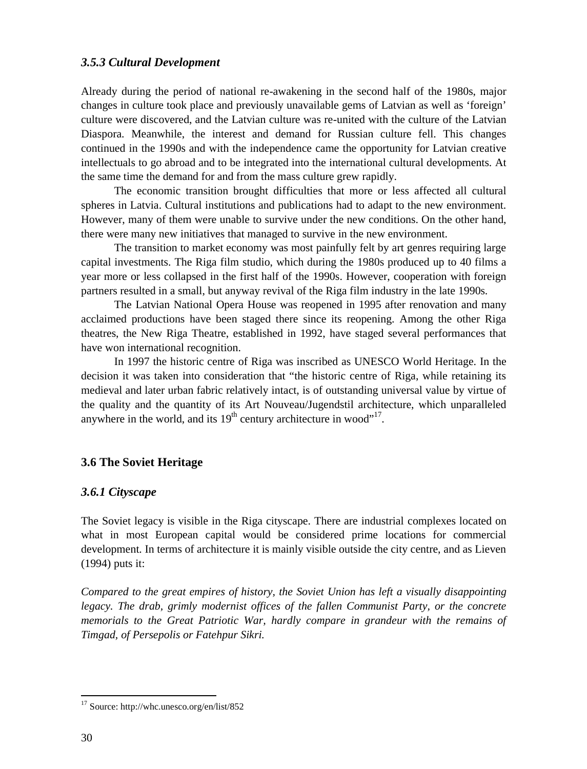## *3.5.3 Cultural Development*

Already during the period of national re-awakening in the second half of the 1980s, major changes in culture took place and previously unavailable gems of Latvian as well as 'foreign' culture were discovered, and the Latvian culture was re-united with the culture of the Latvian Diaspora. Meanwhile, the interest and demand for Russian culture fell. This changes continued in the 1990s and with the independence came the opportunity for Latvian creative intellectuals to go abroad and to be integrated into the international cultural developments. At the same time the demand for and from the mass culture grew rapidly.

The economic transition brought difficulties that more or less affected all cultural spheres in Latvia. Cultural institutions and publications had to adapt to the new environment. However, many of them were unable to survive under the new conditions. On the other hand, there were many new initiatives that managed to survive in the new environment.

The transition to market economy was most painfully felt by art genres requiring large capital investments. The Riga film studio, which during the 1980s produced up to 40 films a year more or less collapsed in the first half of the 1990s. However, cooperation with foreign partners resulted in a small, but anyway revival of the Riga film industry in the late 1990s.

The Latvian National Opera House was reopened in 1995 after renovation and many acclaimed productions have been staged there since its reopening. Among the other Riga theatres, the New Riga Theatre, established in 1992, have staged several performances that have won international recognition.

In 1997 the historic centre of Riga was inscribed as UNESCO World Heritage. In the decision it was taken into consideration that "the historic centre of Riga, while retaining its medieval and later urban fabric relatively intact, is of outstanding universal value by virtue of the quality and the quantity of its Art Nouveau/Jugendstil architecture, which unparalleled anywhere in the world, and its  $19<sup>th</sup>$  century architecture in wood"<sup>17</sup>.

## **3.6 The Soviet Heritage**

## *3.6.1 Cityscape*

The Soviet legacy is visible in the Riga cityscape. There are industrial complexes located on what in most European capital would be considered prime locations for commercial development. In terms of architecture it is mainly visible outside the city centre, and as Lieven (1994) puts it:

*Compared to the great empires of history, the Soviet Union has left a visually disappointing legacy. The drab, grimly modernist offices of the fallen Communist Party, or the concrete memorials to the Great Patriotic War, hardly compare in grandeur with the remains of Timgad, of Persepolis or Fatehpur Sikri.*

<sup>17</sup> Source: http://whc.unesco.org/en/list/852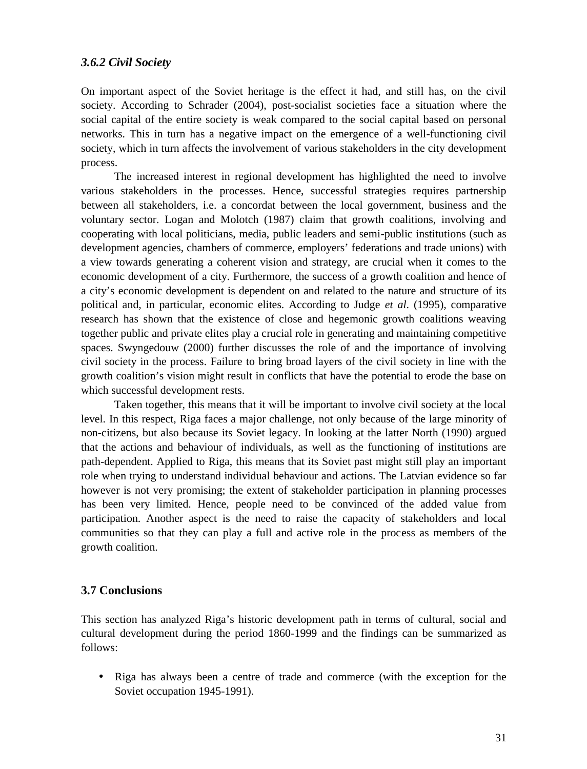### *3.6.2 Civil Society*

On important aspect of the Soviet heritage is the effect it had, and still has, on the civil society. According to Schrader (2004), post-socialist societies face a situation where the social capital of the entire society is weak compared to the social capital based on personal networks. This in turn has a negative impact on the emergence of a well-functioning civil society, which in turn affects the involvement of various stakeholders in the city development process.

The increased interest in regional development has highlighted the need to involve various stakeholders in the processes. Hence, successful strategies requires partnership between all stakeholders, i.e. a concordat between the local government, business and the voluntary sector. Logan and Molotch (1987) claim that growth coalitions, involving and cooperating with local politicians, media, public leaders and semi-public institutions (such as development agencies, chambers of commerce, employers' federations and trade unions) with a view towards generating a coherent vision and strategy, are crucial when it comes to the economic development of a city. Furthermore, the success of a growth coalition and hence of a city's economic development is dependent on and related to the nature and structure of its political and, in particular, economic elites. According to Judge *et al*. (1995), comparative research has shown that the existence of close and hegemonic growth coalitions weaving together public and private elites play a crucial role in generating and maintaining competitive spaces. Swyngedouw (2000) further discusses the role of and the importance of involving civil society in the process. Failure to bring broad layers of the civil society in line with the growth coalition's vision might result in conflicts that have the potential to erode the base on which successful development rests.

Taken together, this means that it will be important to involve civil society at the local level. In this respect, Riga faces a major challenge, not only because of the large minority of non-citizens, but also because its Soviet legacy. In looking at the latter North (1990) argued that the actions and behaviour of individuals, as well as the functioning of institutions are path-dependent. Applied to Riga, this means that its Soviet past might still play an important role when trying to understand individual behaviour and actions. The Latvian evidence so far however is not very promising; the extent of stakeholder participation in planning processes has been very limited. Hence, people need to be convinced of the added value from participation. Another aspect is the need to raise the capacity of stakeholders and local communities so that they can play a full and active role in the process as members of the growth coalition.

### **3.7 Conclusions**

This section has analyzed Riga's historic development path in terms of cultural, social and cultural development during the period 1860-1999 and the findings can be summarized as follows:

 Riga has always been a centre of trade and commerce (with the exception for the Soviet occupation 1945-1991).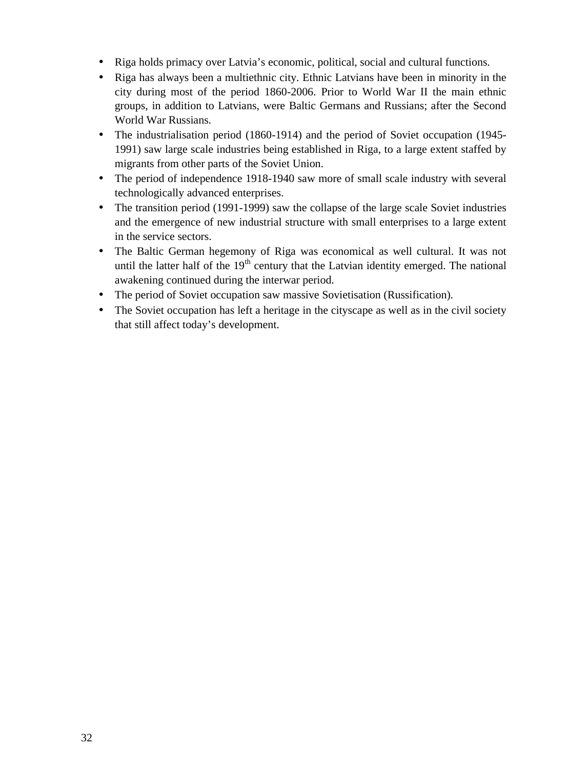- Riga holds primacy over Latvia's economic, political, social and cultural functions.
- Riga has always been a multiethnic city. Ethnic Latvians have been in minority in the city during most of the period 1860-2006. Prior to World War II the main ethnic groups, in addition to Latvians, were Baltic Germans and Russians; after the Second World War Russians.
- The industrialisation period (1860-1914) and the period of Soviet occupation (1945- 1991) saw large scale industries being established in Riga, to a large extent staffed by migrants from other parts of the Soviet Union.
- The period of independence 1918-1940 saw more of small scale industry with several technologically advanced enterprises.
- The transition period (1991-1999) saw the collapse of the large scale Soviet industries and the emergence of new industrial structure with small enterprises to a large extent in the service sectors.
- The Baltic German hegemony of Riga was economical as well cultural. It was not until the latter half of the  $19<sup>th</sup>$  century that the Latvian identity emerged. The national awakening continued during the interwar period.
- The period of Soviet occupation saw massive Sovietisation (Russification).
- The Soviet occupation has left a heritage in the cityscape as well as in the civil society that still affect today's development.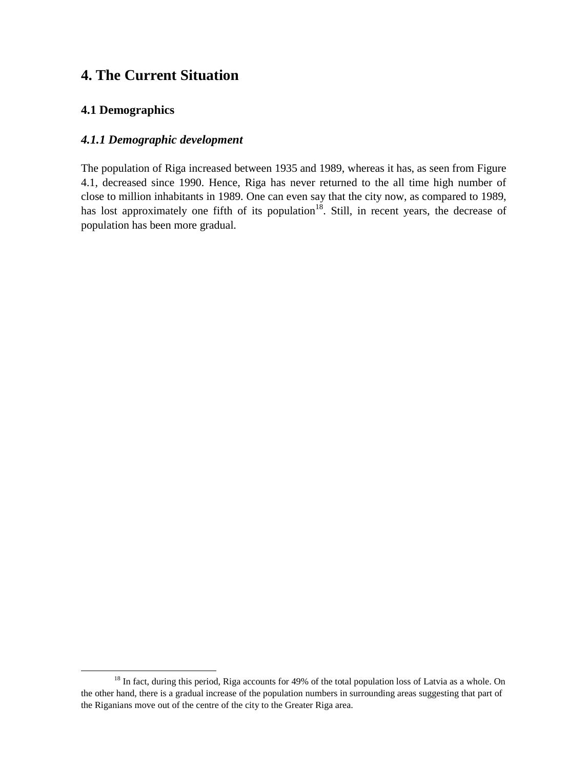# **4. The Current Situation**

## **4.1 Demographics**

## *4.1.1 Demographic development*

The population of Riga increased between 1935 and 1989, whereas it has, as seen from Figure 4.1, decreased since 1990. Hence, Riga has never returned to the all time high number of close to million inhabitants in 1989. One can even say that the city now, as compared to 1989, has lost approximately one fifth of its population<sup>18</sup>. Still, in recent years, the decrease of population has been more gradual.

<sup>&</sup>lt;sup>18</sup> In fact, during this period, Riga accounts for 49% of the total population loss of Latvia as a whole. On the other hand, there is a gradual increase of the population numbers in surrounding areas suggesting that part of the Riganians move out of the centre of the city to the Greater Riga area.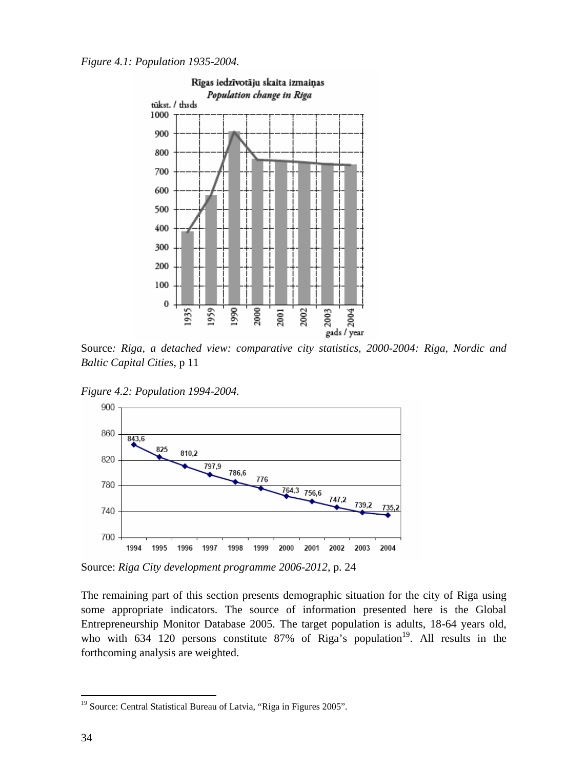



Source*: Riga, a detached view: comparative city statistics, 2000-2004: Riga, Nordic and Baltic Capital Cities*, p 11

*Figure 4.2: Population 1994-2004.*



Source: *Riga City development programme 2006-2012*, p. 24

The remaining part of this section presents demographic situation for the city of Riga using some appropriate indicators. The source of information presented here is the Global Entrepreneurship Monitor Database 2005. The target population is adults, 18-64 years old, who with  $634$  120 persons constitute 87% of Riga's population<sup>19</sup>. All results in the forthcoming analysis are weighted.

<sup>&</sup>lt;sup>19</sup> Source: Central Statistical Bureau of Latvia, "Riga in Figures 2005".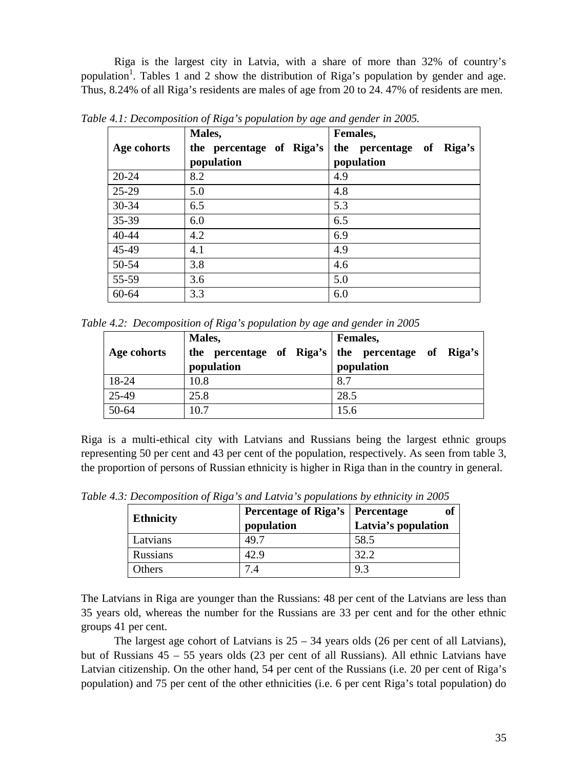Riga is the largest city in Latvia, with a share of more than 32% of country's population<sup>1</sup>. Tables 1 and 2 show the distribution of Riga's population by gender and age. Thus, 8.24% of all Riga's residents are males of age from 20 to 24. 47% of residents are men.

|             | Males,                   | Females,                 |
|-------------|--------------------------|--------------------------|
| Age cohorts | the percentage of Riga's | the percentage of Riga's |
|             | population               | population               |
| $20 - 24$   | 8.2                      | 4.9                      |
| $25-29$     | 5.0                      | 4.8                      |
| 30-34       | 6.5                      | 5.3                      |
| 35-39       | 6.0                      | 6.5                      |
| 40-44       | 4.2                      | 6.9                      |
| 45-49       | 4.1                      | 4.9                      |
| 50-54       | 3.8                      | 4.6                      |
| 55-59       | 3.6                      | 5.0                      |
| 60-64       | 3.3                      | 6.0                      |

*Table 4.1: Decomposition of Riga's population by age and gender in 2005.*

*Table 4.2: Decomposition of Riga's population by age and gender in 2005*

|             | Males,     | Females,                                          |
|-------------|------------|---------------------------------------------------|
| Age cohorts |            | the percentage of Riga's the percentage of Riga's |
|             | population | population                                        |
| 18-24       | 10.8       | 8.7                                               |
| 25-49       | 25.8       | 28.5                                              |
| 50-64       | 10.7       | 15.6                                              |

Riga is a multi-ethical city with Latvians and Russians being the largest ethnic groups representing 50 per cent and 43 per cent of the population, respectively. As seen from table 3, the proportion of persons of Russian ethnicity is higher in Riga than in the country in general.

|                  | Percentage of Riga's   Percentage |                     |
|------------------|-----------------------------------|---------------------|
| <b>Ethnicity</b> | population                        | Latvia's population |
| Latvians         | 49.7                              | 58.5                |
| <b>Russians</b>  | 42.9                              | 32.2                |
| Others           |                                   | 9.3                 |

*Table 4.3: Decomposition of Riga's and Latvia's populations by ethnicity in 2005*

The Latvians in Riga are younger than the Russians: 48 per cent of the Latvians are less than 35 years old, whereas the number for the Russians are 33 per cent and for the other ethnic groups 41 per cent.

The largest age cohort of Latvians is  $25 - 34$  years olds (26 per cent of all Latvians), but of Russians 45 – 55 years olds (23 per cent of all Russians). All ethnic Latvians have Latvian citizenship. On the other hand, 54 per cent of the Russians (i.e. 20 per cent of Riga's population) and 75 per cent of the other ethnicities (i.e. 6 per cent Riga's total population) do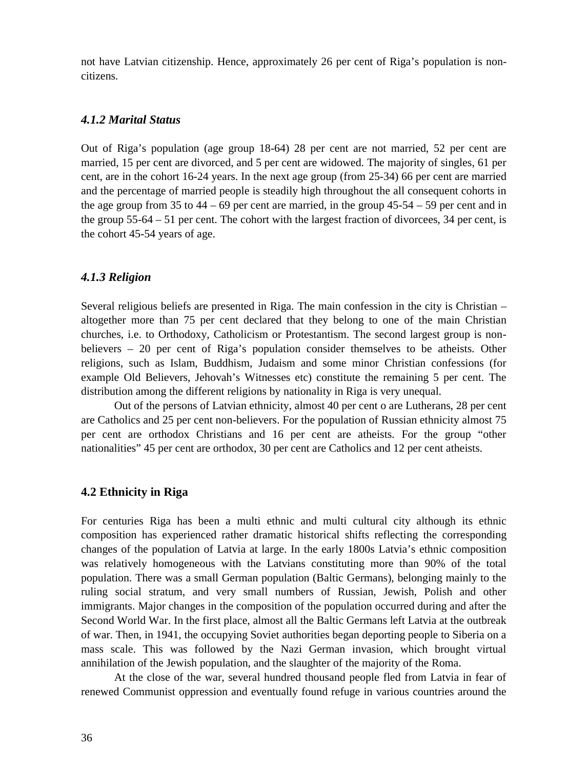not have Latvian citizenship. Hence, approximately 26 per cent of Riga's population is noncitizens.

#### *4.1.2 Marital Status*

Out of Riga's population (age group 18-64) 28 per cent are not married, 52 per cent are married, 15 per cent are divorced, and 5 per cent are widowed. The majority of singles, 61 per cent, are in the cohort 16-24 years. In the next age group (from 25-34) 66 per cent are married and the percentage of married people is steadily high throughout the all consequent cohorts in the age group from 35 to  $44 - 69$  per cent are married, in the group  $45-54 - 59$  per cent and in the group 55-64 – 51 per cent. The cohort with the largest fraction of divorcees, 34 per cent, is the cohort 45-54 years of age.

#### *4.1.3 Religion*

Several religious beliefs are presented in Riga. The main confession in the city is Christian – altogether more than 75 per cent declared that they belong to one of the main Christian churches, i.e. to Orthodoxy, Catholicism or Protestantism. The second largest group is nonbelievers – 20 per cent of Riga's population consider themselves to be atheists. Other religions, such as Islam, Buddhism, Judaism and some minor Christian confessions (for example Old Believers, Jehovah's Witnesses etc) constitute the remaining 5 per cent. The distribution among the different religions by nationality in Riga is very unequal.

Out of the persons of Latvian ethnicity, almost 40 per cent o are Lutherans, 28 per cent are Catholics and 25 per cent non-believers. For the population of Russian ethnicity almost 75 per cent are orthodox Christians and 16 per cent are atheists. For the group "other nationalities" 45 per cent are orthodox, 30 per cent are Catholics and 12 per cent atheists.

#### **4.2 Ethnicity in Riga**

For centuries Riga has been a multi ethnic and multi cultural city although its ethnic composition has experienced rather dramatic historical shifts reflecting the corresponding changes of the population of Latvia at large. In the early 1800s Latvia's ethnic composition was relatively homogeneous with the Latvians constituting more than 90% of the total population. There was a small German population (Baltic Germans), belonging mainly to the ruling social stratum, and very small numbers of Russian, Jewish, Polish and other immigrants. Major changes in the composition of the population occurred during and after the Second World War. In the first place, almost all the Baltic Germans left Latvia at the outbreak of war. Then, in 1941, the occupying Soviet authorities began deporting people to Siberia on a mass scale. This was followed by the Nazi German invasion, which brought virtual annihilation of the Jewish population, and the slaughter of the majority of the Roma.

At the close of the war, several hundred thousand people fled from Latvia in fear of renewed Communist oppression and eventually found refuge in various countries around the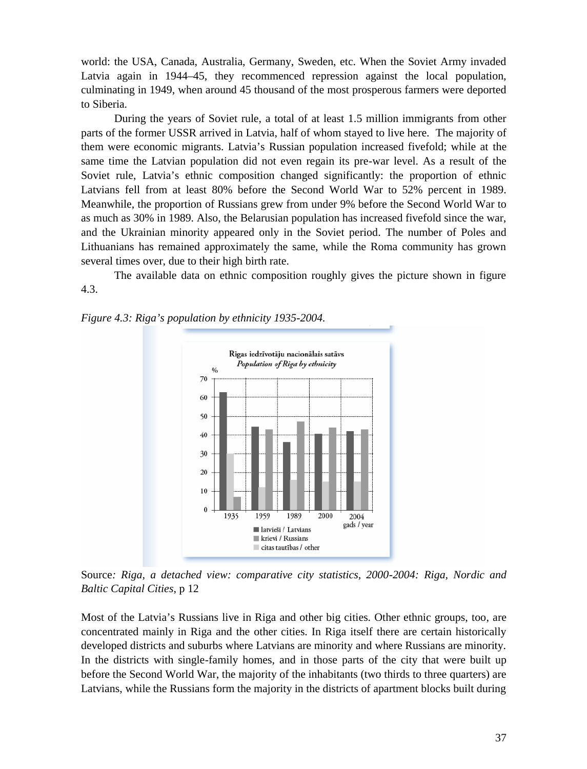world: the USA, Canada, Australia, Germany, Sweden, etc. When the Soviet Army invaded Latvia again in 1944–45, they recommenced repression against the local population, culminating in 1949, when around 45 thousand of the most prosperous farmers were deported to Siberia.

During the years of Soviet rule, a total of at least 1.5 million immigrants from other parts of the former USSR arrived in Latvia, half of whom stayed to live here. The majority of them were economic migrants. Latvia's Russian population increased fivefold; while at the same time the Latvian population did not even regain its pre-war level. As a result of the Soviet rule, Latvia's ethnic composition changed significantly: the proportion of ethnic Latvians fell from at least 80% before the Second World War to 52% percent in 1989. Meanwhile, the proportion of Russians grew from under 9% before the Second World War to as much as 30% in 1989. Also, the Belarusian population has increased fivefold since the war, and the Ukrainian minority appeared only in the Soviet period. The number of Poles and Lithuanians has remained approximately the same, while the Roma community has grown several times over, due to their high birth rate.

The available data on ethnic composition roughly gives the picture shown in figure 4.3.



*Figure 4.3: Riga's population by ethnicity 1935-2004.*

Source*: Riga, a detached view: comparative city statistics, 2000-2004: Riga, Nordic and Baltic Capital Cities*, p 12

Most of the Latvia's Russians live in Riga and other big cities. Other ethnic groups, too, are concentrated mainly in Riga and the other cities. In Riga itself there are certain historically developed districts and suburbs where Latvians are minority and where Russians are minority. In the districts with single-family homes, and in those parts of the city that were built up before the Second World War, the majority of the inhabitants (two thirds to three quarters) are Latvians, while the Russians form the majority in the districts of apartment blocks built during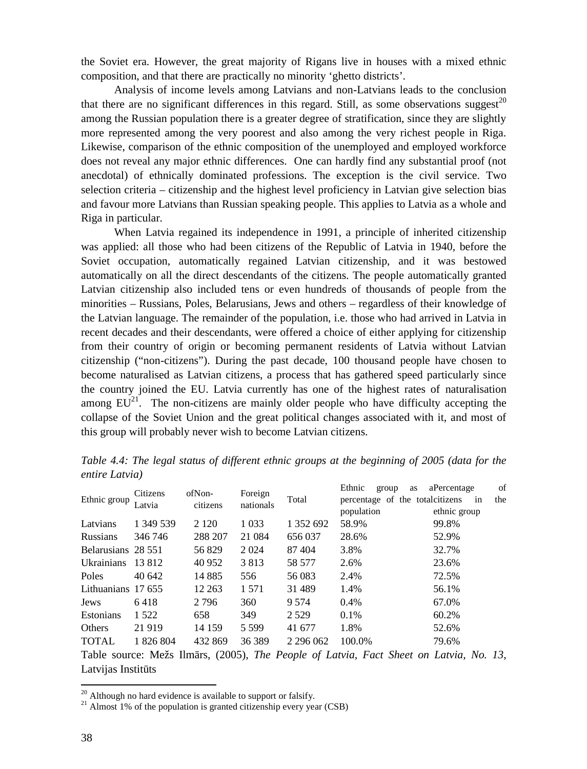the Soviet era. However, the great majority of Rigans live in houses with a mixed ethnic composition, and that there are practically no minority 'ghetto districts'.

Analysis of income levels among Latvians and non-Latvians leads to the conclusion that there are no significant differences in this regard. Still, as some observations suggest<sup>20</sup> among the Russian population there is a greater degree of stratification, since they are slightly more represented among the very poorest and also among the very richest people in Riga. Likewise, comparison of the ethnic composition of the unemployed and employed workforce does not reveal any major ethnic differences. One can hardly find any substantial proof (not anecdotal) of ethnically dominated professions. The exception is the civil service. Two selection criteria – citizenship and the highest level proficiency in Latvian give selection bias and favour more Latvians than Russian speaking people. This applies to Latvia as a whole and Riga in particular.

When Latvia regained its independence in 1991, a principle of inherited citizenship was applied: all those who had been citizens of the Republic of Latvia in 1940, before the Soviet occupation, automatically regained Latvian citizenship, and it was bestowed automatically on all the direct descendants of the citizens. The people automatically granted Latvian citizenship also included tens or even hundreds of thousands of people from the minorities – Russians, Poles, Belarusians, Jews and others – regardless of their knowledge of the Latvian language. The remainder of the population, i.e. those who had arrived in Latvia in recent decades and their descendants, were offered a choice of either applying for citizenship from their country of origin or becoming permanent residents of Latvia without Latvian citizenship ("non-citizens"). During the past decade, 100 thousand people have chosen to become naturalised as Latvian citizens, a process that has gathered speed particularly since the country joined the EU. Latvia currently has one of the highest rates of naturalisation among  $EU^{21}$ . The non-citizens are mainly older people who have difficulty accepting the collapse of the Soviet Union and the great political changes associated with it, and most of this group will probably never wish to become Latvian citizens.

| Ethnic group       | Citizens<br>Latvia | ofNon-<br>citizens | Foreign<br>nationals |               | Ethnic<br>group<br>as                                                                  | of<br>aPercentage |
|--------------------|--------------------|--------------------|----------------------|---------------|----------------------------------------------------------------------------------------|-------------------|
|                    |                    |                    |                      | Total         | percentage of the total citizens                                                       | in<br>the         |
|                    |                    |                    |                      |               | population                                                                             | ethnic group      |
| Latvians           | 1 349 539          | 2 1 2 0            | 1 0 3 3              | 1 352 692     | 58.9%                                                                                  | 99.8%             |
| <b>Russians</b>    | 346 746            | 288 207            | 21 0 84              | 656 037       | 28.6%                                                                                  | 52.9%             |
| Belarusians 28 551 |                    | 56 829             | 2 0 2 4              | 87404         | 3.8%                                                                                   | 32.7%             |
| Ukrainians 13 812  |                    | 40 952             | 3813                 | 58 577        | 2.6%                                                                                   | 23.6%             |
| Poles              | 40.642             | 14 8 8 5           | 556                  | 56 083        | 2.4%                                                                                   | 72.5%             |
| Lithuanians 17 655 |                    | 12 2 63            | 1 5 7 1              | 31 4 89       | 1.4%                                                                                   | 56.1%             |
| Jews               | 6418               | 2 7 9 6            | 360                  | 9 5 7 4       | $0.4\%$                                                                                | 67.0%             |
| <b>Estonians</b>   | 1 5 2 2            | 658                | 349                  | 2 5 2 9       | $0.1\%$                                                                                | 60.2%             |
| Others             | 21 9 19            | 14 159             | 5 5 9 9              | 41 677        | 1.8%                                                                                   | 52.6%             |
| <b>TOTAL</b>       | 1 826 804          | 432 869            | 36 389               | 2 2 9 6 0 6 2 | 100.0%                                                                                 | 79.6%             |
|                    |                    |                    |                      |               | Table source: Mežs Ilm rs, (2005), The People of Latvia, Fact Sheet on Latvia, No. 13, |                   |

*Table 4.4: The legal status of different ethnic groups at the beginning of 2005 (data for the entire Latvia)*

Latvijas Instit ts

<sup>&</sup>lt;sup>20</sup> Although no hard evidence is available to support or falsify.

 $^{21}$  Almost 1% of the population is granted citizenship every year (CSB)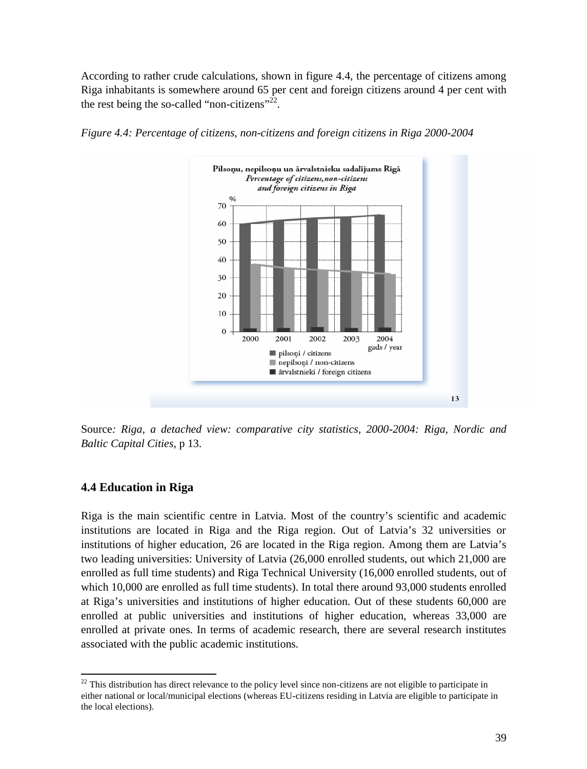According to rather crude calculations, shown in figure 4.4, the percentage of citizens among Riga inhabitants is somewhere around 65 per cent and foreign citizens around 4 per cent with the rest being the so-called "non-citizens"<sup>22</sup>.



*Figure 4.4: Percentage of citizens, non-citizens and foreign citizens in Riga 2000-2004*

Source*: Riga, a detached view: comparative city statistics, 2000-2004: Riga, Nordic and Baltic Capital Cities*, p 13.

# **4.4 Education in Riga**

Riga is the main scientific centre in Latvia. Most of the country's scientific and academic institutions are located in Riga and the Riga region. Out of Latvia's 32 universities or institutions of higher education, 26 are located in the Riga region. Among them are Latvia's two leading universities: University of Latvia (26,000 enrolled students, out which 21,000 are enrolled as full time students) and Riga Technical University (16,000 enrolled students, out of which 10,000 are enrolled as full time students). In total there around 93,000 students enrolled at Riga's universities and institutions of higher education. Out of these students 60,000 are enrolled at public universities and institutions of higher education, whereas 33,000 are enrolled at private ones. In terms of academic research, there are several research institutes associated with the public academic institutions.

<sup>&</sup>lt;sup>22</sup> This distribution has direct relevance to the policy level since non-citizens are not eligible to participate in either national or local/municipal elections (whereas EU-citizens residing in Latvia are eligible to participate in the local elections).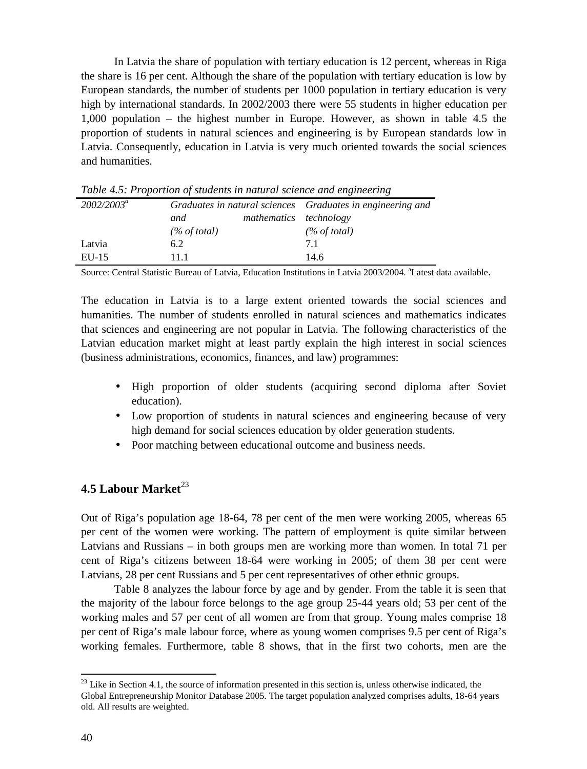In Latvia the share of population with tertiary education is 12 percent, whereas in Riga the share is 16 per cent. Although the share of the population with tertiary education is low by European standards, the number of students per 1000 population in tertiary education is very high by international standards. In 2002/2003 there were 55 students in higher education per 1,000 population – the highest number in Europe. However, as shown in table 4.5 the proportion of students in natural sciences and engineering is by European standards low in Latvia. Consequently, education in Latvia is very much oriented towards the social sciences and humanities.

| $2002/2003^a$ |                 |                        | Graduates in natural sciences Graduates in engineering and |
|---------------|-----------------|------------------------|------------------------------------------------------------|
|               | and             | mathematics technology |                                                            |
|               | $(\%$ of total) |                        | $(\%$ of total)                                            |
| Latvia        | 6.2             |                        | 71                                                         |
| $EU-15$       | 11 1            |                        | 14.6                                                       |

*Table 4.5: Proportion of students in natural science and engineering*

Source: Central Statistic Bureau of Latvia, Education Institutions in Latvia 2003/2004. <sup>a</sup>Latest data available.

The education in Latvia is to a large extent oriented towards the social sciences and humanities. The number of students enrolled in natural sciences and mathematics indicates that sciences and engineering are not popular in Latvia. The following characteristics of the Latvian education market might at least partly explain the high interest in social sciences (business administrations, economics, finances, and law) programmes:

- High proportion of older students (acquiring second diploma after Soviet education).
- Low proportion of students in natural sciences and engineering because of very high demand for social sciences education by older generation students.
- Poor matching between educational outcome and business needs.

# **4.5 Labour Market**<sup>23</sup>

Out of Riga's population age 18-64, 78 per cent of the men were working 2005, whereas 65 per cent of the women were working. The pattern of employment is quite similar between Latvians and Russians – in both groups men are working more than women. In total 71 per cent of Riga's citizens between 18-64 were working in 2005; of them 38 per cent were Latvians, 28 per cent Russians and 5 per cent representatives of other ethnic groups.

Table 8 analyzes the labour force by age and by gender. From the table it is seen that the majority of the labour force belongs to the age group 25-44 years old; 53 per cent of the working males and 57 per cent of all women are from that group. Young males comprise 18 per cent of Riga's male labour force, where as young women comprises 9.5 per cent of Riga's working females. Furthermore, table 8 shows, that in the first two cohorts, men are the

 $23$  Like in Section 4.1, the source of information presented in this section is, unless otherwise indicated, the Global Entrepreneurship Monitor Database 2005. The target population analyzed comprises adults, 18-64 years old. All results are weighted.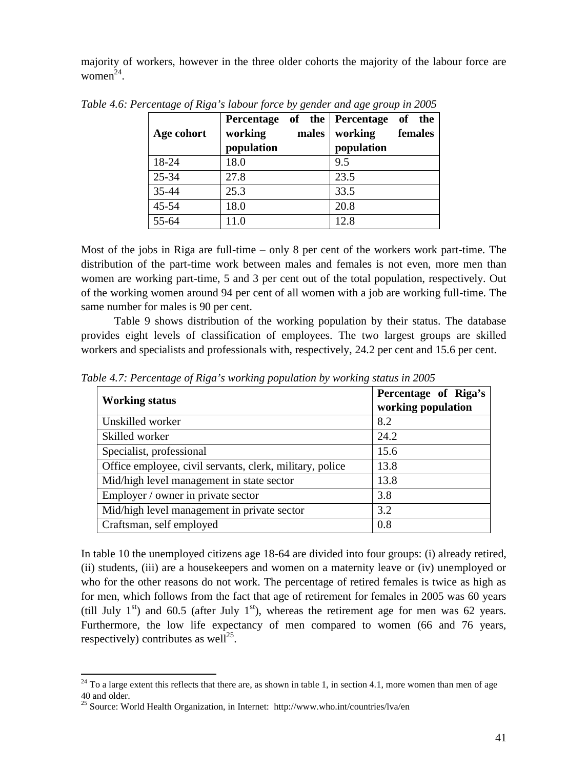majority of workers, however in the three older cohorts the majority of the labour force are  $women<sup>24</sup>$ .

| Age cohort | working<br>population | males | Percentage of the Percentage of the<br>working<br>population | females |
|------------|-----------------------|-------|--------------------------------------------------------------|---------|
| 18-24      | 18.0                  |       | 9.5                                                          |         |
| 25-34      | 27.8                  |       | 23.5                                                         |         |
| 35-44      | 25.3                  |       | 33.5                                                         |         |
| 45-54      | 18.0                  |       | 20.8                                                         |         |
| 55-64      | 11.0                  |       | 12.8                                                         |         |

*Table 4.6: Percentage of Riga's labour force by gender and age group in 2005*

Most of the jobs in Riga are full-time – only 8 per cent of the workers work part-time. The distribution of the part-time work between males and females is not even, more men than women are working part-time, 5 and 3 per cent out of the total population, respectively. Out of the working women around 94 per cent of all women with a job are working full-time. The same number for males is 90 per cent.

Table 9 shows distribution of the working population by their status. The database provides eight levels of classification of employees. The two largest groups are skilled workers and specialists and professionals with, respectively, 24.2 per cent and 15.6 per cent.

| <b>Working status</b>                                    | Percentage of Riga's<br>working population |
|----------------------------------------------------------|--------------------------------------------|
| Unskilled worker                                         | 8.2                                        |
| Skilled worker                                           | 24.2                                       |
| Specialist, professional                                 | 15.6                                       |
| Office employee, civil servants, clerk, military, police | 13.8                                       |
| Mid/high level management in state sector                | 13.8                                       |
| Employer / owner in private sector                       | 3.8                                        |
| Mid/high level management in private sector              | 3.2                                        |
| Craftsman, self employed                                 | 0.8                                        |

*Table 4.7: Percentage of Riga's working population by working status in 2005*

In table 10 the unemployed citizens age 18-64 are divided into four groups: (i) already retired, (ii) students, (iii) are a housekeepers and women on a maternity leave or (iv) unemployed or who for the other reasons do not work. The percentage of retired females is twice as high as for men, which follows from the fact that age of retirement for females in 2005 was 60 years (till July  $1<sup>st</sup>$ ) and 60.5 (after July  $1<sup>st</sup>$ ), whereas the retirement age for men was 62 years. Furthermore, the low life expectancy of men compared to women (66 and 76 years, respectively) contributes as well<sup>25</sup>.

 $24$  To a large extent this reflects that there are, as shown in table 1, in section 4.1, more women than men of age 40 and older.

<sup>&</sup>lt;sup>25</sup> Source: World Health Organization, in Internet: http://www.who.int/countries/lva/en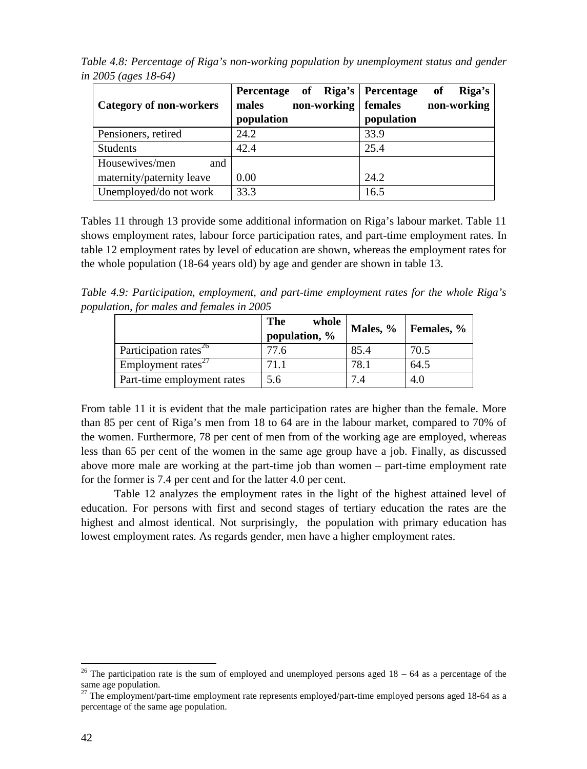|                                | Percentage of Riga's Percentage | Riga's<br>of           |
|--------------------------------|---------------------------------|------------------------|
| <b>Category of non-workers</b> | non-working<br>males            | non-working<br>females |
|                                | population                      | population             |
| Pensioners, retired            | 24.2                            | 33.9                   |
| <b>Students</b>                | 42.4                            | 25.4                   |
| Housewives/men<br>and          |                                 |                        |
| maternity/paternity leave      | 0.00                            | 24.2                   |
| Unemployed/do not work         | 33.3                            | 16.5                   |

*Table 4.8: Percentage of Riga's non-working population by unemployment status and gender in 2005 (ages 18-64)*

Tables 11 through 13 provide some additional information on Riga's labour market. Table 11 shows employment rates, labour force participation rates, and part-time employment rates. In table 12 employment rates by level of education are shown, whereas the employment rates for the whole population (18-64 years old) by age and gender are shown in table 13.

*Table 4.9: Participation, employment, and part-time employment rates for the whole Riga's population, for males and females in 2005*

|                                   | <b>The</b><br>whole<br>population, % |      | Males, $\%$   Females, $\%$ |
|-----------------------------------|--------------------------------------|------|-----------------------------|
| Participation rates <sup>26</sup> | 77.6                                 | 85.4 | 70.5                        |
| Employment rates $27$             | 71.1                                 | 78.1 | 64.5                        |
| Part-time employment rates        | 5.6                                  | 7 A  | 4.0                         |

From table 11 it is evident that the male participation rates are higher than the female. More than 85 per cent of Riga's men from 18 to 64 are in the labour market, compared to 70% of the women. Furthermore, 78 per cent of men from of the working age are employed, whereas less than 65 per cent of the women in the same age group have a job. Finally, as discussed above more male are working at the part-time job than women – part-time employment rate for the former is 7.4 per cent and for the latter 4.0 per cent.

Table 12 analyzes the employment rates in the light of the highest attained level of education. For persons with first and second stages of tertiary education the rates are the highest and almost identical. Not surprisingly, the population with primary education has lowest employment rates. As regards gender, men have a higher employment rates.

<sup>&</sup>lt;sup>26</sup> The participation rate is the sum of employed and unemployed persons aged  $18 - 64$  as a percentage of the same age population.

 $27$  The employment/part-time employment rate represents employed/part-time employed persons aged 18-64 as a percentage of the same age population.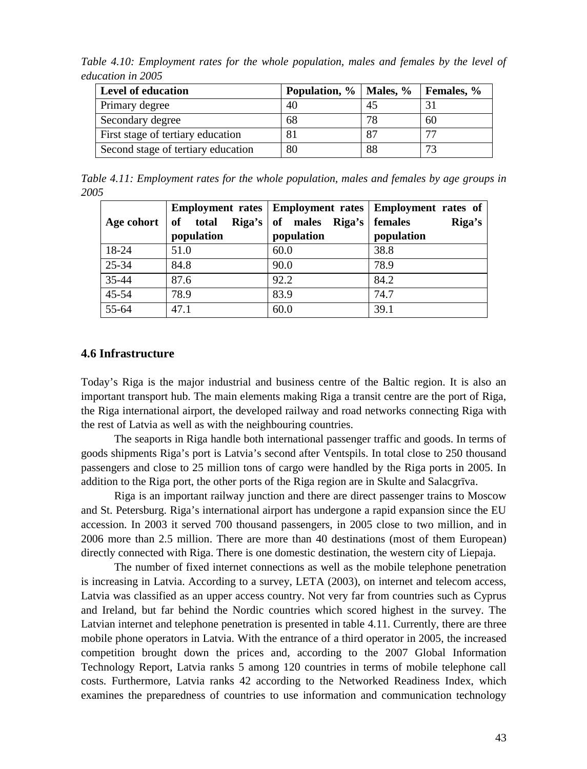*Table 4.10: Employment rates for the whole population, males and females by the level of education in 2005*

| <b>Level of education</b>          | Population, %   Males, %   Females, % |    |    |
|------------------------------------|---------------------------------------|----|----|
| Primary degree                     | 40                                    | 45 |    |
| Secondary degree                   | 68                                    | 78 | 60 |
| First stage of tertiary education  | 81                                    | 87 | 77 |
| Second stage of tertiary education | 80                                    | 88 | 72 |

*Table 4.11: Employment rates for the whole population, males and females by age groups in 2005*

|            |            |                                                 | Employment rates   Employment rates   Employment rates of |
|------------|------------|-------------------------------------------------|-----------------------------------------------------------|
| Age cohort |            | of total Riga's of males Riga's $\vert$ females | Riga's                                                    |
|            | population | population                                      | population                                                |
| 18-24      | 51.0       | 60.0                                            | 38.8                                                      |
| 25-34      | 84.8       | 90.0                                            | 78.9                                                      |
| $35 - 44$  | 87.6       | 92.2                                            | 84.2                                                      |
| $45 - 54$  | 78.9       | 83.9                                            | 74.7                                                      |
| $55-64$    | 47.1       | 60.0                                            | 39.1                                                      |

#### **4.6 Infrastructure**

Today's Riga is the major industrial and business centre of the Baltic region. It is also an important transport hub. The main elements making Riga a transit centre are the port of Riga, the Riga international airport, the developed railway and road networks connecting Riga with the rest of Latvia as well as with the neighbouring countries.

The seaports in Riga handle both international passenger traffic and goods. In terms of goods shipments Riga's port is Latvia's second after Ventspils. In total close to 250 thousand passengers and close to 25 million tons of cargo were handled by the Riga ports in 2005. In addition to the Riga port, the other ports of the Riga region are in Skulte and Salacgr va.

Riga is an important railway junction and there are direct passenger trains to Moscow and St. Petersburg. Riga's international airport has undergone a rapid expansion since the EU accession. In 2003 it served 700 thousand passengers, in 2005 close to two million, and in 2006 more than 2.5 million. There are more than 40 destinations (most of them European) directly connected with Riga. There is one domestic destination, the western city of Liepaja.

The number of fixed internet connections as well as the mobile telephone penetration is increasing in Latvia. According to a survey, LETA (2003), on internet and telecom access, Latvia was classified as an upper access country. Not very far from countries such as Cyprus and Ireland, but far behind the Nordic countries which scored highest in the survey. The Latvian internet and telephone penetration is presented in table 4.11. Currently, there are three mobile phone operators in Latvia. With the entrance of a third operator in 2005, the increased competition brought down the prices and, according to the 2007 Global Information Technology Report, Latvia ranks 5 among 120 countries in terms of mobile telephone call costs. Furthermore, Latvia ranks 42 according to the Networked Readiness Index, which examines the preparedness of countries to use information and communication technology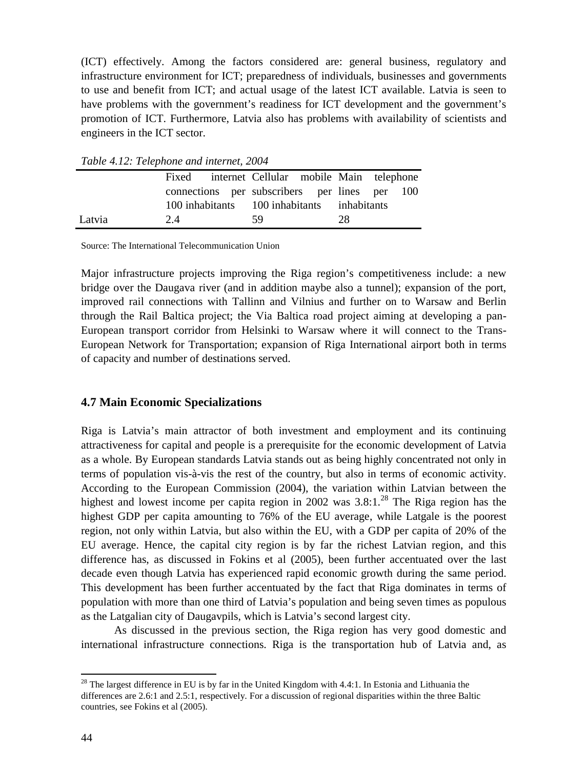(ICT) effectively. Among the factors considered are: general business, regulatory and infrastructure environment for ICT; preparedness of individuals, businesses and governments to use and benefit from ICT; and actual usage of the latest ICT available. Latvia is seen to have problems with the government's readiness for ICT development and the government's promotion of ICT. Furthermore, Latvia also has problems with availability of scientists and engineers in the ICT sector.

| $\frac{1}{2}$ and $\frac{1}{2}$ and $\frac{1}{2}$ are $\frac{1}{2}$ and $\frac{1}{2}$ and $\frac{1}{2}$ and $\frac{1}{2}$ are $\frac{1}{2}$ and $\frac{1}{2}$ are $\frac{1}{2}$ and $\frac{1}{2}$ are $\frac{1}{2}$ and $\frac{1}{2}$ are $\frac{1}{2}$ and $\frac{1}{2}$ are $\frac{1}{2}$ a |       |  |                                               |  |    |  |  |
|-----------------------------------------------------------------------------------------------------------------------------------------------------------------------------------------------------------------------------------------------------------------------------------------------|-------|--|-----------------------------------------------|--|----|--|--|
|                                                                                                                                                                                                                                                                                               | Fixed |  | internet Cellular mobile Main telephone       |  |    |  |  |
|                                                                                                                                                                                                                                                                                               |       |  | connections per subscribers per lines per 100 |  |    |  |  |
|                                                                                                                                                                                                                                                                                               |       |  | 100 inhabitants 100 inhabitants inhabitants   |  |    |  |  |
| Latvia                                                                                                                                                                                                                                                                                        | 2.4   |  | 59.                                           |  | 28 |  |  |

*Table 4.12: Telephone and internet, 2004*

Source: The International Telecommunication Union

Major infrastructure projects improving the Riga region's competitiveness include: a new bridge over the Daugava river (and in addition maybe also a tunnel); expansion of the port, improved rail connections with Tallinn and Vilnius and further on to Warsaw and Berlin through the Rail Baltica project; the Via Baltica road project aiming at developing a pan-European transport corridor from Helsinki to Warsaw where it will connect to the Trans-European Network for Transportation; expansion of Riga International airport both in terms of capacity and number of destinations served.

## **4.7 Main Economic Specializations**

Riga is Latvia's main attractor of both investment and employment and its continuing attractiveness for capital and people is a prerequisite for the economic development of Latvia as a whole. By European standards Latvia stands out as being highly concentrated not only in terms of population vis-à-vis the rest of the country, but also in terms of economic activity. According to the European Commission (2004), the variation within Latvian between the highest and lowest income per capita region in 2002 was 3.8:1.<sup>28</sup> The Riga region has the highest GDP per capita amounting to 76% of the EU average, while Latgale is the poorest region, not only within Latvia, but also within the EU, with a GDP per capita of 20% of the EU average. Hence, the capital city region is by far the richest Latvian region, and this difference has, as discussed in Fokins et al (2005), been further accentuated over the last decade even though Latvia has experienced rapid economic growth during the same period. This development has been further accentuated by the fact that Riga dominates in terms of population with more than one third of Latvia's population and being seven times as populous as the Latgalian city of Daugavpils, which is Latvia's second largest city.

As discussed in the previous section, the Riga region has very good domestic and international infrastructure connections. Riga is the transportation hub of Latvia and, as

<sup>&</sup>lt;sup>28</sup> The largest difference in EU is by far in the United Kingdom with 4.4:1. In Estonia and Lithuania the differences are 2.6:1 and 2.5:1, respectively. For a discussion of regional disparities within the three Baltic countries, see Fokins et al (2005).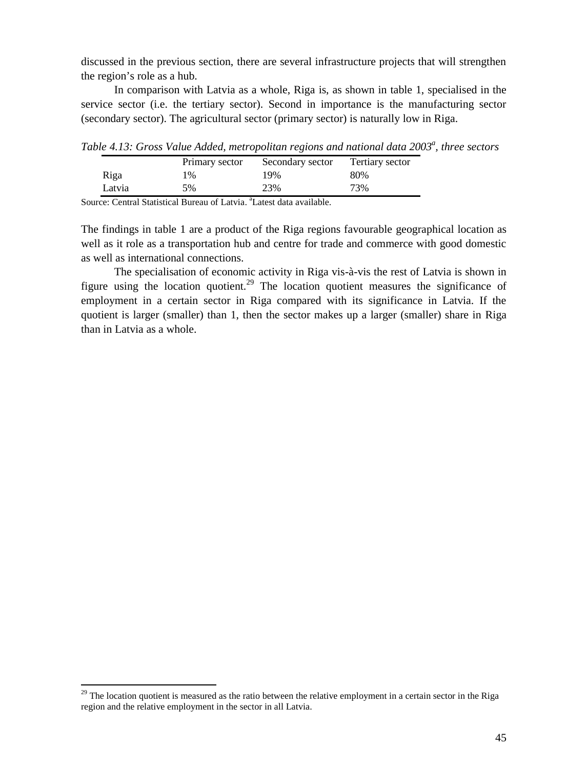discussed in the previous section, there are several infrastructure projects that will strengthen the region's role as a hub.

In comparison with Latvia as a whole, Riga is, as shown in table 1, specialised in the service sector (i.e. the tertiary sector). Second in importance is the manufacturing sector (secondary sector). The agricultural sector (primary sector) is naturally low in Riga.

*Table 4.13: Gross Value Added, metropolitan regions and national data 2003<sup>a</sup> , three sectors*

|        | Primary sector | Secondary sector | Tertiary sector |
|--------|----------------|------------------|-----------------|
| Riga   | $\frac{9}{6}$  | 19%              | 80%             |
| Latvia | 5%             | 23%              | 73%             |

Source: Central Statistical Bureau of Latvia. <sup>a</sup>Latest data available.

The findings in table 1 are a product of the Riga regions favourable geographical location as well as it role as a transportation hub and centre for trade and commerce with good domestic as well as international connections.

The specialisation of economic activity in Riga vis-à-vis the rest of Latvia is shown in figure using the location quotient.<sup>29</sup> The location quotient measures the significance of employment in a certain sector in Riga compared with its significance in Latvia. If the quotient is larger (smaller) than 1, then the sector makes up a larger (smaller) share in Riga than in Latvia as a whole.

 $29$  The location quotient is measured as the ratio between the relative employment in a certain sector in the Riga region and the relative employment in the sector in all Latvia.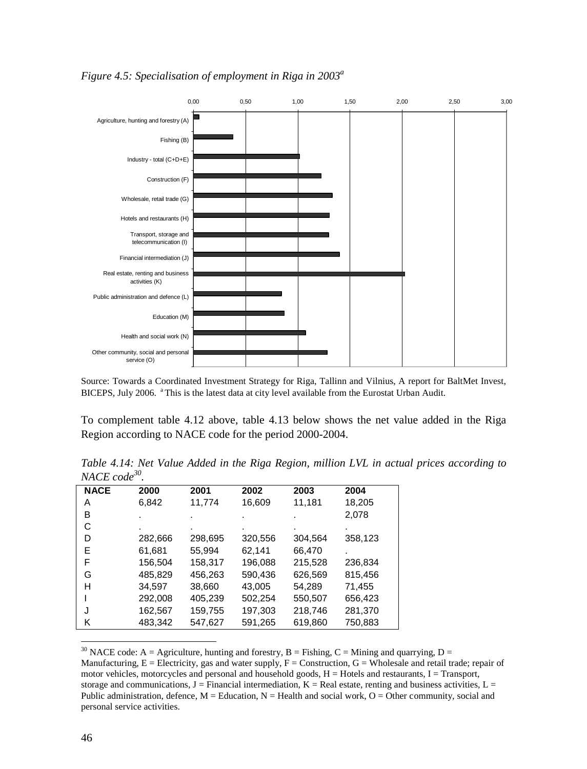

*Figure 4.5: Specialisation of employment in Riga in 2003<sup>a</sup>*

Source: Towards a Coordinated Investment Strategy for Riga, Tallinn and Vilnius, A report for BaltMet Invest, BICEPS, July 2006. <sup>a</sup> This is the latest data at city level available from the Eurostat Urban Audit.

To complement table 4.12 above, table 4.13 below shows the net value added in the Riga Region according to NACE code for the period 2000-2004.

*Table 4.14: Net Value Added in the Riga Region, million LVL in actual prices according to NACE code<sup>30</sup> .*

| 11,774<br>16,609<br>11,181<br>18,205<br>6,842<br>A<br>2,078<br>в<br>٠<br>С<br>D<br>298,695<br>358,123<br>282,666<br>320,556<br>304,564<br>E<br>55,994<br>66,470<br>61,681<br>62,141<br>F<br>158,317<br>196,088<br>215,528<br>156,504<br>236,834<br>485,829<br>G<br>590,436<br>626,569<br>815,456<br>456,263 |
|-------------------------------------------------------------------------------------------------------------------------------------------------------------------------------------------------------------------------------------------------------------------------------------------------------------|
|                                                                                                                                                                                                                                                                                                             |
|                                                                                                                                                                                                                                                                                                             |
|                                                                                                                                                                                                                                                                                                             |
|                                                                                                                                                                                                                                                                                                             |
|                                                                                                                                                                                                                                                                                                             |
|                                                                                                                                                                                                                                                                                                             |
|                                                                                                                                                                                                                                                                                                             |
| н<br>34,597<br>38,660<br>43,005<br>54,289<br>71,455                                                                                                                                                                                                                                                         |
| 292,008<br>405,239<br>502,254<br>550,507<br>656,423                                                                                                                                                                                                                                                         |
| 197,303<br>218,746<br>281,370<br>159,755<br>J<br>162,567                                                                                                                                                                                                                                                    |
| 483,342<br>547,627<br>591,265<br>619,860<br>750,883<br>Κ                                                                                                                                                                                                                                                    |

<sup>30</sup> NACE code: A = Agriculture, hunting and forestry, B = Fishing, C = Mining and quarrying, D = Manufacturing,  $E =$  Electricity, gas and water supply,  $F =$  Construction,  $G =$  Wholesale and retail trade; repair of motor vehicles, motorcycles and personal and household goods,  $H =$  Hotels and restaurants,  $I =$  Transport, storage and communications,  $J =$  Financial intermediation,  $K =$  Real estate, renting and business activities,  $L =$ Public administration, defence,  $M =$  Education,  $N =$  Health and social work,  $O =$  Other community, social and personal service activities.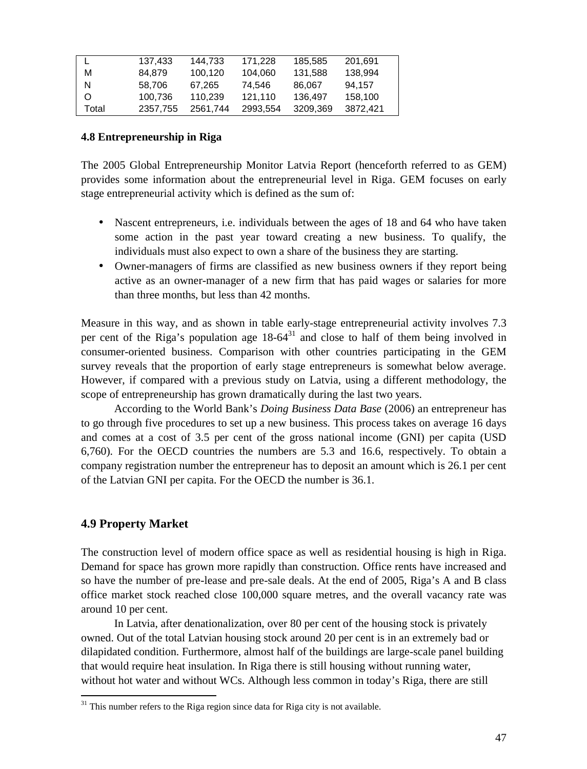|       | 137,433  | 144,733  | 171,228  | 185,585  | 201,691  |
|-------|----------|----------|----------|----------|----------|
| М     | 84.879   | 100.120  | 104.060  | 131,588  | 138,994  |
| N     | 58.706   | 67.265   | 74.546   | 86.067   | 94.157   |
| O     | 100,736  | 110.239  | 121.110  | 136.497  | 158,100  |
| Total | 2357,755 | 2561.744 | 2993.554 | 3209.369 | 3872.421 |
|       |          |          |          |          |          |

### **4.8 Entrepreneurship in Riga**

The 2005 Global Entrepreneurship Monitor Latvia Report (henceforth referred to as GEM) provides some information about the entrepreneurial level in Riga. GEM focuses on early stage entrepreneurial activity which is defined as the sum of:

- Nascent entrepreneurs, i.e. individuals between the ages of 18 and 64 who have taken some action in the past year toward creating a new business. To qualify, the individuals must also expect to own a share of the business they are starting.
- Owner-managers of firms are classified as new business owners if they report being active as an owner-manager of a new firm that has paid wages or salaries for more than three months, but less than 42 months.

Measure in this way, and as shown in table early-stage entrepreneurial activity involves 7.3 per cent of the Riga's population age  $18-64^{31}$  and close to half of them being involved in consumer-oriented business. Comparison with other countries participating in the GEM survey reveals that the proportion of early stage entrepreneurs is somewhat below average. However, if compared with a previous study on Latvia, using a different methodology, the scope of entrepreneurship has grown dramatically during the last two years.

According to the World Bank's *Doing Business Data Base* (2006) an entrepreneur has to go through five procedures to set up a new business. This process takes on average 16 days and comes at a cost of 3.5 per cent of the gross national income (GNI) per capita (USD 6,760). For the OECD countries the numbers are 5.3 and 16.6, respectively. To obtain a company registration number the entrepreneur has to deposit an amount which is 26.1 per cent of the Latvian GNI per capita. For the OECD the number is 36.1.

## **4.9 Property Market**

The construction level of modern office space as well as residential housing is high in Riga. Demand for space has grown more rapidly than construction. Office rents have increased and so have the number of pre-lease and pre-sale deals. At the end of 2005, Riga's A and B class office market stock reached close 100,000 square metres, and the overall vacancy rate was around 10 per cent.

In Latvia, after denationalization, over 80 per cent of the housing stock is privately owned. Out of the total Latvian housing stock around 20 per cent is in an extremely bad or dilapidated condition. Furthermore, almost half of the buildings are large-scale panel building that would require heat insulation. In Riga there is still housing without running water, without hot water and without WCs. Although less common in today's Riga, there are still

 $31$  This number refers to the Riga region since data for Riga city is not available.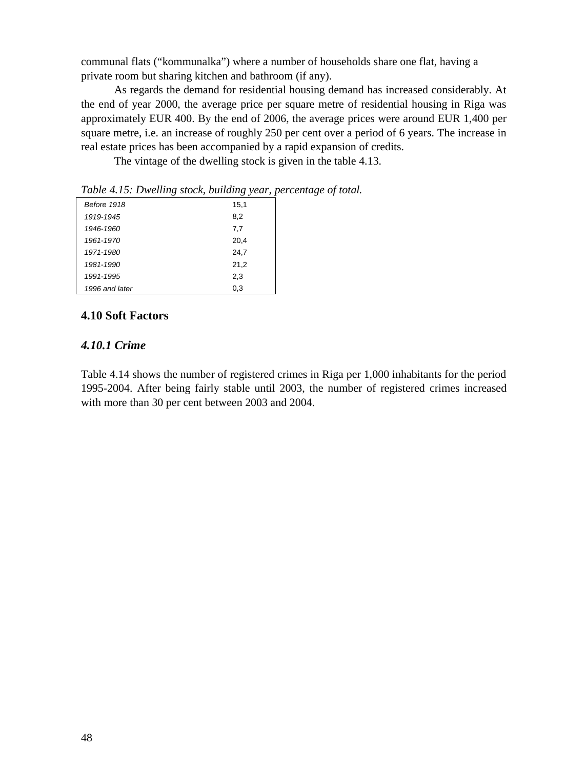communal flats ("kommunalka") where a number of households share one flat, having a private room but sharing kitchen and bathroom (if any).

As regards the demand for residential housing demand has increased considerably. At the end of year 2000, the average price per square metre of residential housing in Riga was approximately EUR 400. By the end of 2006, the average prices were around EUR 1,400 per square metre, i.e. an increase of roughly 250 per cent over a period of 6 years. The increase in real estate prices has been accompanied by a rapid expansion of credits.

The vintage of the dwelling stock is given in the table 4.13.

*Table 4.15: Dwelling stock, building year, percentage of total.*

| Before 1918    | 15,1 |
|----------------|------|
| 1919-1945      | 8,2  |
| 1946-1960      | 7,7  |
| 1961-1970      | 20,4 |
| 1971-1980      | 24,7 |
| 1981-1990      | 21,2 |
| 1991-1995      | 2,3  |
| 1996 and later | 0,3  |

# **4.10 Soft Factors**

# *4.10.1 Crime*

Table 4.14 shows the number of registered crimes in Riga per 1,000 inhabitants for the period 1995-2004. After being fairly stable until 2003, the number of registered crimes increased with more than 30 per cent between 2003 and 2004.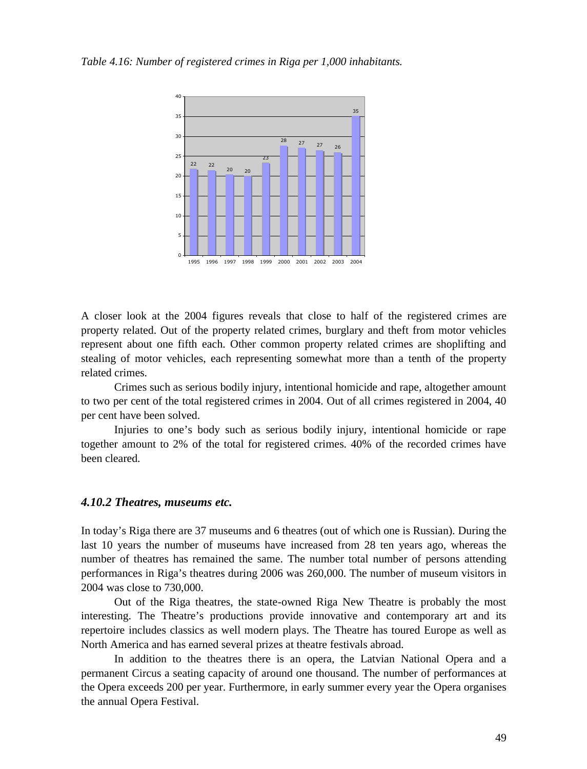*Table 4.16: Number of registered crimes in Riga per 1,000 inhabitants.*



A closer look at the 2004 figures reveals that close to half of the registered crimes are property related. Out of the property related crimes, burglary and theft from motor vehicles represent about one fifth each. Other common property related crimes are shoplifting and stealing of motor vehicles, each representing somewhat more than a tenth of the property related crimes.

Crimes such as serious bodily injury, intentional homicide and rape, altogether amount to two per cent of the total registered crimes in 2004. Out of all crimes registered in 2004, 40 per cent have been solved.

Injuries to one's body such as serious bodily injury, intentional homicide or rape together amount to 2% of the total for registered crimes. 40% of the recorded crimes have been cleared.

#### *4.10.2 Theatres, museums etc.*

In today's Riga there are 37 museums and 6 theatres (out of which one is Russian). During the last 10 years the number of museums have increased from 28 ten years ago, whereas the number of theatres has remained the same. The number total number of persons attending performances in Riga's theatres during 2006 was 260,000. The number of museum visitors in 2004 was close to 730,000.

Out of the Riga theatres, the state-owned Riga New Theatre is probably the most interesting. The Theatre's productions provide innovative and contemporary art and its repertoire includes classics as well modern plays. The Theatre has toured Europe as well as North America and has earned several prizes at theatre festivals abroad.

In addition to the theatres there is an opera, the Latvian National Opera and a permanent Circus a seating capacity of around one thousand. The number of performances at the Opera exceeds 200 per year. Furthermore, in early summer every year the Opera organises the annual Opera Festival.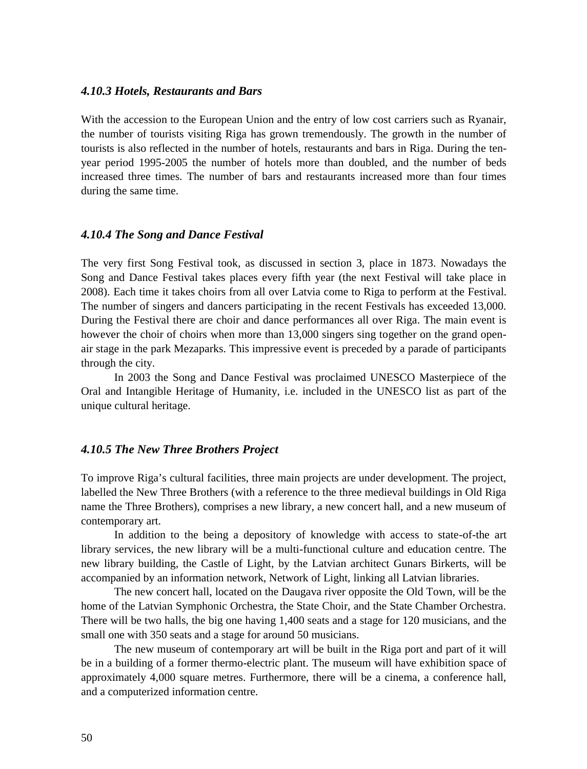#### *4.10.3 Hotels, Restaurants and Bars*

With the accession to the European Union and the entry of low cost carriers such as Ryanair, the number of tourists visiting Riga has grown tremendously. The growth in the number of tourists is also reflected in the number of hotels, restaurants and bars in Riga. During the tenyear period 1995-2005 the number of hotels more than doubled, and the number of beds increased three times. The number of bars and restaurants increased more than four times during the same time.

#### *4.10.4 The Song and Dance Festival*

The very first Song Festival took, as discussed in section 3, place in 1873. Nowadays the Song and Dance Festival takes places every fifth year (the next Festival will take place in 2008). Each time it takes choirs from all over Latvia come to Riga to perform at the Festival. The number of singers and dancers participating in the recent Festivals has exceeded 13,000. During the Festival there are choir and dance performances all over Riga. The main event is however the choir of choirs when more than 13,000 singers sing together on the grand openair stage in the park Mezaparks. This impressive event is preceded by a parade of participants through the city.

In 2003 the Song and Dance Festival was proclaimed UNESCO Masterpiece of the Oral and Intangible Heritage of Humanity, i.e. included in the UNESCO list as part of the unique cultural heritage.

#### *4.10.5 The New Three Brothers Project*

To improve Riga's cultural facilities, three main projects are under development. The project, labelled the New Three Brothers (with a reference to the three medieval buildings in Old Riga name the Three Brothers), comprises a new library, a new concert hall, and a new museum of contemporary art.

In addition to the being a depository of knowledge with access to state-of-the art library services, the new library will be a multi-functional culture and education centre. The new library building, the Castle of Light, by the Latvian architect Gunars Birkerts, will be accompanied by an information network, Network of Light, linking all Latvian libraries.

The new concert hall, located on the Daugava river opposite the Old Town, will be the home of the Latvian Symphonic Orchestra, the State Choir, and the State Chamber Orchestra. There will be two halls, the big one having 1,400 seats and a stage for 120 musicians, and the small one with 350 seats and a stage for around 50 musicians.

The new museum of contemporary art will be built in the Riga port and part of it will be in a building of a former thermo-electric plant. The museum will have exhibition space of approximately 4,000 square metres. Furthermore, there will be a cinema, a conference hall, and a computerized information centre.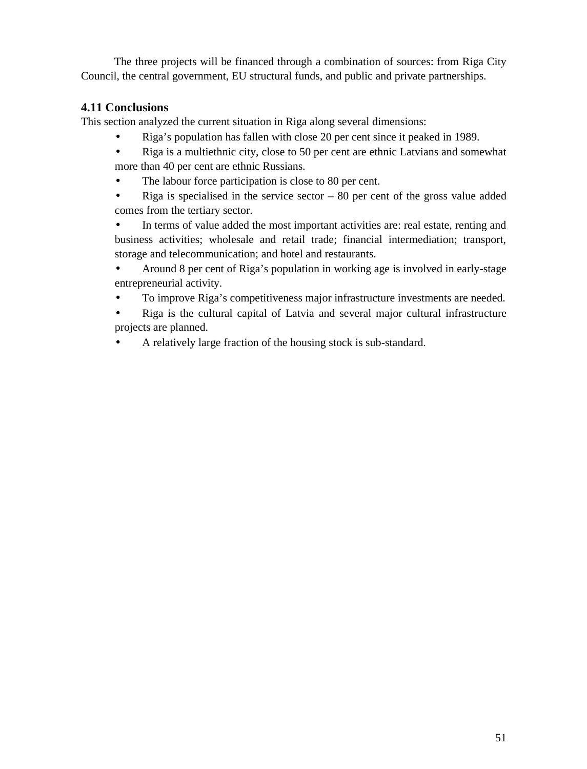The three projects will be financed through a combination of sources: from Riga City Council, the central government, EU structural funds, and public and private partnerships.

# **4.11 Conclusions**

This section analyzed the current situation in Riga along several dimensions:

- Riga's population has fallen with close 20 per cent since it peaked in 1989.
- Riga is a multiethnic city, close to 50 per cent are ethnic Latvians and somewhat more than 40 per cent are ethnic Russians.
- The labour force participation is close to 80 per cent.
- $\cdot$  Riga is specialised in the service sector 80 per cent of the gross value added comes from the tertiary sector.

 In terms of value added the most important activities are: real estate, renting and business activities; wholesale and retail trade; financial intermediation; transport, storage and telecommunication; and hotel and restaurants.

 Around 8 per cent of Riga's population in working age is involved in early-stage entrepreneurial activity.

To improve Riga's competitiveness major infrastructure investments are needed.

 Riga is the cultural capital of Latvia and several major cultural infrastructure projects are planned.

A relatively large fraction of the housing stock is sub-standard.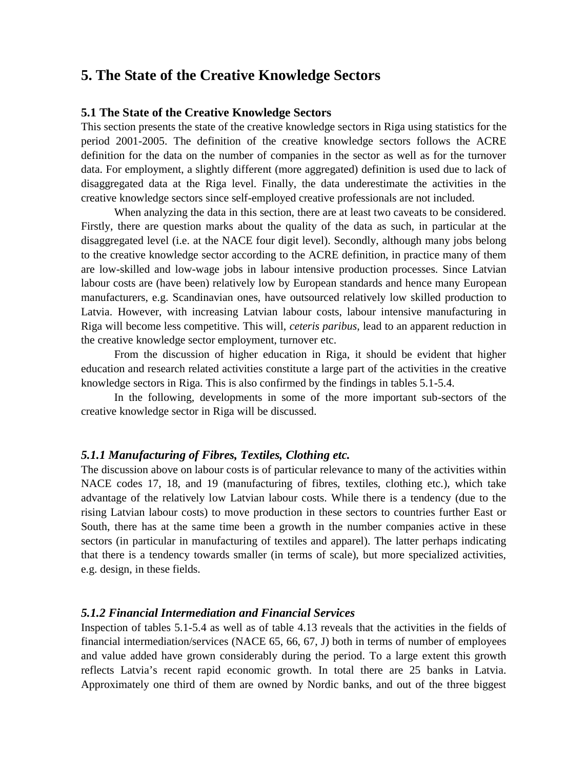# **5. The State of the Creative Knowledge Sectors**

#### **5.1 The State of the Creative Knowledge Sectors**

This section presents the state of the creative knowledge sectors in Riga using statistics for the period 2001-2005. The definition of the creative knowledge sectors follows the ACRE definition for the data on the number of companies in the sector as well as for the turnover data. For employment, a slightly different (more aggregated) definition is used due to lack of disaggregated data at the Riga level. Finally, the data underestimate the activities in the creative knowledge sectors since self-employed creative professionals are not included.

When analyzing the data in this section, there are at least two caveats to be considered. Firstly, there are question marks about the quality of the data as such, in particular at the disaggregated level (i.e. at the NACE four digit level). Secondly, although many jobs belong to the creative knowledge sector according to the ACRE definition, in practice many of them are low-skilled and low-wage jobs in labour intensive production processes. Since Latvian labour costs are (have been) relatively low by European standards and hence many European manufacturers, e.g. Scandinavian ones, have outsourced relatively low skilled production to Latvia. However, with increasing Latvian labour costs, labour intensive manufacturing in Riga will become less competitive. This will, *ceteris paribus*, lead to an apparent reduction in the creative knowledge sector employment, turnover etc.

From the discussion of higher education in Riga, it should be evident that higher education and research related activities constitute a large part of the activities in the creative knowledge sectors in Riga. This is also confirmed by the findings in tables 5.1-5.4.

In the following, developments in some of the more important sub-sectors of the creative knowledge sector in Riga will be discussed.

# *5.1.1 Manufacturing of Fibres, Textiles, Clothing etc.*

The discussion above on labour costs is of particular relevance to many of the activities within NACE codes 17, 18, and 19 (manufacturing of fibres, textiles, clothing etc.), which take advantage of the relatively low Latvian labour costs. While there is a tendency (due to the rising Latvian labour costs) to move production in these sectors to countries further East or South, there has at the same time been a growth in the number companies active in these sectors (in particular in manufacturing of textiles and apparel). The latter perhaps indicating that there is a tendency towards smaller (in terms of scale), but more specialized activities, e.g. design, in these fields.

#### *5.1.2 Financial Intermediation and Financial Services*

Inspection of tables 5.1-5.4 as well as of table 4.13 reveals that the activities in the fields of financial intermediation/services (NACE 65, 66, 67, J) both in terms of number of employees and value added have grown considerably during the period. To a large extent this growth reflects Latvia's recent rapid economic growth. In total there are 25 banks in Latvia. Approximately one third of them are owned by Nordic banks, and out of the three biggest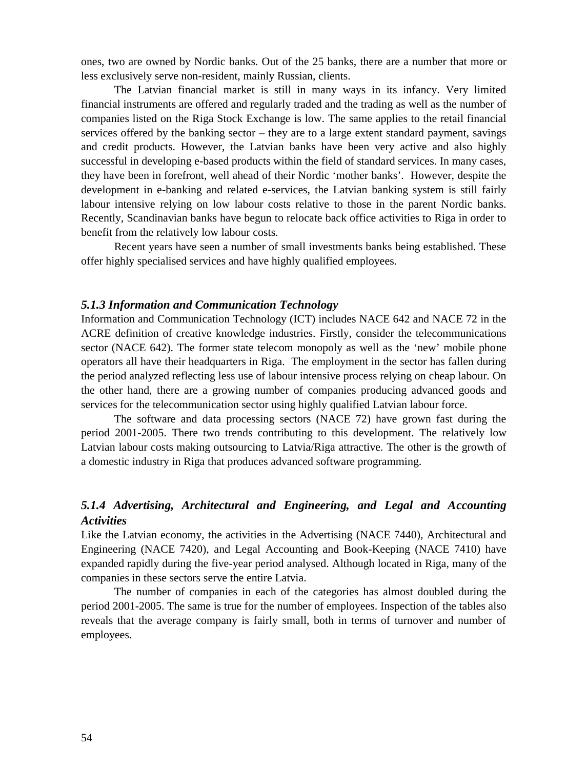ones, two are owned by Nordic banks. Out of the 25 banks, there are a number that more or less exclusively serve non-resident, mainly Russian, clients.

The Latvian financial market is still in many ways in its infancy. Very limited financial instruments are offered and regularly traded and the trading as well as the number of companies listed on the Riga Stock Exchange is low. The same applies to the retail financial services offered by the banking sector – they are to a large extent standard payment, savings and credit products. However, the Latvian banks have been very active and also highly successful in developing e-based products within the field of standard services. In many cases, they have been in forefront, well ahead of their Nordic 'mother banks'. However, despite the development in e-banking and related e-services, the Latvian banking system is still fairly labour intensive relying on low labour costs relative to those in the parent Nordic banks. Recently, Scandinavian banks have begun to relocate back office activities to Riga in order to benefit from the relatively low labour costs.

Recent years have seen a number of small investments banks being established. These offer highly specialised services and have highly qualified employees.

#### *5.1.3 Information and Communication Technology*

Information and Communication Technology (ICT) includes NACE 642 and NACE 72 in the ACRE definition of creative knowledge industries. Firstly, consider the telecommunications sector (NACE 642). The former state telecom monopoly as well as the 'new' mobile phone operators all have their headquarters in Riga. The employment in the sector has fallen during the period analyzed reflecting less use of labour intensive process relying on cheap labour. On the other hand, there are a growing number of companies producing advanced goods and services for the telecommunication sector using highly qualified Latvian labour force.

The software and data processing sectors (NACE 72) have grown fast during the period 2001-2005. There two trends contributing to this development. The relatively low Latvian labour costs making outsourcing to Latvia/Riga attractive. The other is the growth of a domestic industry in Riga that produces advanced software programming.

# *5.1.4 Advertising, Architectural and Engineering, and Legal and Accounting Activities*

Like the Latvian economy, the activities in the Advertising (NACE 7440), Architectural and Engineering (NACE 7420), and Legal Accounting and Book-Keeping (NACE 7410) have expanded rapidly during the five-year period analysed. Although located in Riga, many of the companies in these sectors serve the entire Latvia.

The number of companies in each of the categories has almost doubled during the period 2001-2005. The same is true for the number of employees. Inspection of the tables also reveals that the average company is fairly small, both in terms of turnover and number of employees.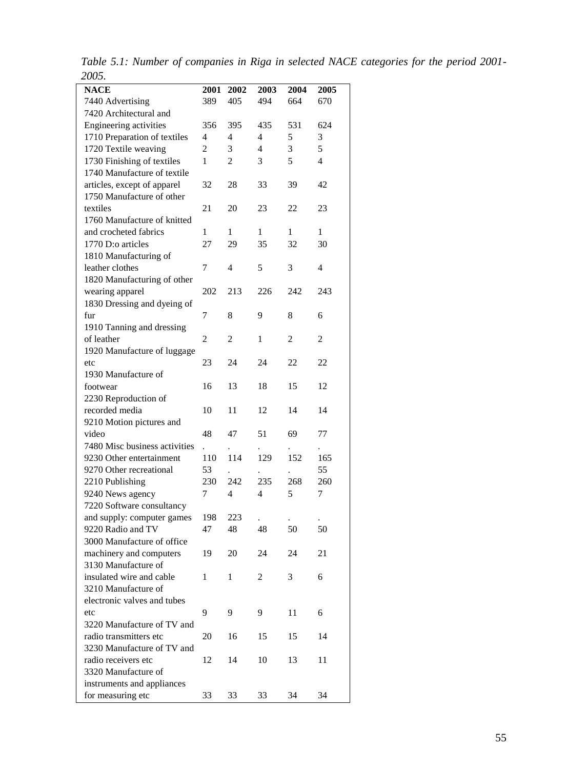| 200J.                                  |                      |                |                |      |                |
|----------------------------------------|----------------------|----------------|----------------|------|----------------|
| <b>NACE</b>                            | 2001                 | 2002           | 2003           | 2004 | 2005           |
| 7440 Advertising                       | 389                  | 405            | 494            | 664  | 670            |
| 7420 Architectural and                 |                      |                |                |      |                |
| Engineering activities                 | 356                  | 395            | 435            | 531  | 624            |
| 1710 Preparation of textiles           | 4                    | $\overline{4}$ | 4              | 5    | 3              |
| 1720 Textile weaving                   | $\overline{c}$       | 3              | $\overline{4}$ | 3    | 5              |
| 1730 Finishing of textiles             | 1                    | $\overline{c}$ | 3              | 5    | $\overline{4}$ |
| 1740 Manufacture of textile            |                      |                |                |      |                |
| articles, except of apparel            | 32                   | 28             | 33             | 39   | 42             |
| 1750 Manufacture of other              |                      |                |                |      |                |
| textiles                               | 21                   | 20             | 23             | 22   | 23             |
| 1760 Manufacture of knitted            |                      |                |                |      |                |
| and crocheted fabrics                  | 1                    | 1              | 1              | 1    | 1              |
| 1770 D:o articles                      | 27                   | 29             | 35             | 32   | 30             |
| 1810 Manufacturing of                  |                      |                |                |      |                |
| leather clothes                        | 7                    | 4              | 5              | 3    | 4              |
| 1820 Manufacturing of other            |                      |                |                |      |                |
| wearing apparel                        | 202                  | 213            | 226            | 242  | 243            |
| 1830 Dressing and dyeing of            |                      |                |                |      |                |
| fur                                    | 7                    | 8              | 9              | 8    | 6              |
| 1910 Tanning and dressing              |                      |                |                |      |                |
| of leather                             | $\overline{2}$       | 2              | 1              | 2    | 2              |
|                                        |                      |                |                |      |                |
| 1920 Manufacture of luggage            | 23                   | 24             | 24             | 22   | 22             |
| etc<br>1930 Manufacture of             |                      |                |                |      |                |
| footwear                               | 16                   | 13             | 18             | 15   | 12             |
|                                        |                      |                |                |      |                |
| 2230 Reproduction of<br>recorded media | 10                   | 11             | 12             | 14   | 14             |
|                                        |                      |                |                |      |                |
| 9210 Motion pictures and               |                      |                |                |      |                |
| video                                  | 48                   | 47             | 51             | 69   | 77             |
| 7480 Misc business activities          | $\ddot{\phantom{0}}$ |                |                |      |                |
| 9230 Other entertainment               | 110                  | 114            | 129            | 152  | 165            |
| 9270 Other recreational                | 53                   |                |                |      | 55             |
| 2210 Publishing                        | 230                  | 242            | 235            | 268  | 260            |
| 9240 News agency                       | 7                    | 4              | 4              | 5    | 7              |
| 7220 Software consultancy              |                      |                |                |      |                |
| and supply: computer games             | 198                  | 223            |                |      |                |
| 9220 Radio and TV                      | 47                   | 48             | 48             | 50   | 50             |
| 3000 Manufacture of office             |                      |                |                |      |                |
| machinery and computers                | 19                   | 20             | 24             | 24   | 21             |
| 3130 Manufacture of                    |                      |                |                |      |                |
| insulated wire and cable               | 1                    | 1              | 2              | 3    | 6              |
| 3210 Manufacture of                    |                      |                |                |      |                |
| electronic valves and tubes            |                      |                |                |      |                |
| etc                                    | 9                    | 9              | 9              | 11   | 6              |
| 3220 Manufacture of TV and             |                      |                |                |      |                |
| radio transmitters etc                 | 20                   | 16             | 15             | 15   | 14             |
| 3230 Manufacture of TV and             |                      |                |                |      |                |
| radio receivers etc                    | 12                   | 14             | 10             | 13   | 11             |
| 3320 Manufacture of                    |                      |                |                |      |                |
| instruments and appliances             |                      |                |                |      |                |
| for measuring etc                      | 33                   | 33             | 33             | 34   | 34             |

*Table 5.1: Number of companies in Riga in selected NACE categories for the period 2001- 2005.*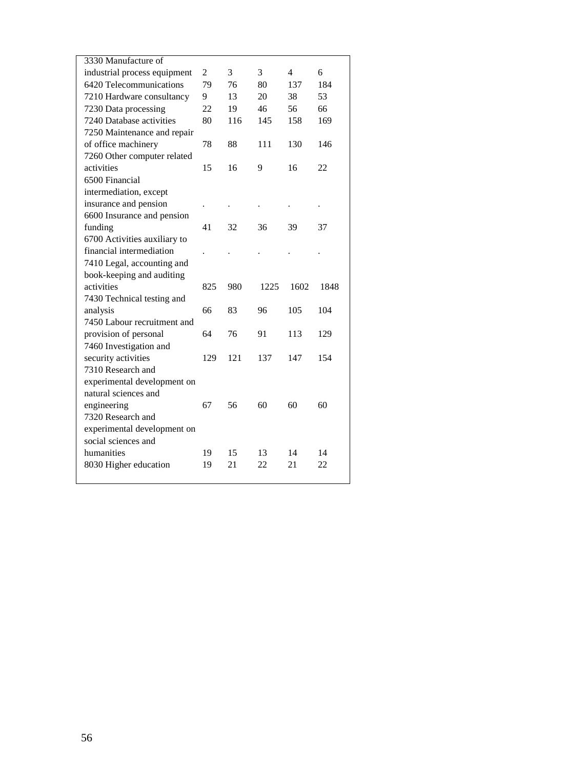| 3330 Manufacture of          |                |     |      |      |      |
|------------------------------|----------------|-----|------|------|------|
| industrial process equipment | $\overline{c}$ | 3   | 3    | 4    | 6    |
| 6420 Telecommunications      | 79             | 76  | 80   | 137  | 184  |
| 7210 Hardware consultancy    | 9              | 13  | 20   | 38   | 53   |
| 7230 Data processing         | 22             | 19  | 46   | 56   | 66   |
| 7240 Database activities     | 80             | 116 | 145  | 158  | 169  |
| 7250 Maintenance and repair  |                |     |      |      |      |
| of office machinery          | 78             | 88  | 111  | 130  | 146  |
| 7260 Other computer related  |                |     |      |      |      |
| activities                   | 15             | 16  | 9    | 16   | 22   |
| 6500 Financial               |                |     |      |      |      |
| intermediation, except       |                |     |      |      |      |
| insurance and pension        |                |     |      |      |      |
| 6600 Insurance and pension   |                |     |      |      |      |
| funding                      | 41             | 32  | 36   | 39   | 37   |
| 6700 Activities auxiliary to |                |     |      |      |      |
| financial intermediation     |                |     |      |      |      |
| 7410 Legal, accounting and   |                |     |      |      |      |
|                              |                |     |      |      |      |
| book-keeping and auditing    |                |     |      |      |      |
| activities                   | 825            | 980 | 1225 | 1602 | 1848 |
| 7430 Technical testing and   |                |     |      |      |      |
| analysis                     | 66             | 83  | 96   | 105  | 104  |
| 7450 Labour recruitment and  |                |     |      |      |      |
| provision of personal        | 64             | 76  | 91   | 113  | 129  |
| 7460 Investigation and       |                |     |      |      |      |
| security activities          | 129            | 121 | 137  | 147  | 154  |
| 7310 Research and            |                |     |      |      |      |
| experimental development on  |                |     |      |      |      |
| natural sciences and         |                |     |      |      |      |
| engineering                  | 67             | 56  | 60   | 60   | 60   |
| 7320 Research and            |                |     |      |      |      |
| experimental development on  |                |     |      |      |      |
| social sciences and          |                |     |      |      |      |
| humanities                   | 19             | 15  | 13   | 14   | 14   |
| 8030 Higher education        | 19             | 21  | 22   | 21   | 22   |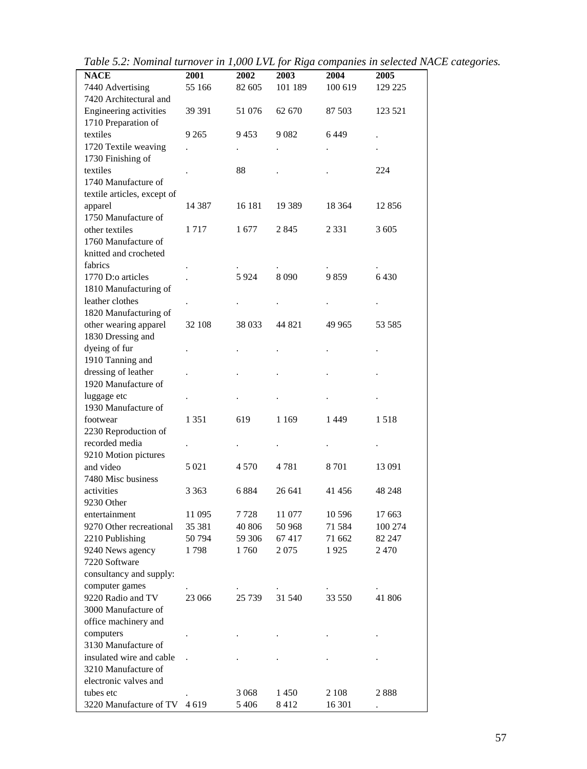| <b>NACE</b>                                   | 2001                 | 2002    | $\circ$<br>2003 | $\mathbf{r}$<br>2004 | 2005    |
|-----------------------------------------------|----------------------|---------|-----------------|----------------------|---------|
| 7440 Advertising                              | 55 166               | 82 605  | 101 189         | 100 619              | 129 225 |
| 7420 Architectural and                        |                      |         |                 |                      |         |
|                                               |                      |         |                 |                      |         |
| Engineering activities<br>1710 Preparation of | 39 391               | 51 076  | 62 670          | 87 503               | 123 521 |
| textiles                                      | 9 2 6 5              | 9453    | 9082            | 6449                 |         |
| 1720 Textile weaving                          |                      |         |                 |                      |         |
| 1730 Finishing of                             |                      |         |                 |                      |         |
| textiles                                      |                      | 88      |                 |                      | 224     |
| 1740 Manufacture of                           |                      |         |                 |                      |         |
| textile articles, except of                   |                      |         |                 |                      |         |
| apparel                                       | 14 3 8 7             | 16 181  | 19 3 89         | 18 3 64              | 12856   |
| 1750 Manufacture of                           |                      |         |                 |                      |         |
| other textiles                                | 1717                 | 1677    | 2845            | 2 3 3 1              | 3 6 0 5 |
| 1760 Manufacture of                           |                      |         |                 |                      |         |
| knitted and crocheted                         |                      |         |                 |                      |         |
| fabrics                                       |                      |         |                 |                      |         |
| 1770 D:o articles                             |                      | 5924    | 8090            | 9859                 | 6430    |
| 1810 Manufacturing of                         |                      |         |                 |                      |         |
| leather clothes                               |                      |         |                 |                      |         |
| 1820 Manufacturing of                         |                      |         |                 |                      |         |
| other wearing apparel                         | 32 108               | 38 033  | 44 821          | 49 965               | 53 585  |
| 1830 Dressing and                             |                      |         |                 |                      |         |
| dyeing of fur                                 |                      |         |                 |                      |         |
| 1910 Tanning and                              |                      |         |                 |                      |         |
| dressing of leather                           |                      |         |                 |                      |         |
| 1920 Manufacture of                           |                      |         |                 |                      |         |
|                                               |                      |         |                 |                      |         |
| luggage etc                                   |                      |         |                 |                      |         |
| 1930 Manufacture of                           |                      |         |                 |                      |         |
| footwear                                      | 1 3 5 1              | 619     | 1 1 6 9         | 1449                 | 1518    |
| 2230 Reproduction of                          |                      |         |                 |                      |         |
| recorded media                                |                      |         |                 |                      |         |
| 9210 Motion pictures                          |                      |         |                 |                      |         |
| and video                                     | 5 0 2 1              | 4570    | 4781            | 8701                 | 13 091  |
| 7480 Misc business                            |                      |         |                 |                      |         |
| activities                                    | 3 3 6 3              | 6 8 8 4 | 26 641          | 41 456               | 48 248  |
| 9230 Other                                    |                      |         |                 |                      |         |
| entertainment                                 | 11 095               | 7728    | 11 077          | 10 596               | 17 663  |
| 9270 Other recreational                       | 35 381               | 40 806  | 50 968          | 71 584               | 100 274 |
| 2210 Publishing                               | 50794                | 59 30 6 | 67417           | 71 662               | 82 247  |
| 9240 News agency                              | 1798                 | 1760    | 2075            | 1925                 | 2470    |
| 7220 Software                                 |                      |         |                 |                      |         |
| consultancy and supply:                       |                      |         |                 |                      |         |
| computer games                                |                      |         |                 |                      |         |
| 9220 Radio and TV                             | 23 066               | 25 7 39 | 31 540          | 33 550               | 41 806  |
| 3000 Manufacture of                           |                      |         |                 |                      |         |
| office machinery and                          |                      |         |                 |                      |         |
| computers                                     |                      |         |                 |                      |         |
| 3130 Manufacture of                           |                      |         |                 |                      |         |
| insulated wire and cable                      | $\ddot{\phantom{a}}$ |         |                 |                      |         |
| 3210 Manufacture of                           |                      |         |                 |                      |         |
| electronic valves and                         |                      |         |                 |                      |         |
| tubes etc                                     |                      | 3 0 6 8 | 1450            | 2 1 0 8              | 2888    |
| 3220 Manufacture of TV                        | 4619                 | 5406    | 8412            | 16 301               |         |
|                                               |                      |         |                 |                      |         |

*Table 5.2: Nominal turnover in 1,000 LVL for Riga companies in selected NACE categories.*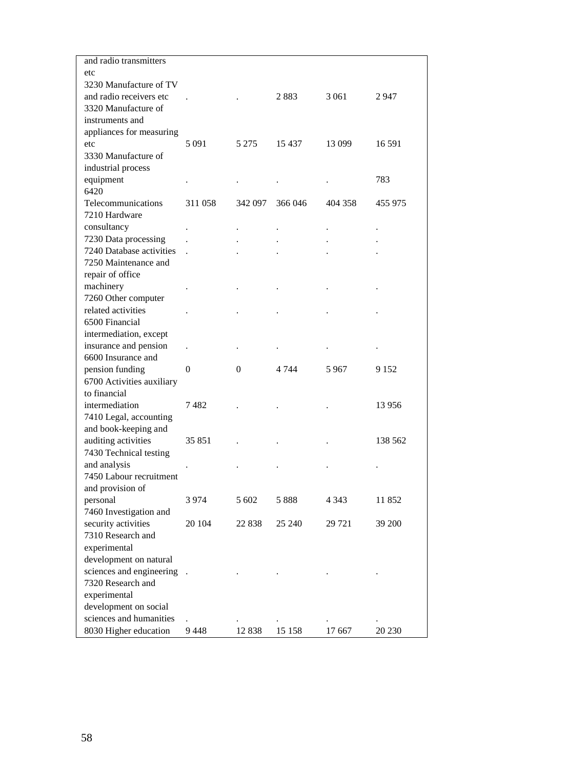| and radio transmitters    |         |          |         |         |          |
|---------------------------|---------|----------|---------|---------|----------|
| etc                       |         |          |         |         |          |
| 3230 Manufacture of TV    |         |          |         |         |          |
| and radio receivers etc   |         |          | 2883    | 3 0 6 1 | 2 947    |
| 3320 Manufacture of       |         |          |         |         |          |
| instruments and           |         |          |         |         |          |
| appliances for measuring  |         |          |         |         |          |
| etc                       | 5 0 9 1 | 5 275    | 15 437  | 13 099  | 16 5 91  |
| 3330 Manufacture of       |         |          |         |         |          |
| industrial process        |         |          |         |         |          |
| equipment                 |         |          |         |         | 783      |
| 6420                      |         |          |         |         |          |
| Telecommunications        | 311 058 | 342 097  | 366 046 | 404 358 | 455 975  |
| 7210 Hardware             |         |          |         |         |          |
| consultancy               |         |          |         |         |          |
| 7230 Data processing      |         |          |         |         |          |
| 7240 Database activities  |         |          |         |         |          |
| 7250 Maintenance and      |         |          |         |         |          |
|                           |         |          |         |         |          |
| repair of office          |         |          |         |         |          |
| machinery                 |         |          |         |         |          |
| 7260 Other computer       |         |          |         |         |          |
| related activities        |         |          |         |         |          |
| 6500 Financial            |         |          |         |         |          |
| intermediation, except    |         |          |         |         |          |
| insurance and pension     |         |          |         |         |          |
| 6600 Insurance and        |         |          |         |         |          |
| pension funding           | 0       | $\Omega$ | 4 7 4 4 | 5967    | 9 1 5 2  |
| 6700 Activities auxiliary |         |          |         |         |          |
| to financial              |         |          |         |         |          |
| intermediation            | 7482    |          |         |         | 13 9 5 6 |
| 7410 Legal, accounting    |         |          |         |         |          |
| and book-keeping and      |         |          |         |         |          |
| auditing activities       | 35 851  |          |         |         | 138 562  |
| 7430 Technical testing    |         |          |         |         |          |
| and analysis              |         |          |         |         |          |
| 7450 Labour recruitment   |         |          |         |         |          |
| and provision of          |         |          |         |         |          |
| personal                  | 3974    | 5 602    | 5 888   | 4 343   | 11 852   |
| 7460 Investigation and    |         |          |         |         |          |
| security activities       | 20 104  | 22 838   | 25 240  | 29 721  | 39 200   |
| 7310 Research and         |         |          |         |         |          |
| experimental              |         |          |         |         |          |
| development on natural    |         |          |         |         |          |
| sciences and engineering. |         |          |         |         |          |
| 7320 Research and         |         |          |         |         |          |
| experimental              |         |          |         |         |          |
| development on social     |         |          |         |         |          |
| sciences and humanities   |         |          |         |         |          |
| 8030 Higher education     | 9448    | 12 838   | 15 158  | 17 667  | 20 230   |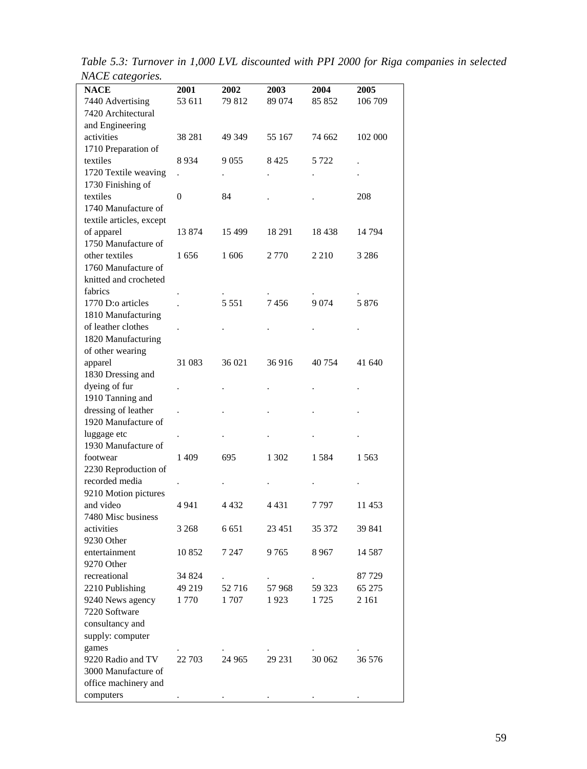*Table 5.3: Turnover in 1,000 LVL discounted with PPI 2000 for Riga companies in selected NACE categories.*

| <b>NACE</b>              | 2001                 | 2002    | <b>2003</b>          | 2004    | <b>2005</b> |
|--------------------------|----------------------|---------|----------------------|---------|-------------|
| 7440 Advertising         | 53 611               | 79 812  | 89 074               | 85 852  | 106 709     |
| 7420 Architectural       |                      |         |                      |         |             |
| and Engineering          |                      |         |                      |         |             |
| activities               | 38 281               | 49 349  | 55 167               | 74 662  | 102 000     |
| 1710 Preparation of      |                      |         |                      |         |             |
| textiles                 | 8 9 3 4              | 9055    | 8 4 2 5              | 5 722   |             |
| 1720 Textile weaving     | $\ddot{\phantom{0}}$ |         | $\ddot{\phantom{0}}$ |         |             |
| 1730 Finishing of        |                      |         |                      |         |             |
| textiles                 | 0                    | 84      |                      |         | 208         |
| 1740 Manufacture of      |                      |         |                      |         |             |
| textile articles, except |                      |         |                      |         |             |
| of apparel               | 13 874               | 15 4 99 | 18 291               | 18438   | 14 794      |
| 1750 Manufacture of      |                      |         |                      |         |             |
| other textiles           | 1656                 | 1606    | 2 7 7 0              | 2 2 1 0 | 3 2 8 6     |
| 1760 Manufacture of      |                      |         |                      |         |             |
| knitted and crocheted    |                      |         |                      |         |             |
| fabrics                  |                      |         |                      |         |             |
| 1770 D:o articles        |                      | 5 5 5 1 | 7456                 | 9074    | 5876        |
| 1810 Manufacturing       |                      |         |                      |         |             |
| of leather clothes       |                      |         |                      |         |             |
| 1820 Manufacturing       |                      |         |                      |         |             |
| of other wearing         |                      |         |                      |         |             |
| apparel                  | 31 083               | 36 021  | 36916                | 40 754  | 41 640      |
| 1830 Dressing and        |                      |         |                      |         |             |
| dyeing of fur            |                      |         |                      |         |             |
| 1910 Tanning and         |                      |         |                      |         |             |
| dressing of leather      |                      |         |                      |         |             |
| 1920 Manufacture of      |                      |         |                      |         |             |
| luggage etc              |                      |         |                      |         |             |
| 1930 Manufacture of      |                      |         |                      |         |             |
| footwear                 | 1409                 | 695     | 1 302                | 1584    | 1563        |
| 2230 Reproduction of     |                      |         |                      |         |             |
| recorded media           |                      |         |                      |         |             |
| 9210 Motion pictures     |                      |         |                      |         |             |
| and video                | 4941                 | 4 4 3 2 | 4 4 3 1              | 7797    | 11 453      |
| 7480 Misc business       |                      |         |                      |         |             |
| activities               | 3 2 6 8              | 6 6 5 1 | 23 451               | 35 372  | 39 841      |
| 9230 Other               |                      |         |                      |         |             |
| entertainment            | 10 852               | 7 247   | 9765                 | 8 967   | 14 5 8 7    |
| 9270 Other               |                      |         |                      |         |             |
| recreational             | 34 824               |         |                      |         | 87 729      |
| 2210 Publishing          | 49 219               | 52 716  | 57 968               | 59 323  | 65 275      |
| 9240 News agency         | 1770                 | 1707    | 1923                 | 1725    | 2 1 6 1     |
| 7220 Software            |                      |         |                      |         |             |
| consultancy and          |                      |         |                      |         |             |
| supply: computer         |                      |         |                      |         |             |
| games                    |                      |         |                      |         |             |
| 9220 Radio and TV        | 22 703               | 24 9 65 | 29 231               | 30 062  | 36 576      |
| 3000 Manufacture of      |                      |         |                      |         |             |
| office machinery and     |                      |         |                      |         |             |
| computers                |                      |         |                      |         |             |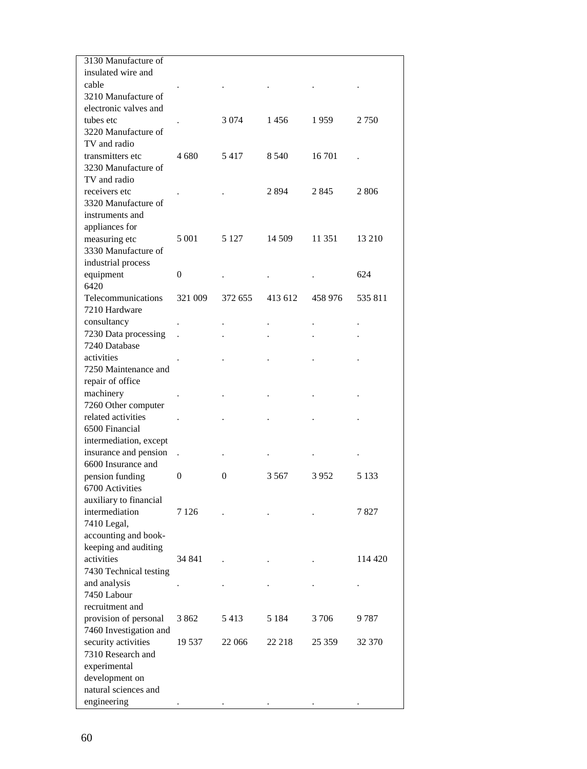| 3130 Manufacture of                 |                      |                      |         |         |         |
|-------------------------------------|----------------------|----------------------|---------|---------|---------|
| insulated wire and                  |                      |                      |         |         |         |
| cable                               |                      |                      |         |         |         |
| 3210 Manufacture of                 |                      |                      |         |         |         |
| electronic valves and               |                      |                      |         |         |         |
| tubes etc                           |                      | 3 0 7 4              | 1456    | 1959    | 2 7 5 0 |
| 3220 Manufacture of                 |                      |                      |         |         |         |
| TV and radio                        |                      |                      |         |         |         |
| transmitters etc                    | 4 680                | 5417                 | 8 5 4 0 | 16 701  |         |
| 3230 Manufacture of                 |                      |                      |         |         |         |
| TV and radio                        |                      |                      |         |         |         |
| receivers etc                       |                      |                      | 2894    | 2845    | 2 806   |
| 3320 Manufacture of                 |                      |                      |         |         |         |
| instruments and                     |                      |                      |         |         |         |
| appliances for                      |                      |                      |         |         |         |
| measuring etc                       | 5 0 0 1              | 5 1 2 7              | 14 509  | 11 351  | 13 210  |
| 3330 Manufacture of                 |                      |                      |         |         |         |
| industrial process                  |                      |                      |         |         |         |
| equipment                           | 0                    |                      |         |         | 624     |
| 6420                                |                      |                      |         |         |         |
| Telecommunications                  | 321 009              | 372 655              | 413 612 | 458 976 | 535 811 |
| 7210 Hardware                       |                      |                      |         |         |         |
| consultancy                         |                      |                      |         |         |         |
| 7230 Data processing                |                      |                      |         |         |         |
| 7240 Database                       |                      |                      |         |         |         |
| activities                          |                      |                      |         |         |         |
| 7250 Maintenance and                |                      |                      |         |         |         |
| repair of office                    |                      |                      |         |         |         |
| machinery                           |                      |                      |         |         |         |
| 7260 Other computer                 |                      |                      |         |         |         |
| related activities                  |                      |                      |         |         |         |
| 6500 Financial                      |                      |                      |         |         |         |
| intermediation, except              |                      |                      |         |         |         |
| insurance and pension               | $\ddot{\phantom{a}}$ | $\ddot{\phantom{0}}$ |         |         |         |
| 6600 Insurance and                  |                      |                      |         |         |         |
| pension funding                     | $\Omega$             | $\overline{0}$       | 3.567   | 3952    | 5 1 3 3 |
| 6700 Activities                     |                      |                      |         |         |         |
| auxiliary to financial              |                      |                      |         |         | 7827    |
| intermediation                      | 7 1 2 6              |                      |         |         |         |
| 7410 Legal,<br>accounting and book- |                      |                      |         |         |         |
| keeping and auditing                |                      |                      |         |         |         |
| activities                          | 34 841               |                      |         |         | 114 420 |
| 7430 Technical testing              |                      |                      |         |         |         |
| and analysis                        |                      |                      |         |         |         |
| 7450 Labour                         |                      |                      |         |         |         |
| recruitment and                     |                      |                      |         |         |         |
| provision of personal               | 3 862                | 5413                 | 5 1 8 4 | 3 706   | 9 787   |
| 7460 Investigation and              |                      |                      |         |         |         |
| security activities                 | 19 537               | 22 066               | 22 218  | 25 359  | 32 370  |
| 7310 Research and                   |                      |                      |         |         |         |
| experimental                        |                      |                      |         |         |         |
| development on                      |                      |                      |         |         |         |
| natural sciences and                |                      |                      |         |         |         |
| engineering                         |                      |                      |         |         |         |
|                                     |                      |                      |         |         |         |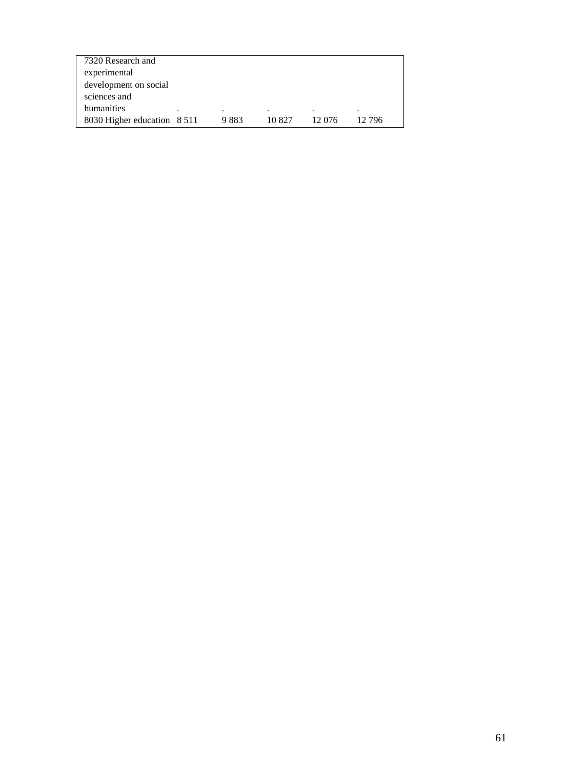| 7320 Research and           |   |      |        |        |        |
|-----------------------------|---|------|--------|--------|--------|
| experimental                |   |      |        |        |        |
| development on social       |   |      |        |        |        |
| sciences and                |   |      |        |        |        |
| humanities                  | ٠ |      |        |        |        |
| 8030 Higher education 8 511 |   | 9883 | 10.827 | 12.076 | 12.796 |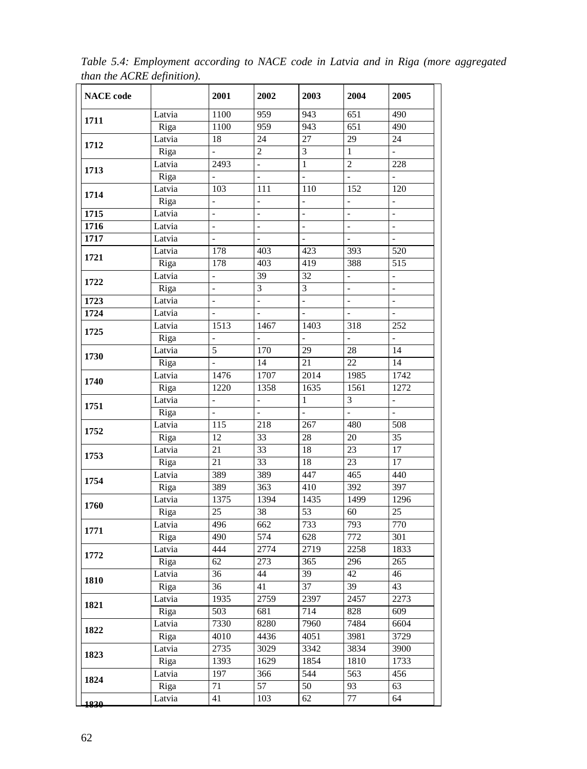| <b>NACE</b> code |        | 2001                     | 2002                     | 2003                     | 2004                     | 2005                     |
|------------------|--------|--------------------------|--------------------------|--------------------------|--------------------------|--------------------------|
| 1711             | Latvia | 1100                     | 959                      | 943                      | 651                      | 490                      |
|                  | Riga   | 1100                     | 959                      | 943                      | $\overline{651}$         | 490                      |
| 1712             | Latvia | 18                       | 24                       | 27                       | $\overline{29}$          | 24                       |
|                  | Riga   | $\overline{a}$           | $\overline{2}$           | 3                        | $\mathbf{1}$             | $\mathbb{L}$             |
| 1713             | Latvia | 2493                     | $\mathbb{L}$             | $\mathbf 1$              | $\overline{2}$           | 228                      |
|                  | Riga   |                          | $\overline{a}$           | $\overline{a}$           | $\overline{a}$           | $\overline{\phantom{a}}$ |
| 1714             | Latvia | 103                      | 111                      | 110                      | 152                      | $\frac{120}{2}$          |
|                  | Riga   |                          |                          |                          |                          |                          |
| 1715             | Latvia | $\overline{a}$           | $\overline{\phantom{a}}$ | $\overline{\phantom{0}}$ | $\overline{\phantom{0}}$ | $\overline{\phantom{0}}$ |
| 1716             | Latvia | $\overline{\phantom{0}}$ | $\overline{\phantom{a}}$ | $\overline{a}$           | $\overline{\phantom{a}}$ | $\blacksquare$           |
| 1717             | Latvia | $\frac{1}{2}$            | $\frac{1}{2}$            | $\overline{\phantom{0}}$ | $\overline{a}$           | $\overline{\phantom{a}}$ |
| 1721             | Latvia | 178                      | 403                      | 423                      | 393                      | 520                      |
|                  | Riga   | 178                      | 403                      | 419                      | 388                      | 515                      |
| 1722             | Latvia | $\overline{\phantom{a}}$ | 39                       | 32                       | ÷                        | $\overline{\phantom{a}}$ |
|                  | Riga   | $\overline{\phantom{a}}$ | $\mathfrak{Z}$           | 3                        | $\frac{1}{2}$            | $\blacksquare$           |
| 1723             | Latvia | $\overline{\phantom{a}}$ | $\overline{\phantom{a}}$ | $\frac{1}{2}$            | $\overline{\phantom{a}}$ | $\blacksquare$           |
| 1724             | Latvia | $\overline{\phantom{0}}$ | $\frac{1}{2}$            | $\frac{1}{2}$            | $\frac{1}{2}$            | $\Box$                   |
| 1725             | Latvia | 1513                     | 1467                     | 1403                     | 318                      | 252                      |
|                  | Riga   | $\frac{1}{2}$            | $\frac{1}{2}$            | $\frac{1}{2}$            | $\overline{a}$           | $\overline{\phantom{m}}$ |
| 1730             | Latvia | 5                        | 170                      | 29                       | 28                       | 14                       |
|                  | Riga   |                          | 14                       | 21                       | $\overline{22}$          | $\overline{14}$          |
| 1740             | Latvia | 1476                     | 1707                     | 2014                     | 1985                     | 1742                     |
|                  | Riga   | 1220                     | 1358                     | 1635                     | 1561                     | 1272                     |
| 1751             | Latvia | $\frac{1}{2}$            | $\overline{\phantom{a}}$ | $\mathbf{1}$             | 3                        | $\bar{\gamma}$           |
|                  | Riga   | $\frac{1}{2}$            | $\overline{\phantom{a}}$ | $\overline{a}$           | $\overline{\phantom{a}}$ | $\blacksquare$           |
| 1752             | Latvia | 115                      | 218                      | 267                      | 480                      | 508                      |
|                  | Riga   | 12                       | 33                       | $28\,$                   | $20\,$                   | $\overline{35}$          |
| 1753             | Latvia | 21                       | 33                       | 18                       | 23                       | 17                       |
|                  | Riga   | 21                       | $\overline{33}$          | 18                       | 23                       | 17                       |
| 1754             | Latvia | 389                      | 389                      | 447                      | 465                      | 440                      |
|                  | Riga   | 389                      | $\overline{363}$         | 410                      | 392                      | 397                      |
| 1760             | Latvia | 1375                     | 1394                     | 1435                     | 1499                     | 1296                     |
|                  | Riga   | 25                       | 38                       | 53                       | 60                       | 25                       |
| 1771             | Latvia | 496                      | 662                      | 733                      | 793                      | 770                      |
|                  | Riga   | 490                      | 574                      | 628                      | 772                      | 301                      |
| 1772             | Latvia | 444                      | 2774                     | 2719                     | 2258                     | 1833                     |
|                  | Riga   | 62                       | 273                      | 365                      | 296                      | 265                      |
| 1810             | Latvia | 36                       | 44                       | 39                       | 42                       | 46                       |
|                  | Riga   | 36                       | 41                       | 37                       | 39                       | 43                       |
| 1821             | Latvia | 1935                     | 2759                     | 2397                     | 2457                     | 2273                     |
|                  | Riga   | 503                      | 681                      | 714                      | 828                      | 609                      |
| 1822             | Latvia | 7330                     | 8280                     | 7960                     | 7484                     | 6604                     |
|                  | Riga   | 4010                     | 4436                     | 4051                     | 3981                     | 3729                     |
| 1823             | Latvia | 2735                     | 3029                     | 3342                     | 3834                     | 3900                     |
|                  | Riga   | 1393                     | 1629                     | 1854                     | 1810                     | 1733                     |
| 1824             | Latvia | 197                      | 366                      | 544                      | 563                      | 456                      |
|                  | Riga   | 71                       | 57                       | 50                       | 93                       | 63                       |
| 1830             | Latvia | 41                       | 103                      | 62                       | 77                       | 64                       |

*Table 5.4: Employment according to NACE code in Latvia and in Riga (more aggregated than the ACRE definition).*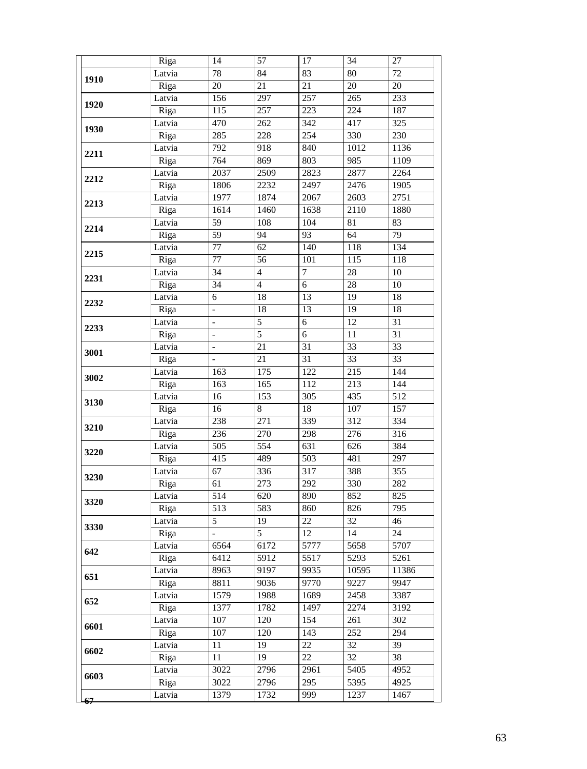|              | Riga   | 14                       | 57              | 17               | 34               | 27              |
|--------------|--------|--------------------------|-----------------|------------------|------------------|-----------------|
|              | Latvia | $78\,$                   | 84              | 83               | $80\,$           | 72              |
| 1910         | Riga   | $20\,$                   | 21              | 21               | $20\,$           | 20              |
|              | Latvia | 156                      | 297             | 257              | 265              | 233             |
| 1920         | Riga   | 115                      | 257             | 223              | $\overline{224}$ | 187             |
|              | Latvia | 470                      | 262             | $\overline{342}$ | 417              | 325             |
| 1930         | Riga   | 285                      | 228             | 254              | 330              | 230             |
| 2211         | Latvia | 792                      | 918             | 840              | 1012             | 1136            |
|              | Riga   | 764                      | 869             | 803              | 985              | 1109            |
| 2212         | Latvia | 2037                     | 2509            | 2823             | 2877             | 2264            |
|              | Riga   | 1806                     | 2232            | 2497             | 2476             | 1905            |
| 2213         | Latvia | 1977                     | 1874            | 2067             | 2603             | 2751            |
|              | Riga   | 1614                     | 1460            | 1638             | 2110             | 1880            |
| 2214         | Latvia | 59                       | 108             | 104              | 81               | 83              |
|              | Riga   | 59                       | 94              | 93               | 64               | 79              |
| 2215<br>2231 | Latvia | $\overline{77}$          | 62              | 140              | 118              | 134             |
|              | Riga   | 77                       | 56              | 101              | 115              | 118             |
|              | Latvia | $\overline{34}$          | $\overline{4}$  | $\overline{7}$   | $\overline{28}$  | 10              |
|              | Riga   | $\overline{34}$          | $\overline{4}$  | 6                | $\overline{28}$  | 10              |
|              | Latvia | 6                        | 18              | 13               | 19               | 18              |
| 2232         | Riga   | $\frac{1}{2}$            | 18              | 13               | $\overline{19}$  | $\overline{18}$ |
| 2233         | Latvia | $\overline{a}$           | $\overline{5}$  | $\overline{6}$   | 12               | $\overline{31}$ |
|              | Riga   | $\overline{a}$           | $\overline{5}$  | $\overline{6}$   | 11               | $\overline{31}$ |
| 3001         | Latvia | $\frac{1}{2}$            | 21              | $\overline{31}$  | $\overline{33}$  | $\overline{33}$ |
|              | Riga   | $\overline{\phantom{0}}$ | $\overline{21}$ | 31               | $\overline{33}$  | $\overline{33}$ |
| 3002         | Latvia | 163                      | 175             | 122              | 215              | 144             |
|              | Riga   | 163                      | 165             | 112              | 213              | 144             |
| 3130         | Latvia | 16                       | 153             | 305              | 435              | 512             |
|              | Riga   | 16                       | 8               | 18               | 107              | 157             |
| 3210         | Latvia | 238                      | 271             | 339              | 312              | 334             |
|              | Riga   | 236                      | 270             | 298              | 276              | 316             |
| 3220         | Latvia | 505                      | 554             | 631              | 626              | 384             |
|              | Riga   | 415                      | 489             | 503              | 481              | 297             |
| 3230         | Latvia | 67                       | 336             | 317              | 388              | 355             |
|              | Riga   | 61                       | 273             | 292              | 330              | 282             |
| 3320         | Latvia | $\overline{514}$         | 620             | 890              | 852              | 825             |
|              | Riga   | 513                      | 583             | 860              | 826              | 795             |
| 3330         | Latvia | 5                        | 19              | 22               | 32               | 46              |
|              | Riga   | $\frac{1}{2}$            | 5               | $\overline{12}$  | 14               | $\overline{24}$ |
| 642          | Latvia | 6564                     | 6172            | 5777             | 5658             | 5707            |
|              | Riga   | 6412                     | 5912            | 5517             | 5293             | 5261            |
| 651          | Latvia | 8963                     | 9197            | 9935             | 10595            | 11386           |
|              | Riga   | 8811                     | 9036            | 9770             | 9227             | 9947            |
| 652          | Latvia | 1579                     | 1988            | 1689             | 2458             | 3387            |
|              | Riga   | 1377                     | 1782            | 1497             | 2274             | 3192            |
| 6601         | Latvia | 107                      | 120             | 154              | 261              | 302             |
|              | Riga   | 107                      | 120             | 143              | 252              | 294             |
| 6602         | Latvia | 11                       | 19              | 22               | 32               | 39              |
|              | Riga   | 11                       | 19              | 22               | 32               | 38              |
| 6603         | Latvia | 3022                     | 2796            | 2961             | 5405             | 4952            |
|              | Riga   | 3022                     | 2796            | 295              | 5395             | 4925            |
|              | Latvia | 1379                     | 1732            | 999              | 1237             | 1467            |
| 67           |        |                          |                 |                  |                  |                 |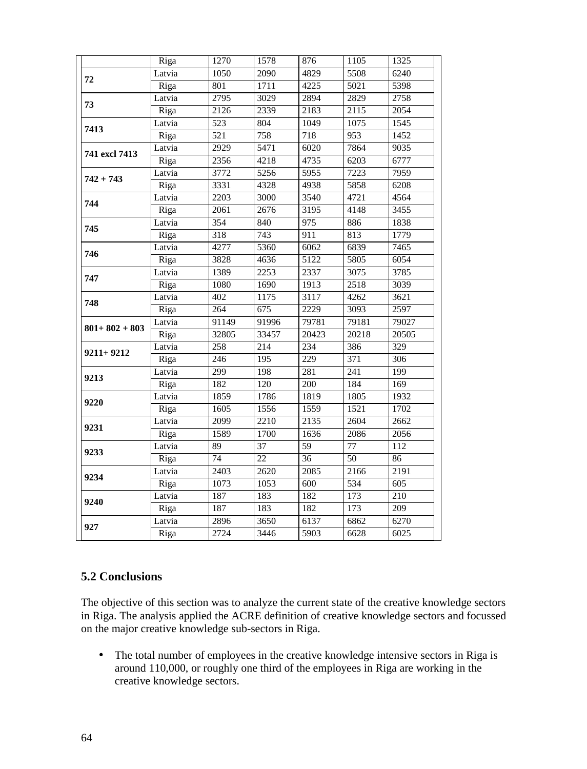|                   | Riga   | 1270             | 1578             | 876              | 1105            | 1325             |
|-------------------|--------|------------------|------------------|------------------|-----------------|------------------|
| 72                | Latvia | 1050             | 2090             | 4829             | 5508            | 6240             |
|                   | Riga   | 801              | 1711             | 4225             | 5021            | 5398             |
| 73                | Latvia | 2795             | 3029             | 2894             | 2829            | 2758             |
|                   | Riga   | 2126             | 2339             | 2183             | 2115            | 2054             |
| 7413              | Latvia | 523              | 804              | 1049             | 1075            | 1545             |
|                   | Riga   | 521              | 758              | 718              | 953             | 1452             |
| 741 excl 7413     | Latvia | 2929             | 5471             | 6020             | 7864            | 9035             |
|                   | Riga   | 2356             | 4218             | 4735             | 6203            | 6777             |
| $742 + 743$       | Latvia | 3772             | 5256             | 5955             | 7223            | 7959             |
|                   | Riga   | 3331             | 4328             | 4938             | 5858            | 6208             |
| 744               | Latvia | 2203             | 3000             | 3540             | 4721            | 4564             |
|                   | Riga   | 2061             | 2676             | 3195             | 4148            | 3455             |
| 745               | Latvia | 354              | 840              | $\frac{975}{ }$  | 886             | 1838             |
|                   | Riga   | 318              | 743              | 911              | 813             | 1779             |
| 746               | Latvia | 4277             | 5360             | 6062             | 6839            | 7465             |
|                   | Riga   | 3828             | 4636             | 5122             | 5805            | 6054             |
| 747               | Latvia | 1389             | 2253             | 2337             | 3075            | 3785             |
|                   | Riga   | 1080             | 1690             | 1913             | 2518            | 3039             |
| 748               | Latvia | 402              | 1175             | 3117             | 4262            | 3621             |
|                   | Riga   | 264              | 675              | 2229             | 3093            | 2597             |
| $801 + 802 + 803$ | Latvia | 91149            | 91996            | 79781            | 79181           | 79027            |
|                   | Riga   | 32805            | 33457            | 20423            | 20218           | 20505            |
| $9211 + 9212$     | Latvia | $\overline{258}$ | $\overline{214}$ | 234              | 386             | 329              |
|                   | Riga   | 246              | 195              | $\overline{229}$ | 371             | $\overline{306}$ |
| 9213              | Latvia | 299              | 198              | 281              | 241             | 199              |
|                   | Riga   | 182              | 120              | $\overline{200}$ | 184             | 169              |
| 9220              | Latvia | 1859             | 1786             | 1819             | 1805            | 1932             |
|                   | Riga   | 1605             | 1556             | 1559             | 1521            | 1702             |
| 9231              | Latvia | 2099             | 2210             | 2135             | 2604            | 2662             |
|                   | Riga   | 1589             | 1700             | 1636             | 2086            | 2056             |
| 9233              | Latvia | $\overline{89}$  | $\overline{37}$  | 59               | 77              | 112              |
|                   | Riga   | 74               | $\overline{22}$  | $\overline{36}$  | $\overline{50}$ | 86               |
| 9234              | Latvia | 2403             | 2620             | 2085             | 2166            | 2191             |
|                   | Riga   | 1073             | 1053             | 600              | 534             | $\overline{605}$ |
| 9240              | Latvia | 187              | 183              | 182              | 173             | 210              |
|                   | Riga   | 187              | 183              | 182              | 173             | 209              |
| 927               | Latvia | 2896             | 3650             | 6137             | 6862            | 6270             |
|                   | Riga   | 2724             | 3446             | 5903             | 6628            | 6025             |
|                   |        |                  |                  |                  |                 |                  |

# **5.2 Conclusions**

The objective of this section was to analyze the current state of the creative knowledge sectors in Riga. The analysis applied the ACRE definition of creative knowledge sectors and focussed on the major creative knowledge sub-sectors in Riga.

 The total number of employees in the creative knowledge intensive sectors in Riga is around 110,000, or roughly one third of the employees in Riga are working in the creative knowledge sectors.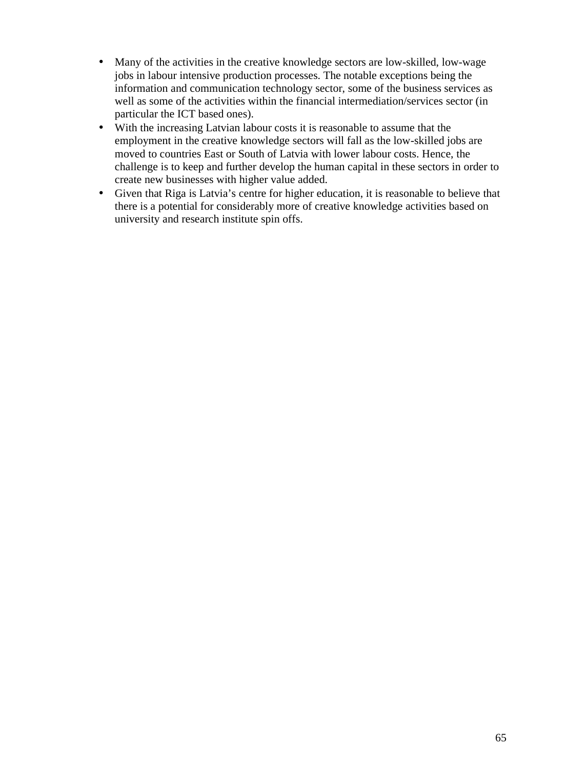- Many of the activities in the creative knowledge sectors are low-skilled, low-wage jobs in labour intensive production processes. The notable exceptions being the information and communication technology sector, some of the business services as well as some of the activities within the financial intermediation/services sector (in particular the ICT based ones).
- With the increasing Latvian labour costs it is reasonable to assume that the employment in the creative knowledge sectors will fall as the low-skilled jobs are moved to countries East or South of Latvia with lower labour costs. Hence, the challenge is to keep and further develop the human capital in these sectors in order to create new businesses with higher value added.
- Given that Riga is Latvia's centre for higher education, it is reasonable to believe that there is a potential for considerably more of creative knowledge activities based on university and research institute spin offs.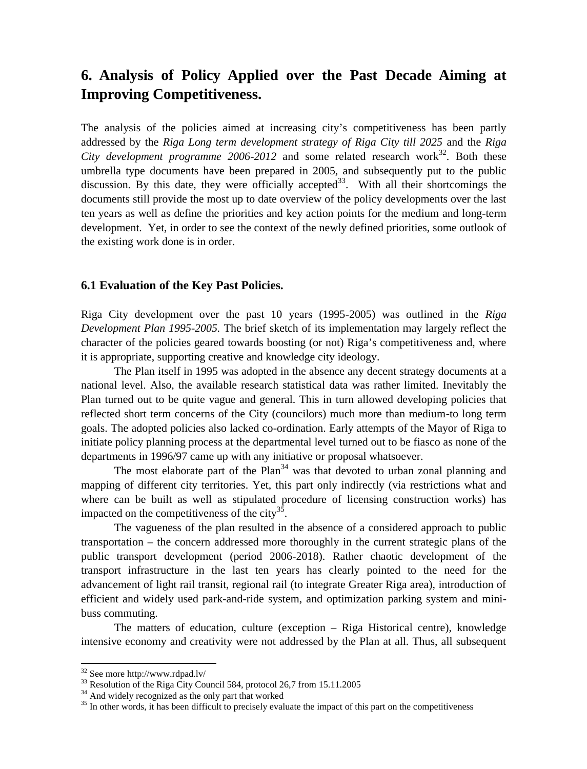# **6. Analysis of Policy Applied over the Past Decade Aiming at Improving Competitiveness.**

The analysis of the policies aimed at increasing city's competitiveness has been partly addressed by the *Riga Long term development strategy of Riga City till 2025* and the *Riga* City development programme  $2006-2012$  and some related research work<sup>32</sup>. Both these umbrella type documents have been prepared in 2005, and subsequently put to the public discussion. By this date, they were officially accepted<sup>33</sup>. With all their shortcomings the documents still provide the most up to date overview of the policy developments over the last ten years as well as define the priorities and key action points for the medium and long-term development. Yet, in order to see the context of the newly defined priorities, some outlook of the existing work done is in order.

# **6.1 Evaluation of the Key Past Policies.**

Riga City development over the past 10 years (1995-2005) was outlined in the *Riga Development Plan 1995-2005.* The brief sketch of its implementation may largely reflect the character of the policies geared towards boosting (or not) Riga's competitiveness and, where it is appropriate, supporting creative and knowledge city ideology.

The Plan itself in 1995 was adopted in the absence any decent strategy documents at a national level. Also, the available research statistical data was rather limited. Inevitably the Plan turned out to be quite vague and general. This in turn allowed developing policies that reflected short term concerns of the City (councilors) much more than medium-to long term goals. The adopted policies also lacked co-ordination. Early attempts of the Mayor of Riga to initiate policy planning process at the departmental level turned out to be fiasco as none of the departments in 1996/97 came up with any initiative or proposal whatsoever.

The most elaborate part of the Plan<sup>34</sup> was that devoted to urban zonal planning and mapping of different city territories. Yet, this part only indirectly (via restrictions what and where can be built as well as stipulated procedure of licensing construction works) has impacted on the competitiveness of the city $35$ .

The vagueness of the plan resulted in the absence of a considered approach to public transportation – the concern addressed more thoroughly in the current strategic plans of the public transport development (period 2006-2018). Rather chaotic development of the transport infrastructure in the last ten years has clearly pointed to the need for the advancement of light rail transit, regional rail (to integrate Greater Riga area), introduction of efficient and widely used park-and-ride system, and optimization parking system and minibuss commuting.

The matters of education, culture (exception – Riga Historical centre), knowledge intensive economy and creativity were not addressed by the Plan at all. Thus, all subsequent

<sup>32</sup> See more http://www.rdpad.lv/

 $33$  Resolution of the Riga City Council 584, protocol 26,7 from 15.11.2005

<sup>&</sup>lt;sup>34</sup> And widely recognized as the only part that worked

<sup>&</sup>lt;sup>35</sup> In other words, it has been difficult to precisely evaluate the impact of this part on the competitiveness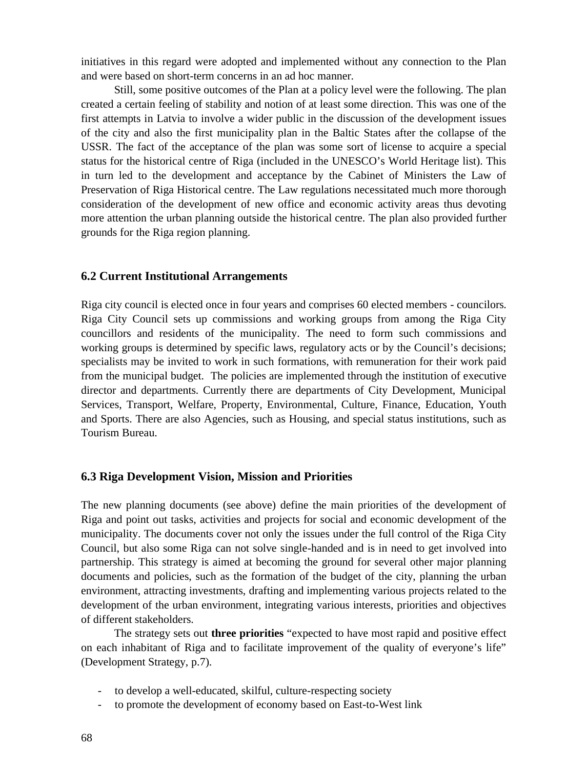initiatives in this regard were adopted and implemented without any connection to the Plan and were based on short-term concerns in an ad hoc manner.

Still, some positive outcomes of the Plan at a policy level were the following. The plan created a certain feeling of stability and notion of at least some direction. This was one of the first attempts in Latvia to involve a wider public in the discussion of the development issues of the city and also the first municipality plan in the Baltic States after the collapse of the USSR. The fact of the acceptance of the plan was some sort of license to acquire a special status for the historical centre of Riga (included in the UNESCO's World Heritage list). This in turn led to the development and acceptance by the Cabinet of Ministers the Law of Preservation of Riga Historical centre. The Law regulations necessitated much more thorough consideration of the development of new office and economic activity areas thus devoting more attention the urban planning outside the historical centre. The plan also provided further grounds for the Riga region planning.

# **6.2 Current Institutional Arrangements**

Riga city council is elected once in four years and comprises 60 elected members - councilors. Riga City Council sets up commissions and working groups from among the Riga City councillors and residents of the municipality. The need to form such commissions and working groups is determined by specific laws, regulatory acts or by the Council's decisions; specialists may be invited to work in such formations, with remuneration for their work paid from the municipal budget. The policies are implemented through the institution of executive director and departments. Currently there are departments of City Development, Municipal Services, Transport, Welfare, Property, Environmental, Culture, Finance, Education, Youth and Sports. There are also Agencies, such as Housing, and special status institutions, such as Tourism Bureau.

## **6.3 Riga Development Vision, Mission and Priorities**

The new planning documents (see above) define the main priorities of the development of Riga and point out tasks, activities and projects for social and economic development of the municipality. The documents cover not only the issues under the full control of the Riga City Council, but also some Riga can not solve single-handed and is in need to get involved into partnership. This strategy is aimed at becoming the ground for several other major planning documents and policies, such as the formation of the budget of the city, planning the urban environment, attracting investments, drafting and implementing various projects related to the development of the urban environment, integrating various interests, priorities and objectives of different stakeholders.

The strategy sets out **three priorities** "expected to have most rapid and positive effect on each inhabitant of Riga and to facilitate improvement of the quality of everyone's life" (Development Strategy, p.7).

- to develop a well-educated, skilful, culture-respecting society
- to promote the development of economy based on East-to-West link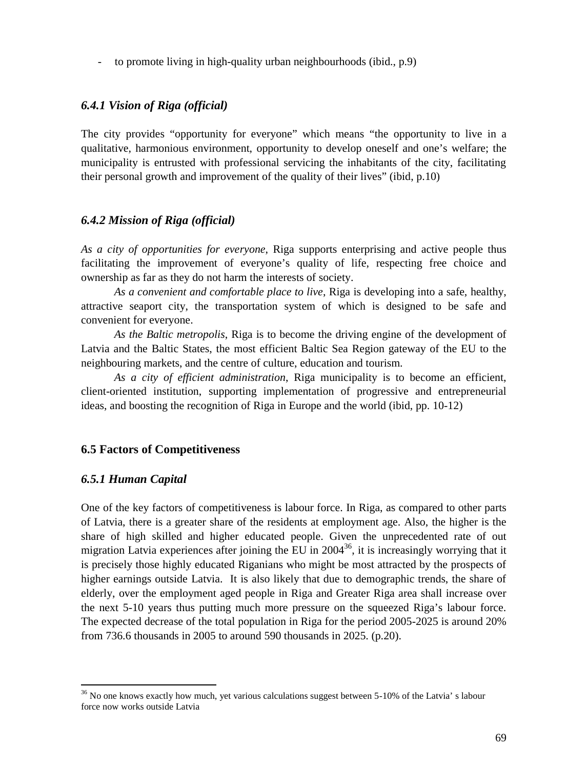- to promote living in high-quality urban neighbourhoods (ibid., p.9)

# *6.4.1 Vision of Riga (official)*

The city provides "opportunity for everyone" which means "the opportunity to live in a qualitative, harmonious environment, opportunity to develop oneself and one's welfare; the municipality is entrusted with professional servicing the inhabitants of the city, facilitating their personal growth and improvement of the quality of their lives" (ibid, p.10)

## *6.4.2 Mission of Riga (official)*

*As a city of opportunities for everyone*, Riga supports enterprising and active people thus facilitating the improvement of everyone's quality of life, respecting free choice and ownership as far as they do not harm the interests of society.

*As a convenient and comfortable place to live*, Riga is developing into a safe, healthy, attractive seaport city, the transportation system of which is designed to be safe and convenient for everyone.

*As the Baltic metropolis*, Riga is to become the driving engine of the development of Latvia and the Baltic States, the most efficient Baltic Sea Region gateway of the EU to the neighbouring markets, and the centre of culture, education and tourism.

*As a city of efficient administration*, Riga municipality is to become an efficient, client-oriented institution, supporting implementation of progressive and entrepreneurial ideas, and boosting the recognition of Riga in Europe and the world (ibid, pp. 10-12)

## **6.5 Factors of Competitiveness**

## *6.5.1 Human Capital*

One of the key factors of competitiveness is labour force. In Riga, as compared to other parts of Latvia, there is a greater share of the residents at employment age. Also, the higher is the share of high skilled and higher educated people. Given the unprecedented rate of out migration Latvia experiences after joining the EU in  $2004^{36}$ , it is increasingly worrying that it is precisely those highly educated Riganians who might be most attracted by the prospects of higher earnings outside Latvia. It is also likely that due to demographic trends, the share of elderly, over the employment aged people in Riga and Greater Riga area shall increase over the next 5-10 years thus putting much more pressure on the squeezed Riga's labour force. The expected decrease of the total population in Riga for the period 2005-2025 is around 20% from 736.6 thousands in 2005 to around 590 thousands in 2025. (p.20).

<sup>&</sup>lt;sup>36</sup> No one knows exactly how much, yet various calculations suggest between 5-10% of the Latvia' s labour force now works outside Latvia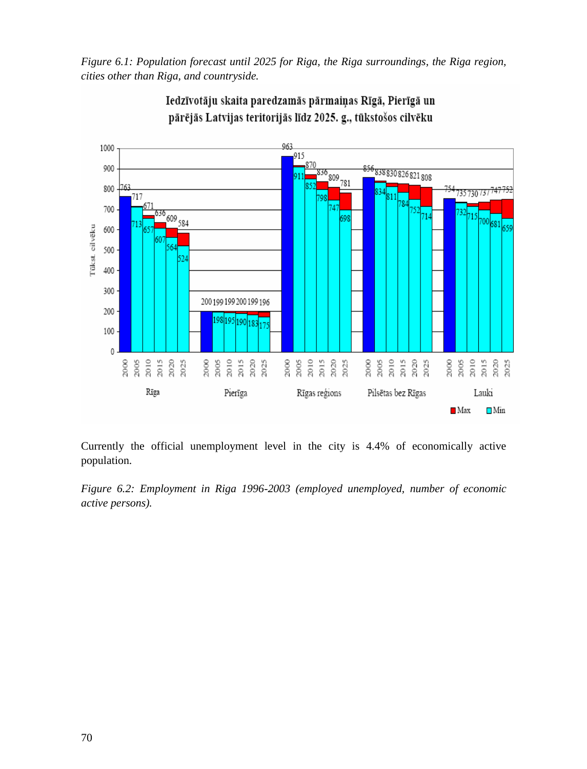*Figure 6.1: Population forecast until 2025 for Riga, the Riga surroundings, the Riga region, cities other than Riga, and countryside.*



Iedzīvotāju skaita paredzamās pārmaiņas Rīgā, Pierīgā un pārējās Latvijas teritorijās līdz 2025. g., tūkstošos cilvēku

Currently the official unemployment level in the city is 4.4% of economically active population.

*Figure 6.2: Employment in Riga 1996-2003 (employed unemployed, number of economic active persons).*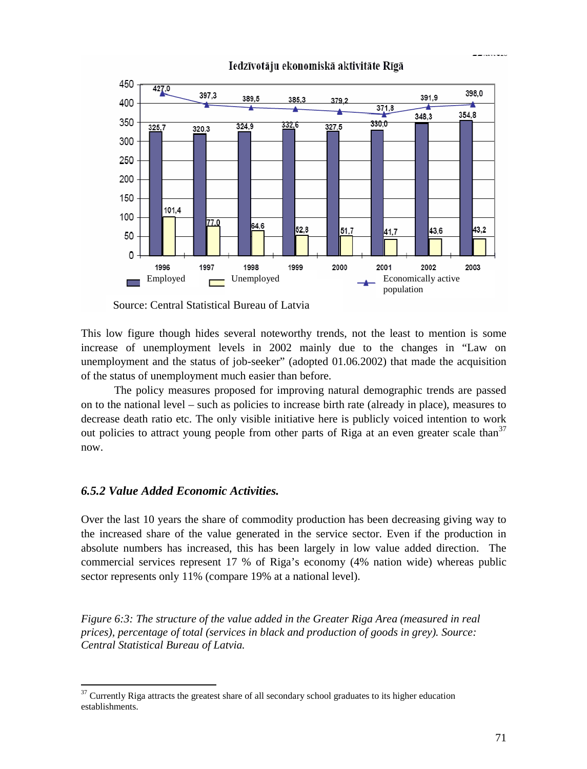

Iedzīvotāju ekonomiskā aktivitāte Rīgā

Source: Central Statistical Bureau of Latvia

This low figure though hides several noteworthy trends, not the least to mention is some increase of unemployment levels in 2002 mainly due to the changes in "Law on unemployment and the status of job-seeker" (adopted 01.06.2002) that made the acquisition of the status of unemployment much easier than before.

The policy measures proposed for improving natural demographic trends are passed on to the national level – such as policies to increase birth rate (already in place), measures to decrease death ratio etc. The only visible initiative here is publicly voiced intention to work out policies to attract young people from other parts of Riga at an even greater scale than<sup>37</sup> now.

#### *6.5.2 Value Added Economic Activities.*

Over the last 10 years the share of commodity production has been decreasing giving way to the increased share of the value generated in the service sector. Even if the production in absolute numbers has increased, this has been largely in low value added direction. The commercial services represent 17 % of Riga's economy (4% nation wide) whereas public sector represents only 11% (compare 19% at a national level).

*Figure 6:3: The structure of the value added in the Greater Riga Area (measured in real prices), percentage of total (services in black and production of goods in grey). Source: Central Statistical Bureau of Latvia.*

----------

<sup>37</sup> Currently Riga attracts the greatest share of all secondary school graduates to its higher education establishments.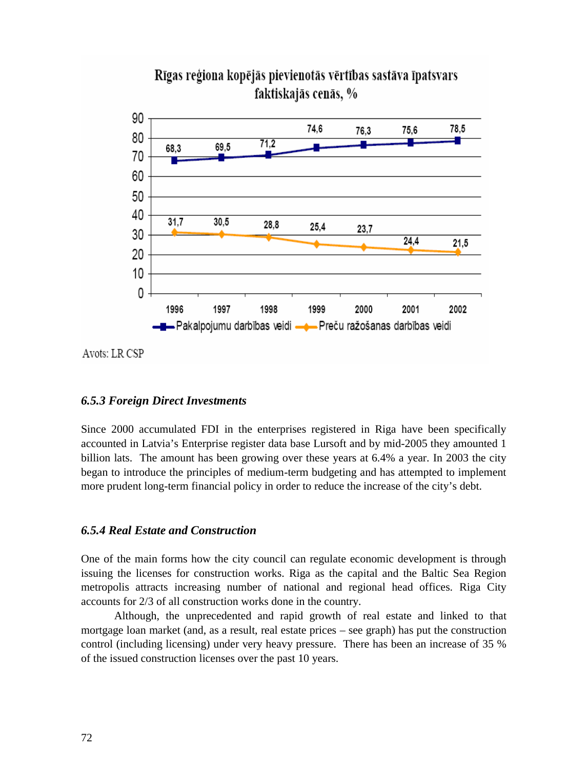

# Rīgas reģiona kopējās pievienotās vērtības sastāva īpatsvars faktiskajās cenās, %

Avots: LR CSP

# *6.5.3 Foreign Direct Investments*

Since 2000 accumulated FDI in the enterprises registered in Riga have been specifically accounted in Latvia's Enterprise register data base Lursoft and by mid-2005 they amounted 1 billion lats. The amount has been growing over these years at 6.4% a year. In 2003 the city began to introduce the principles of medium-term budgeting and has attempted to implement more prudent long-term financial policy in order to reduce the increase of the city's debt.

## *6.5.4 Real Estate and Construction*

One of the main forms how the city council can regulate economic development is through issuing the licenses for construction works. Riga as the capital and the Baltic Sea Region metropolis attracts increasing number of national and regional head offices. Riga City accounts for 2/3 of all construction works done in the country.

Although, the unprecedented and rapid growth of real estate and linked to that mortgage loan market (and, as a result, real estate prices – see graph) has put the construction control (including licensing) under very heavy pressure. There has been an increase of 35 % of the issued construction licenses over the past 10 years.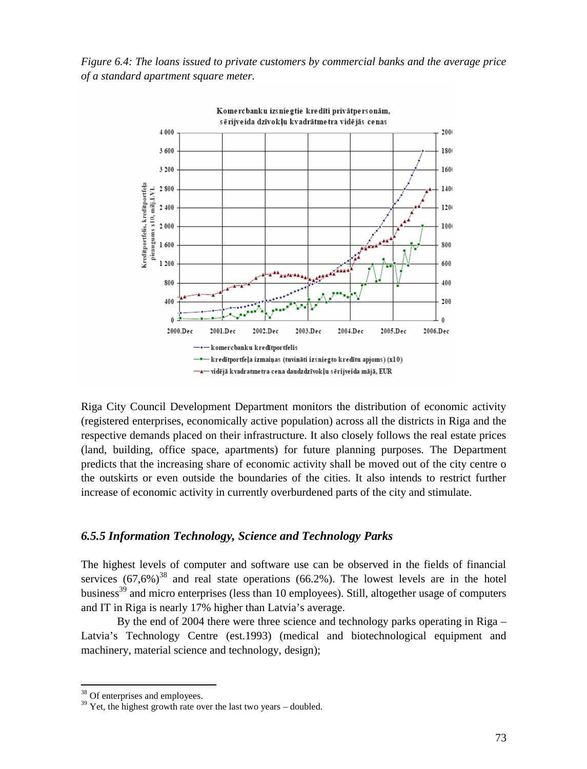*Figure 6.4: The loans issued to private customers by commercial banks and the average price of a standard apartment square meter.*



Riga City Council Development Department monitors the distribution of economic activity (registered enterprises, economically active population) across all the districts in Riga and the respective demands placed on their infrastructure. It also closely follows the real estate prices (land, building, office space, apartments) for future planning purposes. The Department predicts that the increasing share of economic activity shall be moved out of the city centre o the outskirts or even outside the boundaries of the cities. It also intends to restrict further increase of economic activity in currently overburdened parts of the city and stimulate.

#### *6.5.5 Information Technology, Science and Technology Parks*

The highest levels of computer and software use can be observed in the fields of financial services  $(67,6\%)^{38}$  and real state operations  $(66.2\%)$ . The lowest levels are in the hotel business<sup>39</sup> and micro enterprises (less than 10 employees). Still, altogether usage of computers and IT in Riga is nearly 17% higher than Latvia's average.

By the end of 2004 there were three science and technology parks operating in Riga – Latvia's Technology Centre (est.1993) (medical and biotechnological equipment and machinery, material science and technology, design);

<sup>&</sup>lt;sup>38</sup> Of enterprises and employees.

<sup>&</sup>lt;sup>39</sup> Yet, the highest growth rate over the last two years – doubled.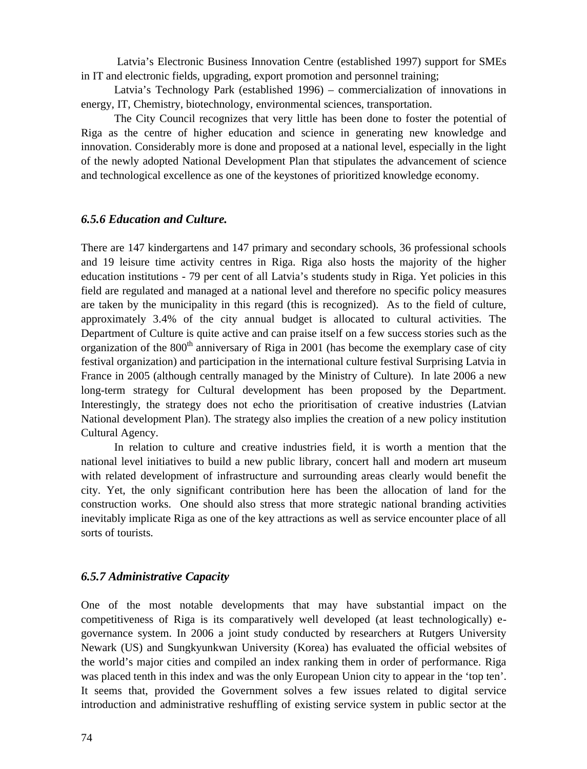Latvia's Electronic Business Innovation Centre (established 1997) support for SMEs in IT and electronic fields, upgrading, export promotion and personnel training;

Latvia's Technology Park (established 1996) – commercialization of innovations in energy, IT, Chemistry, biotechnology, environmental sciences, transportation.

The City Council recognizes that very little has been done to foster the potential of Riga as the centre of higher education and science in generating new knowledge and innovation. Considerably more is done and proposed at a national level, especially in the light of the newly adopted National Development Plan that stipulates the advancement of science and technological excellence as one of the keystones of prioritized knowledge economy.

#### *6.5.6 Education and Culture.*

There are 147 kindergartens and 147 primary and secondary schools, 36 professional schools and 19 leisure time activity centres in Riga. Riga also hosts the majority of the higher education institutions - 79 per cent of all Latvia's students study in Riga. Yet policies in this field are regulated and managed at a national level and therefore no specific policy measures are taken by the municipality in this regard (this is recognized). As to the field of culture, approximately 3.4% of the city annual budget is allocated to cultural activities. The Department of Culture is quite active and can praise itself on a few success stories such as the organization of the  $800<sup>th</sup>$  anniversary of Riga in 2001 (has become the exemplary case of city festival organization) and participation in the international culture festival Surprising Latvia in France in 2005 (although centrally managed by the Ministry of Culture). In late 2006 a new long-term strategy for Cultural development has been proposed by the Department. Interestingly, the strategy does not echo the prioritisation of creative industries (Latvian National development Plan). The strategy also implies the creation of a new policy institution Cultural Agency.

In relation to culture and creative industries field, it is worth a mention that the national level initiatives to build a new public library, concert hall and modern art museum with related development of infrastructure and surrounding areas clearly would benefit the city. Yet, the only significant contribution here has been the allocation of land for the construction works. One should also stress that more strategic national branding activities inevitably implicate Riga as one of the key attractions as well as service encounter place of all sorts of tourists.

#### *6.5.7 Administrative Capacity*

One of the most notable developments that may have substantial impact on the competitiveness of Riga is its comparatively well developed (at least technologically) egovernance system. In 2006 a joint study conducted by researchers at Rutgers University Newark (US) and Sungkyunkwan University (Korea) has evaluated the official websites of the world's major cities and compiled an index ranking them in order of performance. Riga was placed tenth in this index and was the only European Union city to appear in the 'top ten'. It seems that, provided the Government solves a few issues related to digital service introduction and administrative reshuffling of existing service system in public sector at the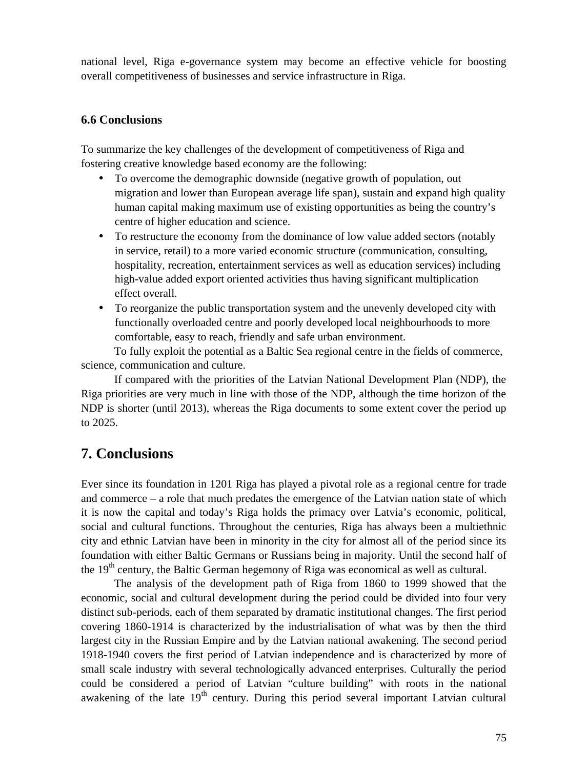national level, Riga e-governance system may become an effective vehicle for boosting overall competitiveness of businesses and service infrastructure in Riga.

### **6.6 Conclusions**

To summarize the key challenges of the development of competitiveness of Riga and fostering creative knowledge based economy are the following:

- To overcome the demographic downside (negative growth of population, out migration and lower than European average life span), sustain and expand high quality human capital making maximum use of existing opportunities as being the country's centre of higher education and science.
- To restructure the economy from the dominance of low value added sectors (notably in service, retail) to a more varied economic structure (communication, consulting, hospitality, recreation, entertainment services as well as education services) including high-value added export oriented activities thus having significant multiplication effect overall.
- To reorganize the public transportation system and the unevenly developed city with functionally overloaded centre and poorly developed local neighbourhoods to more comfortable, easy to reach, friendly and safe urban environment.

To fully exploit the potential as a Baltic Sea regional centre in the fields of commerce, science, communication and culture.

If compared with the priorities of the Latvian National Development Plan (NDP), the Riga priorities are very much in line with those of the NDP, although the time horizon of the NDP is shorter (until 2013), whereas the Riga documents to some extent cover the period up to 2025.

# **7. Conclusions**

Ever since its foundation in 1201 Riga has played a pivotal role as a regional centre for trade and commerce – a role that much predates the emergence of the Latvian nation state of which it is now the capital and today's Riga holds the primacy over Latvia's economic, political, social and cultural functions. Throughout the centuries, Riga has always been a multiethnic city and ethnic Latvian have been in minority in the city for almost all of the period since its foundation with either Baltic Germans or Russians being in majority. Until the second half of the  $19<sup>th</sup>$  century, the Baltic German hegemony of Riga was economical as well as cultural.

The analysis of the development path of Riga from 1860 to 1999 showed that the economic, social and cultural development during the period could be divided into four very distinct sub-periods, each of them separated by dramatic institutional changes. The first period covering 1860-1914 is characterized by the industrialisation of what was by then the third largest city in the Russian Empire and by the Latvian national awakening. The second period 1918-1940 covers the first period of Latvian independence and is characterized by more of small scale industry with several technologically advanced enterprises. Culturally the period could be considered a period of Latvian "culture building" with roots in the national awakening of the late  $19<sup>th</sup>$  century. During this period several important Latvian cultural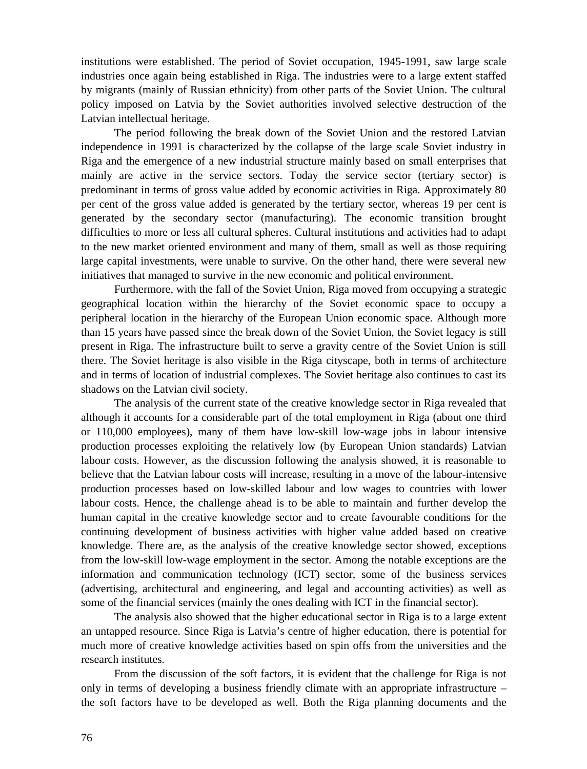institutions were established. The period of Soviet occupation, 1945-1991, saw large scale industries once again being established in Riga. The industries were to a large extent staffed by migrants (mainly of Russian ethnicity) from other parts of the Soviet Union. The cultural policy imposed on Latvia by the Soviet authorities involved selective destruction of the Latvian intellectual heritage.

The period following the break down of the Soviet Union and the restored Latvian independence in 1991 is characterized by the collapse of the large scale Soviet industry in Riga and the emergence of a new industrial structure mainly based on small enterprises that mainly are active in the service sectors. Today the service sector (tertiary sector) is predominant in terms of gross value added by economic activities in Riga. Approximately 80 per cent of the gross value added is generated by the tertiary sector, whereas 19 per cent is generated by the secondary sector (manufacturing). The economic transition brought difficulties to more or less all cultural spheres. Cultural institutions and activities had to adapt to the new market oriented environment and many of them, small as well as those requiring large capital investments, were unable to survive. On the other hand, there were several new initiatives that managed to survive in the new economic and political environment.

Furthermore, with the fall of the Soviet Union, Riga moved from occupying a strategic geographical location within the hierarchy of the Soviet economic space to occupy a peripheral location in the hierarchy of the European Union economic space. Although more than 15 years have passed since the break down of the Soviet Union, the Soviet legacy is still present in Riga. The infrastructure built to serve a gravity centre of the Soviet Union is still there. The Soviet heritage is also visible in the Riga cityscape, both in terms of architecture and in terms of location of industrial complexes. The Soviet heritage also continues to cast its shadows on the Latvian civil society.

The analysis of the current state of the creative knowledge sector in Riga revealed that although it accounts for a considerable part of the total employment in Riga (about one third or 110,000 employees), many of them have low-skill low-wage jobs in labour intensive production processes exploiting the relatively low (by European Union standards) Latvian labour costs. However, as the discussion following the analysis showed, it is reasonable to believe that the Latvian labour costs will increase, resulting in a move of the labour-intensive production processes based on low-skilled labour and low wages to countries with lower labour costs. Hence, the challenge ahead is to be able to maintain and further develop the human capital in the creative knowledge sector and to create favourable conditions for the continuing development of business activities with higher value added based on creative knowledge. There are, as the analysis of the creative knowledge sector showed, exceptions from the low-skill low-wage employment in the sector. Among the notable exceptions are the information and communication technology (ICT) sector, some of the business services (advertising, architectural and engineering, and legal and accounting activities) as well as some of the financial services (mainly the ones dealing with ICT in the financial sector).

The analysis also showed that the higher educational sector in Riga is to a large extent an untapped resource. Since Riga is Latvia's centre of higher education, there is potential for much more of creative knowledge activities based on spin offs from the universities and the research institutes.

From the discussion of the soft factors, it is evident that the challenge for Riga is not only in terms of developing a business friendly climate with an appropriate infrastructure – the soft factors have to be developed as well. Both the Riga planning documents and the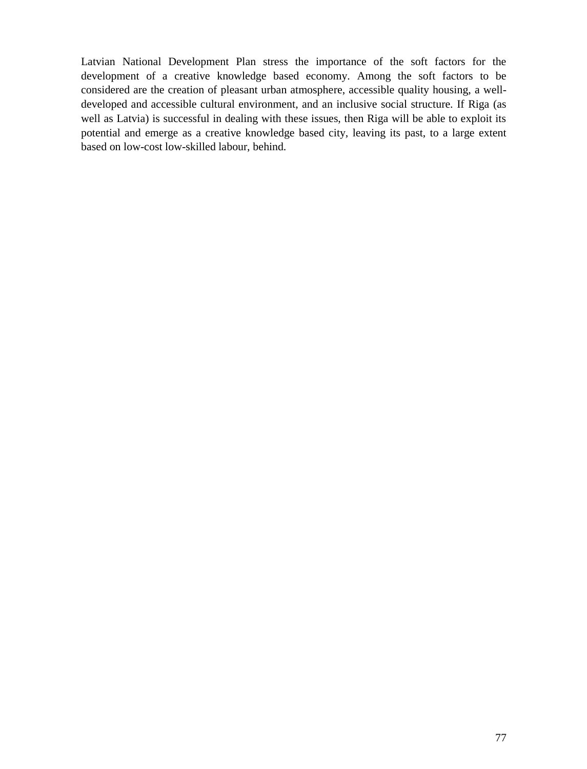Latvian National Development Plan stress the importance of the soft factors for the development of a creative knowledge based economy. Among the soft factors to be considered are the creation of pleasant urban atmosphere, accessible quality housing, a welldeveloped and accessible cultural environment, and an inclusive social structure. If Riga (as well as Latvia) is successful in dealing with these issues, then Riga will be able to exploit its potential and emerge as a creative knowledge based city, leaving its past, to a large extent based on low-cost low-skilled labour, behind.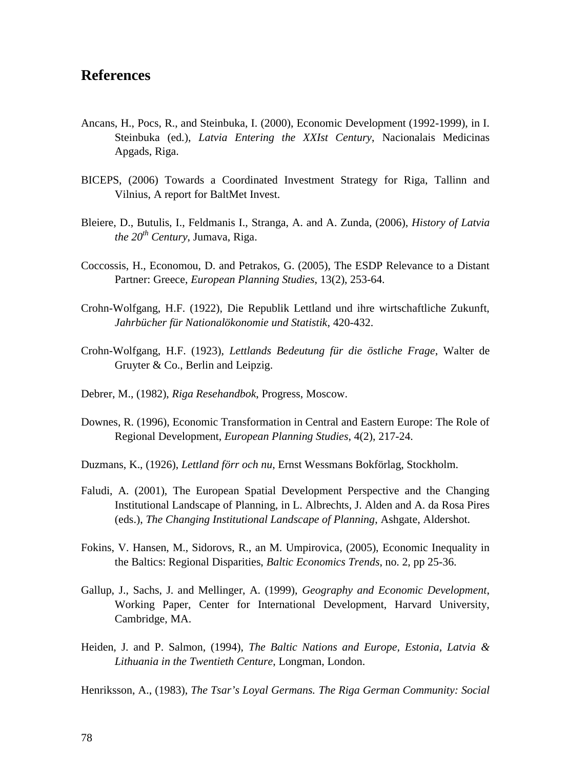## **References**

- Ancans, H., Pocs, R., and Steinbuka, I. (2000), Economic Development (1992-1999), in I. Steinbuka (ed.), *Latvia Entering the XXIst Century*, Nacionalais Medicinas Apgads, Riga.
- BICEPS, (2006) Towards a Coordinated Investment Strategy for Riga, Tallinn and Vilnius, A report for BaltMet Invest.
- Bleiere, D., Butulis, I., Feldmanis I., Stranga, A. and A. Zunda, (2006), *History of Latvia the 20th Century*, Jumava, Riga.
- Coccossis, H., Economou, D. and Petrakos, G. (2005), The ESDP Relevance to a Distant Partner: Greece, *European Planning Studies*, 13(2), 253-64.
- Crohn-Wolfgang, H.F. (1922), Die Republik Lettland und ihre wirtschaftliche Zukunft, *Jahrbücher für Nationalökonomie und Statistik*, 420-432.
- Crohn-Wolfgang, H.F. (1923), *Lettlands Bedeutung für die östliche Frage*, Walter de Gruyter & Co., Berlin and Leipzig.
- Debrer, M., (1982), *Riga Resehandbok*, Progress, Moscow.
- Downes, R. (1996), Economic Transformation in Central and Eastern Europe: The Role of Regional Development, *European Planning Studies*, 4(2), 217-24.
- Duzmans, K., (1926), *Lettland förr och nu*, Ernst Wessmans Bokförlag, Stockholm.
- Faludi, A. (2001), The European Spatial Development Perspective and the Changing Institutional Landscape of Planning, in L. Albrechts, J. Alden and A. da Rosa Pires (eds.), *The Changing Institutional Landscape of Planning*, Ashgate, Aldershot.
- Fokins, V. Hansen, M., Sidorovs, R., an M. Umpirovica, (2005), Economic Inequality in the Baltics: Regional Disparities, *Baltic Economics Trends*, no. 2, pp 25-36.
- Gallup, J., Sachs, J. and Mellinger, A. (1999), *Geography and Economic Development*, Working Paper, Center for International Development, Harvard University, Cambridge, MA.
- Heiden, J. and P. Salmon, (1994), *The Baltic Nations and Europe, Estonia, Latvia & Lithuania in the Twentieth Centure*, Longman, London.

Henriksson, A., (1983), *The Tsar's Loyal Germans. The Riga German Community: Social*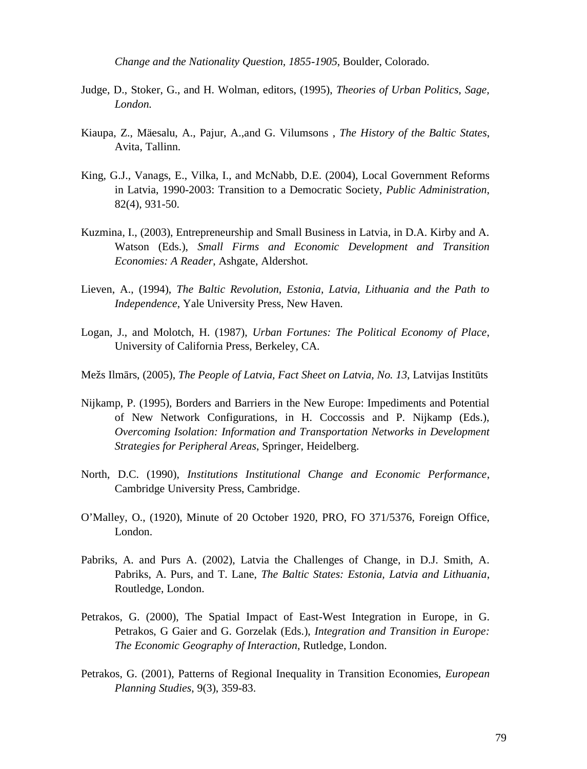*Change and the Nationality Question, 1855-1905*, Boulder, Colorado.

- Judge, D., Stoker, G., and H. Wolman, editors, (1995), *Theories of Urban Politics, Sage, London.*
- Kiaupa, Z., Mäesalu, A., Pajur, A.,and G. Vilumsons , *The History of the Baltic States*, Avita, Tallinn.
- King, G.J., Vanags, E., Vilka, I., and McNabb, D.E. (2004), Local Government Reforms in Latvia, 1990-2003: Transition to a Democratic Society, *Public Administration*, 82(4), 931-50.
- Kuzmina, I., (2003), Entrepreneurship and Small Business in Latvia, in D.A. Kirby and A. Watson (Eds.), *Small Firms and Economic Development and Transition Economies: A Reader*, Ashgate, Aldershot.
- Lieven, A., (1994), *The Baltic Revolution, Estonia, Latvia, Lithuania and the Path to Independence*, Yale University Press, New Haven.
- Logan, J., and Molotch, H. (1987), *Urban Fortunes: The Political Economy of Place*, University of California Press, Berkeley, CA.
- Mežs Ilm rs, (2005), *The People of Latvia, Fact Sheet on Latvia, No. 13*, Latvijas Instit ts
- Nijkamp, P. (1995), Borders and Barriers in the New Europe: Impediments and Potential of New Network Configurations, in H. Coccossis and P. Nijkamp (Eds.), *Overcoming Isolation: Information and Transportation Networks in Development Strategies for Peripheral Areas*, Springer, Heidelberg.
- North, D.C. (1990), *Institutions Institutional Change and Economic Performance*, Cambridge University Press, Cambridge.
- O'Malley, O., (1920), Minute of 20 October 1920, PRO, FO 371/5376, Foreign Office, London.
- Pabriks, A. and Purs A. (2002), Latvia the Challenges of Change, in D.J. Smith, A. Pabriks, A. Purs, and T. Lane, *The Baltic States: Estonia, Latvia and Lithuania*, Routledge, London.
- Petrakos, G. (2000), The Spatial Impact of East-West Integration in Europe, in G. Petrakos, G Gaier and G. Gorzelak (Eds.), *Integration and Transition in Europe: The Economic Geography of Interaction*, Rutledge, London.
- Petrakos, G. (2001), Patterns of Regional Inequality in Transition Economies, *European Planning Studies*, 9(3), 359-83.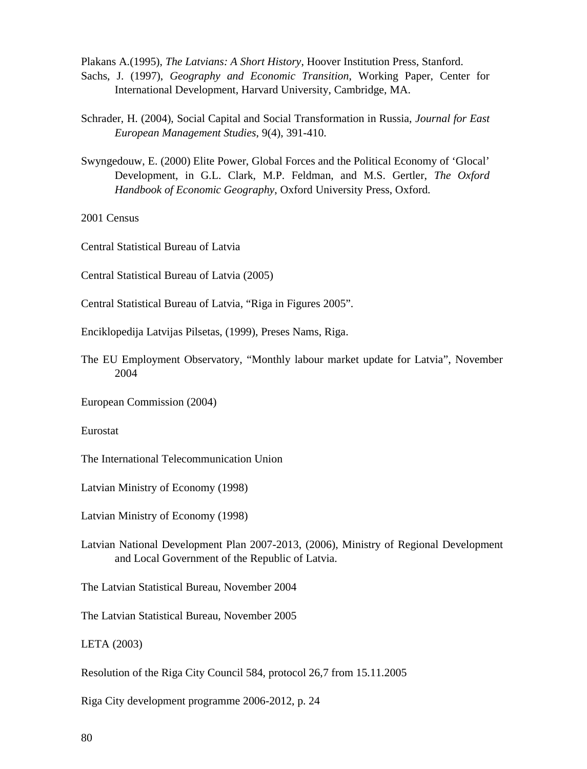Plakans A.(1995), *The Latvians: A Short History*, Hoover Institution Press, Stanford. Sachs, J. (1997), *Geography and Economic Transition*, Working Paper, Center for International Development, Harvard University, Cambridge, MA.

- Schrader, H. (2004), Social Capital and Social Transformation in Russia, *Journal for East European Management Studies*, 9(4), 391-410.
- Swyngedouw, E. (2000) Elite Power, Global Forces and the Political Economy of 'Glocal' Development, in G.L. Clark, M.P. Feldman, and M.S. Gertler, *The Oxford Handbook of Economic Geography*, Oxford University Press, Oxford.

2001 Census

Central Statistical Bureau of Latvia

Central Statistical Bureau of Latvia (2005)

Central Statistical Bureau of Latvia, "Riga in Figures 2005".

Enciklopedija Latvijas Pilsetas, (1999), Preses Nams, Riga.

The EU Employment Observatory, "Monthly labour market update for Latvia", November 2004

European Commission (2004)

Eurostat

The International Telecommunication Union

Latvian Ministry of Economy (1998)

Latvian Ministry of Economy (1998)

Latvian National Development Plan 2007-2013, (2006), Ministry of Regional Development and Local Government of the Republic of Latvia.

The Latvian Statistical Bureau, November 2004

The Latvian Statistical Bureau, November 2005

LETA (2003)

Resolution of the Riga City Council 584, protocol 26,7 from 15.11.2005

Riga City development programme 2006-2012, p. 24